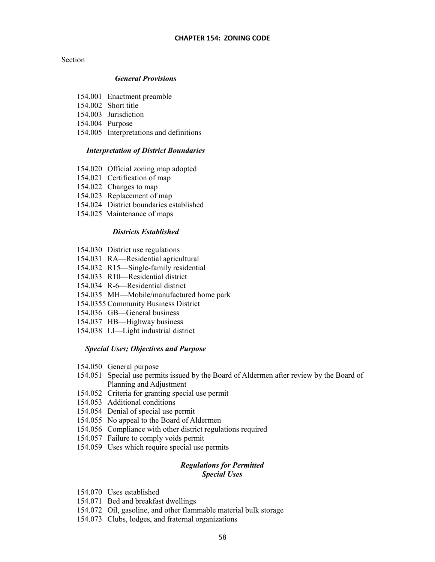## Section

## *General Provisions*

- 154.001 Enactment preamble
- 154.002 Short title
- 154.003 Jurisdiction
- 154.004 Purpose
- 154.005 Interpretations and definitions

## *Interpretation of District Boundaries*

- 154.020 Official zoning map adopted
- 154.021 Certification of map
- 154.022 Changes to map
- 154.023 Replacement of map
- 154.024 District boundaries established
- 154.025 Maintenance of maps

## *Districts Established*

- 154.030 District use regulations
- 154.031 RA—Residential agricultural
- 154.032 R15—Single-family residential
- 154.033 R10—Residential district
- 154.034 R-6—Residential district
- 154.035 MH—Mobile/manufactured home park
- 154.0355 Community Business District
- 154.036 GB—General business
- 154.037 HB—Highway business
- 154.038 LI—Light industrial district

## *Special Uses; Objectives and Purpose*

- 154.050 General purpose
- 154.051 Special use permits issued by the Board of Aldermen after review by the Board of Planning and Adjustment
- 154.052 Criteria for granting special use permit
- 154.053 Additional conditions
- 154.054 Denial of special use permit
- 154.055 No appeal to the Board of Aldermen
- 154.056 Compliance with other district regulations required
- 154.057 Failure to comply voids permit
- 154.059 Uses which require special use permits

## *Regulations for Permitted Special Uses*

- 154.070 Uses established
- 154.071 Bed and breakfast dwellings
- 154.072 Oil, gasoline, and other flammable material bulk storage
- 154.073 Clubs, lodges, and fraternal organizations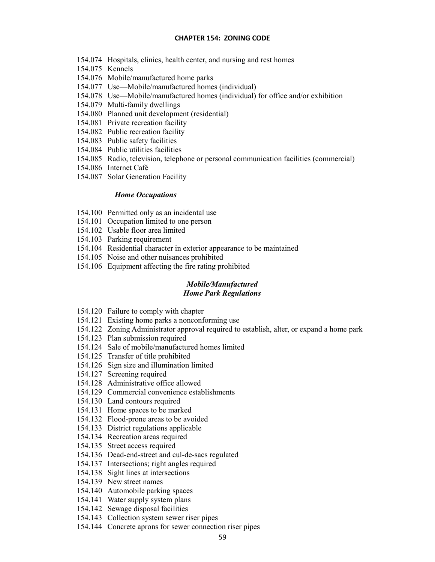- 154.074 Hospitals, clinics, health center, and nursing and rest homes
- 154.075 Kennels
- 154.076 Mobile/manufactured home parks
- 154.077 Use—Mobile/manufactured homes (individual)
- 154.078 Use—Mobile/manufactured homes (individual) for office and/or exhibition
- 154.079 Multi-family dwellings
- 154.080 Planned unit development (residential)
- 154.081 Private recreation facility
- 154.082 Public recreation facility
- 154.083 Public safety facilities
- 154.084 Public utilities facilities
- 154.085 Radio, television, telephone or personal communication facilities (commercial)
- 154.086 Internet Café
- 154.087 Solar Generation Facility

## *Home Occupations*

- 154.100 Permitted only as an incidental use
- 154.101 Occupation limited to one person
- 154.102 Usable floor area limited
- 154.103 Parking requirement
- 154.104 Residential character in exterior appearance to be maintained
- 154.105 Noise and other nuisances prohibited
- 154.106 Equipment affecting the fire rating prohibited

# *Mobile/Manufactured Home Park Regulations*

- 154.120 Failure to comply with chapter
- 154.121 Existing home parks a nonconforming use
- 154.122 Zoning Administrator approval required to establish, alter, or expand a home park
- 154.123 Plan submission required
- 154.124 Sale of mobile/manufactured homes limited
- 154.125 Transfer of title prohibited
- 154.126 Sign size and illumination limited
- 154.127 Screening required
- 154.128 Administrative office allowed
- 154.129 Commercial convenience establishments
- 154.130 Land contours required
- 154.131 Home spaces to be marked
- 154.132 Flood-prone areas to be avoided
- 154.133 District regulations applicable
- 154.134 Recreation areas required
- 154.135 Street access required
- 154.136 Dead-end-street and cul-de-sacs regulated
- 154.137 Intersections; right angles required
- 154.138 Sight lines at intersections
- 154.139 New street names
- 154.140 Automobile parking spaces
- 154.141 Water supply system plans
- 154.142 Sewage disposal facilities
- 154.143 Collection system sewer riser pipes
- 154.144 Concrete aprons for sewer connection riser pipes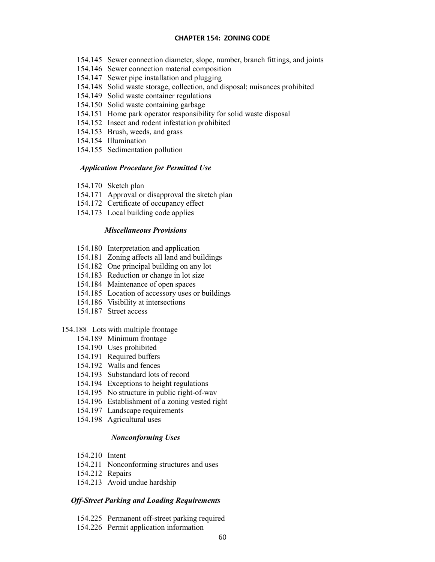- 154.145 Sewer connection diameter, slope, number, branch fittings, and joints
- 154.146 Sewer connection material composition
- 154.147 Sewer pipe installation and plugging
- 154.148 Solid waste storage, collection, and disposal; nuisances prohibited
- 154.149 Solid waste container regulations
- 154.150 Solid waste containing garbage
- 154.151 Home park operator responsibility for solid waste disposal
- 154.152 Insect and rodent infestation prohibited
- 154.153 Brush, weeds, and grass
- 154.154 Illumination
- 154.155 Sedimentation pollution

## *Application Procedure for Permitted Use*

- 154.170 Sketch plan
- 154.171 Approval or disapproval the sketch plan
- 154.172 Certificate of occupancy effect
- 154.173 Local building code applies

## *Miscellaneous Provisions*

- 154.180 Interpretation and application
- 154.181 Zoning affects all land and buildings
- 154.182 One principal building on any lot
- 154.183 Reduction or change in lot size
- 154.184 Maintenance of open spaces
- 154.185 Location of accessory uses or buildings
- 154.186 Visibility at intersections
- 154.187 Street access

## 154.188 Lots with multiple frontage

- 154.189 Minimum frontage
- 154.190 Uses prohibited
- 154.191 Required buffers
- 154.192 Walls and fences
- 154.193 Substandard lots of record
- 154.194 Exceptions to height regulations
- 154.195 No structure in public right-of-wav
- 154.196 Establishment of a zoning vested right
- 154.197 Landscape requirements
- 154.198 Agricultural uses

## *Nonconforming Uses*

- 154.210 Intent
- 154.211 Nonconforming structures and uses
- 154.212 Repairs
- 154.213 Avoid undue hardship

## *Off-Street Parking and Loading Requirements*

- 154.225 Permanent off-street parking required
- 154.226 Permit application information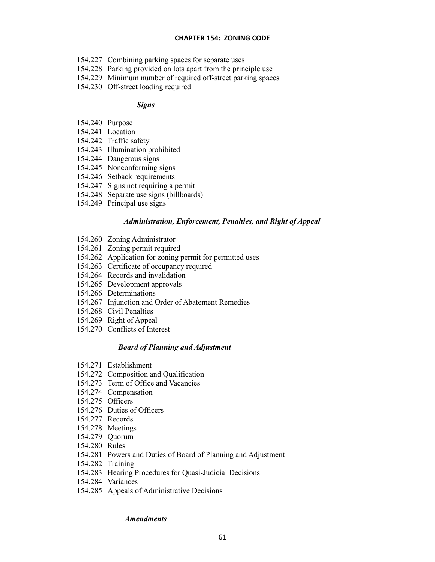- 154.227 Combining parking spaces for separate uses
- 154.228 Parking provided on lots apart from the principle use
- 154.229 Minimum number of required off-street parking spaces
- 154.230 Off-street loading required

## *Signs*

- 154.240 Purpose
- 154.241 Location
- 154.242 Traffic safety
- 154.243 Illumination prohibited
- 154.244 Dangerous signs
- 154.245 Nonconforming signs
- 154.246 Setback requirements
- 154.247 Signs not requiring a permit
- 154.248 Separate use signs (billboards)
- 154.249 Principal use signs

### *Administration, Enforcement, Penalties, and Right of Appeal*

- 154.260 Zoning Administrator
- 154.261 Zoning permit required
- 154.262 Application for zoning permit for permitted uses
- 154.263 Certificate of occupancy required
- 154.264 Records and invalidation
- 154.265 Development approvals
- 154.266 Determinations
- 154.267 Injunction and Order of Abatement Remedies
- 154.268 Civil Penalties
- 154.269 Right of Appeal
- 154.270 Conflicts of Interest

## *Board of Planning and Adjustment*

- 154.271 Establishment
- 154.272 Composition and Qualification
- 154.273 Term of Office and Vacancies
- 154.274 Compensation
- 154.275 Officers
- 154.276 Duties of Officers
- 154.277 Records
- 154.278 Meetings
- 154.279 Quorum
- 154.280 Rules
- 154.281 Powers and Duties of Board of Planning and Adjustment
- 154.282 Training
- 154.283 Hearing Procedures for Quasi-Judicial Decisions
- 154.284 Variances
- 154.285 Appeals of Administrative Decisions

## *Amendments*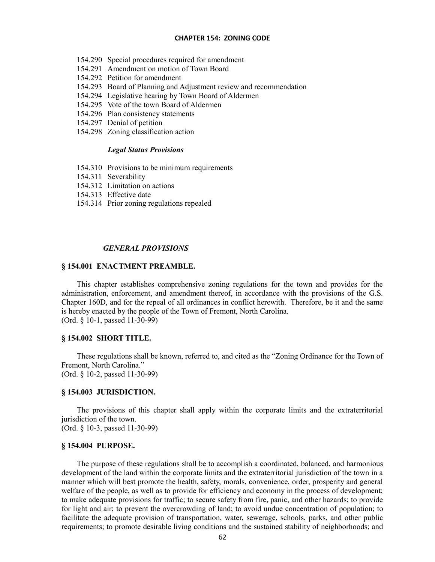- 154.290 Special procedures required for amendment
- 154.291 Amendment on motion of Town Board
- 154.292 Petition for amendment
- 154.293 Board of Planning and Adjustment review and recommendation
- 154.294 Legislative hearing by Town Board of Aldermen
- 154.295 Vote of the town Board of Aldermen
- 154.296 Plan consistency statements
- 154.297 Denial of petition
- 154.298 Zoning classification action

## *Legal Status Provisions*

- 154.310 Provisions to be minimum requirements
- 154.311 Severability
- 154.312 Limitation on actions
- 154.313 Effective date
- 154.314 Prior zoning regulations repealed

#### *GENERAL PROVISIONS*

## **§ 154.001 ENACTMENT PREAMBLE.**

This chapter establishes comprehensive zoning regulations for the town and provides for the administration, enforcement, and amendment thereof, in accordance with the provisions of the G.S. Chapter 160D, and for the repeal of all ordinances in conflict herewith. Therefore, be it and the same is hereby enacted by the people of the Town of Fremont, North Carolina. (Ord. § 10-1, passed 11-30-99)

### **§ 154.002 SHORT TITLE.**

These regulations shall be known, referred to, and cited as the "Zoning Ordinance for the Town of Fremont, North Carolina." (Ord. § 10-2, passed 11-30-99)

#### **§ 154.003 JURISDICTION.**

The provisions of this chapter shall apply within the corporate limits and the extraterritorial jurisdiction of the town.

(Ord. § 10-3, passed 11-30-99)

## **§ 154.004 PURPOSE.**

The purpose of these regulations shall be to accomplish a coordinated, balanced, and harmonious development of the land within the corporate limits and the extraterritorial jurisdiction of the town in a manner which will best promote the health, safety, morals, convenience, order, prosperity and general welfare of the people, as well as to provide for efficiency and economy in the process of development; to make adequate provisions for traffic; to secure safety from fire, panic, and other hazards; to provide for light and air; to prevent the overcrowding of land; to avoid undue concentration of population; to facilitate the adequate provision of transportation, water, sewerage, schools, parks, and other public requirements; to promote desirable living conditions and the sustained stability of neighborhoods; and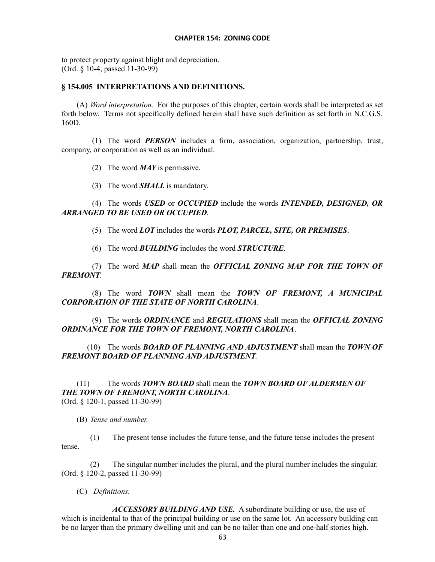to protect property against blight and depreciation. (Ord. § 10-4, passed 11-30-99)

## **§ 154.005 INTERPRETATIONS AND DEFINITIONS.**

(A) *Word interpretation.* For the purposes of this chapter, certain words shall be interpreted as set forth below. Terms not specifically defined herein shall have such definition as set forth in N.C.G.S. 160D.

(1) The word *PERSON* includes a firm, association, organization, partnership, trust, company, or corporation as well as an individual.

(2) The word *MAY* is permissive.

(3) The word *SHALL* is mandatory.

(4) The words *USED* or *OCCUPIED* include the words *INTENDED, DESIGNED, OR ARRANGED TO BE USED OR OCCUPIED*.

(5) The word *LOT* includes the words *PLOT, PARCEL, SITE, OR PREMISES*.

(6) The word *BUILDING* includes the word *STRUCTURE*.

(7) The word *MAP* shall mean the *OFFICIAL ZONING MAP FOR THE TOWN OF FREMONT*.

(8) The word *TOWN* shall mean the *TOWN OF FREMONT, A MUNICIPAL CORPORATION OF THE STATE OF NORTH CAROLINA*.

(9) The words *ORDINANCE* and *REGULATIONS* shall mean the *OFFICIAL ZONING ORDINANCE FOR THE TOWN OF FREMONT, NORTH CAROLINA*.

(10) The words *BOARD OF PLANNING AND ADJUSTMENT* shall mean the *TOWN OF FREMONT BOARD OF PLANNING AND ADJUSTMENT*.

(11) The words *TOWN BOARD* shall mean the *TOWN BOARD OF ALDERMEN OF THE TOWN OF FREMONT, NORTH CAROLINA*. (Ord. § 120-1, passed 11-30-99)

(B) *Tense and number.*

(1) The present tense includes the future tense, and the future tense includes the present tense.

The singular number includes the plural, and the plural number includes the singular. (Ord. § 120-2, passed 11-30-99)

(C) *Definitions.*

*ACCESSORY BUILDING AND USE.* A subordinate building or use, the use of which is incidental to that of the principal building or use on the same lot. An accessory building can be no larger than the primary dwelling unit and can be no taller than one and one-half stories high.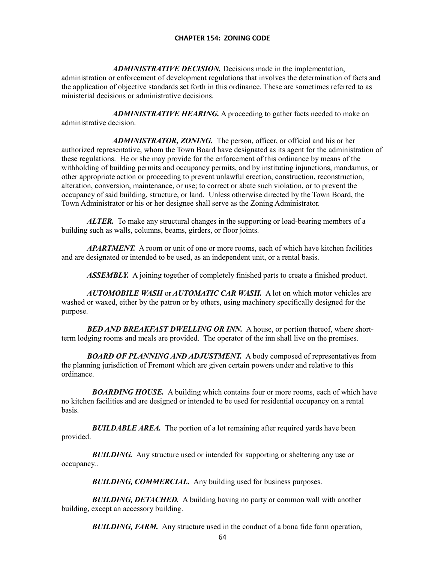*ADMINISTRATIVE DECISION.* Decisions made in the implementation, administration or enforcement of development regulations that involves the determination of facts and the application of objective standards set forth in this ordinance. These are sometimes referred to as ministerial decisions or administrative decisions.

ADMINISTRATIVE HEARING. A proceeding to gather facts needed to make an administrative decision.

ADMINISTRATOR, ZONING. The person, officer, or official and his or her authorized representative, whom the Town Board have designated as its agent for the administration of these regulations. He or she may provide for the enforcement of this ordinance by means of the withholding of building permits and occupancy permits, and by instituting injunctions, mandamus, or other appropriate action or proceeding to prevent unlawful erection, construction, reconstruction, alteration, conversion, maintenance, or use; to correct or abate such violation, or to prevent the occupancy of said building, structure, or land. Unless otherwise directed by the Town Board, the Town Administrator or his or her designee shall serve as the Zoning Administrator.

*ALTER.* To make any structural changes in the supporting or load-bearing members of a building such as walls, columns, beams, girders, or floor joints.

*APARTMENT.* A room or unit of one or more rooms, each of which have kitchen facilities and are designated or intended to be used, as an independent unit, or a rental basis.

*ASSEMBLY.* A joining together of completely finished parts to create a finished product.

*AUTOMOBILE WASH* or *AUTOMATIC CAR WASH.* A lot on which motor vehicles are washed or waxed, either by the patron or by others, using machinery specifically designed for the purpose.

*BED AND BREAKFAST DWELLING OR INN.* A house, or portion thereof, where shortterm lodging rooms and meals are provided. The operator of the inn shall live on the premises.

*BOARD OF PLANNING AND ADJUSTMENT.* A body composed of representatives from the planning jurisdiction of Fremont which are given certain powers under and relative to this ordinance.

*BOARDING HOUSE.* A building which contains four or more rooms, each of which have no kitchen facilities and are designed or intended to be used for residential occupancy on a rental basis.

**BUILDABLE AREA.** The portion of a lot remaining after required yards have been provided.

**BUILDING.** Any structure used or intended for supporting or sheltering any use or occupancy..

**BUILDING, COMMERCIAL.** Any building used for business purposes.

*BUILDING, DETACHED.* A building having no party or common wall with another building, except an accessory building.

**BUILDING, FARM.** Any structure used in the conduct of a bona fide farm operation,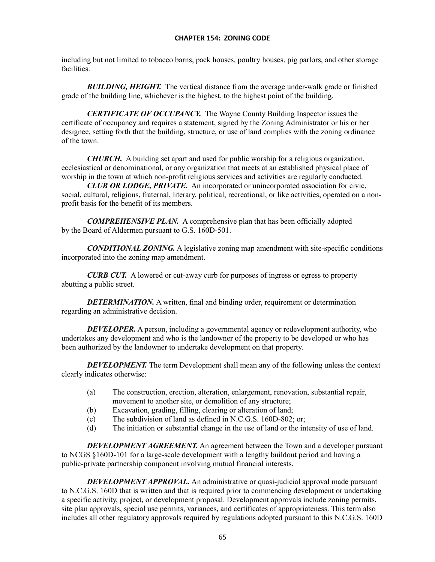including but not limited to tobacco barns, pack houses, poultry houses, pig parlors, and other storage facilities.

*BUILDING, HEIGHT.* The vertical distance from the average under-walk grade or finished grade of the building line, whichever is the highest, to the highest point of the building.

*CERTIFICATE OF OCCUPANCY.* The Wayne County Building Inspector issues the certificate of occupancy and requires a statement, signed by the Zoning Administrator or his or her designee, setting forth that the building, structure, or use of land complies with the zoning ordinance of the town.

*CHURCH.* A building set apart and used for public worship for a religious organization, ecclesiastical or denominational, or any organization that meets at an established physical place of worship in the town at which non-profit religious services and activities are regularly conducted.

*CLUB OR LODGE, PRIVATE.* An incorporated or unincorporated association for civic, social, cultural, religious, fraternal, literary, political, recreational, or like activities, operated on a nonprofit basis for the benefit of its members.

*COMPREHENSIVE PLAN.* A comprehensive plan that has been officially adopted by the Board of Aldermen pursuant to G.S. 160D-501.

*CONDITIONAL ZONING.* A legislative zoning map amendment with site-specific conditions incorporated into the zoning map amendment.

*CURB CUT.* A lowered or cut-away curb for purposes of ingress or egress to property abutting a public street.

*DETERMINATION.* A written, final and binding order, requirement or determination regarding an administrative decision.

*DEVELOPER.* A person, including a governmental agency or redevelopment authority, who undertakes any development and who is the landowner of the property to be developed or who has been authorized by the landowner to undertake development on that property.

*DEVELOPMENT*. The term Development shall mean any of the following unless the context clearly indicates otherwise:

- (a) The construction, erection, alteration, enlargement, renovation, substantial repair, movement to another site, or demolition of any structure;
- (b) Excavation, grading, filling, clearing or alteration of land;
- (c) The subdivision of land as defined in N.C.G.S. 160D-802; or;
- (d) The initiation or substantial change in the use of land or the intensity of use of land.

*DEVELOPMENT AGREEMENT.* An agreement between the Town and a developer pursuant to NCGS §160D-101 for a large-scale development with a lengthy buildout period and having a public-private partnership component involving mutual financial interests.

*DEVELOPMENT APPROVAL.* An administrative or quasi-judicial approval made pursuant to N.C.G.S. 160D that is written and that is required prior to commencing development or undertaking a specific activity, project, or development proposal. Development approvals include zoning permits, site plan approvals, special use permits, variances, and certificates of appropriateness. This term also includes all other regulatory approvals required by regulations adopted pursuant to this N.C.G.S. 160D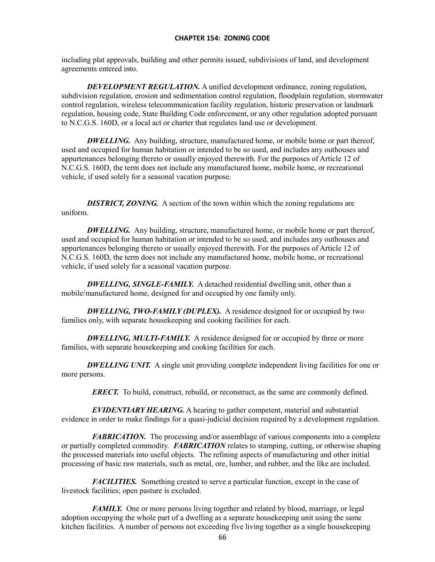including plat approvals, building and other permits issued, subdivisions of land, and development agreements entered into.

*DEVELOPMENT REGULATION.* A unified development ordinance, zoning regulation, subdivision regulation, erosion and sedimentation control regulation, floodplain regulation, stormwater control regulation, wireless telecommunication facility regulation, historic preservation or landmark regulation, housing code, State Building Code enforcement, or any other regulation adopted pursuant to N.C.G.S. 160D, or a local act or charter that regulates land use or development.

*DWELLING.* Any building, structure, manufactured home, or mobile home or part thereof, used and occupied for human habitation or intended to be so used, and includes any outhouses and appurtenances belonging thereto or usually enjoyed therewith. For the purposes of Article 12 of N.C.G.S. 160D, the term does not include any manufactured home, mobile home, or recreational vehicle, if used solely for a seasonal vacation purpose.

*DISTRICT, ZONING.* A section of the town within which the zoning regulations are uniform.

*DWELLING.* Any building, structure, manufactured home, or mobile home or part thereof, used and occupied for human habitation or intended to be so used, and includes any outhouses and appurtenances belonging thereto or usually enjoyed therewith. For the purposes of Article 12 of N.C.G.S. 160D, the term does not include any manufactured home, mobile home, or recreational vehicle, if used solely for a seasonal vacation purpose.

*DWELLING, SINGLE-FAMILY.* A detached residential dwelling unit, other than a mobile/manufactured home, designed for and occupied by one family only.

**DWELLING, TWO-FAMILY (DUPLEX).** A residence designed for or occupied by two families only, with separate housekeeping and cooking facilities for each.

**DWELLING, MULTI-FAMILY.** A residence designed for or occupied by three or more families, with separate housekeeping and cooking facilities for each.

*DWELLING UNIT.* A single unit providing complete independent living facilities for one or more persons.

*ERECT.* To build, construct, rebuild, or reconstruct, as the same are commonly defined.

*EVIDENTIARY HEARING.* A hearing to gather competent, material and substantial evidence in order to make findings for a quasi-judicial decision required by a development regulation.

*FABRICATION*. The processing and/or assemblage of various components into a complete or partially completed commodity. *FABRICATION* relates to stamping, cutting, or otherwise shaping the processed materials into useful objects. The refining aspects of manufacturing and other initial processing of basic raw materials, such as metal, ore, lumber, and rubber, and the like are included.

*FACILITIES.* Something created to serve a particular function, except in the case of livestock facilities; open pasture is excluded.

*FAMILY.* One or more persons living together and related by blood, marriage, or legal adoption occupying the whole part of a dwelling as a separate housekeeping unit using the same kitchen facilities. A number of persons not exceeding five living together as a single housekeeping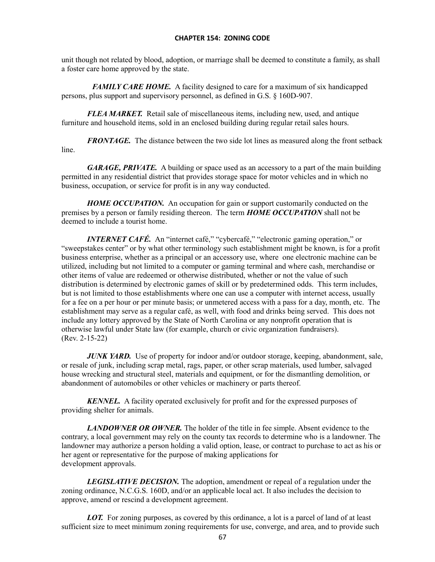unit though not related by blood, adoption, or marriage shall be deemed to constitute a family, as shall a foster care home approved by the state.

*FAMILY CARE HOME.* A facility designed to care for a maximum of six handicapped persons, plus support and supervisory personnel, as defined in G.S. § 160D-907.

*FLEA MARKET.* Retail sale of miscellaneous items, including new, used, and antique furniture and household items, sold in an enclosed building during regular retail sales hours.

*FRONTAGE.* The distance between the two side lot lines as measured along the front setback line.

GARAGE, PRIVATE. A building or space used as an accessory to a part of the main building permitted in any residential district that provides storage space for motor vehicles and in which no business, occupation, or service for profit is in any way conducted.

*HOME OCCUPATION.* An occupation for gain or support customarily conducted on the premises by a person or family residing thereon. The term *HOME OCCUPATION* shall not be deemed to include a tourist home.

*INTERNET CAFÉ.* An "internet café," "cybercafé," "electronic gaming operation," or "sweepstakes center" or by what other terminology such establishment might be known, is for a profit business enterprise, whether as a principal or an accessory use, where one electronic machine can be utilized, including but not limited to a computer or gaming terminal and where cash, merchandise or other items of value are redeemed or otherwise distributed, whether or not the value of such distribution is determined by electronic games of skill or by predetermined odds. This term includes, but is not limited to those establishments where one can use a computer with internet access, usually for a fee on a per hour or per minute basis; or unmetered access with a pass for a day, month, etc. The establishment may serve as a regular café, as well, with food and drinks being served. This does not include any lottery approved by the State of North Carolina or any nonprofit operation that is otherwise lawful under State law (for example, church or civic organization fundraisers). (Rev. 2-15-22)

*JUNK YARD.* Use of property for indoor and/or outdoor storage, keeping, abandonment, sale, or resale of junk, including scrap metal, rags, paper, or other scrap materials, used lumber, salvaged house wrecking and structural steel, materials and equipment, or for the dismantling demolition, or abandonment of automobiles or other vehicles or machinery or parts thereof.

*KENNEL.* A facility operated exclusively for profit and for the expressed purposes of providing shelter for animals.

*LANDOWNER OR OWNER.* The holder of the title in fee simple. Absent evidence to the contrary, a local government may rely on the county tax records to determine who is a landowner. The landowner may authorize a person holding a valid option, lease, or contract to purchase to act as his or her agent or representative for the purpose of making applications for development approvals.

*LEGISLATIVE DECISION.* The adoption, amendment or repeal of a regulation under the zoning ordinance, N.C.G.S. 160D, and/or an applicable local act. It also includes the decision to approve, amend or rescind a development agreement.

*LOT.* For zoning purposes, as covered by this ordinance, a lot is a parcel of land of at least sufficient size to meet minimum zoning requirements for use, converge, and area, and to provide such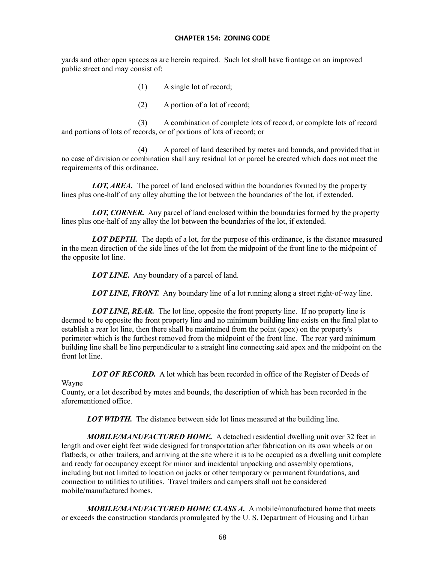yards and other open spaces as are herein required. Such lot shall have frontage on an improved public street and may consist of:

- (1) A single lot of record;
- (2) A portion of a lot of record;

(3) A combination of complete lots of record, or complete lots of record and portions of lots of records, or of portions of lots of record; or

(4) A parcel of land described by metes and bounds, and provided that in no case of division or combination shall any residual lot or parcel be created which does not meet the requirements of this ordinance.

*LOT, AREA.* The parcel of land enclosed within the boundaries formed by the property lines plus one-half of any alley abutting the lot between the boundaries of the lot, if extended.

*LOT, CORNER.* Any parcel of land enclosed within the boundaries formed by the property lines plus one-half of any alley the lot between the boundaries of the lot, if extended.

*LOT DEPTH.* The depth of a lot, for the purpose of this ordinance, is the distance measured in the mean direction of the side lines of the lot from the midpoint of the front line to the midpoint of the opposite lot line.

*LOT LINE.* Any boundary of a parcel of land.

*LOT LINE, FRONT.* Any boundary line of a lot running along a street right-of-way line.

*LOT LINE, REAR.* The lot line, opposite the front property line. If no property line is deemed to be opposite the front property line and no minimum building line exists on the final plat to establish a rear lot line, then there shall be maintained from the point (apex) on the property's perimeter which is the furthest removed from the midpoint of the front line. The rear yard minimum building line shall be line perpendicular to a straight line connecting said apex and the midpoint on the front lot line.

**LOT OF RECORD.** A lot which has been recorded in office of the Register of Deeds of

## Wayne

County, or a lot described by metes and bounds, the description of which has been recorded in the aforementioned office.

*LOT WIDTH.* The distance between side lot lines measured at the building line.

*MOBILE/MANUFACTURED HOME.* A detached residential dwelling unit over 32 feet in length and over eight feet wide designed for transportation after fabrication on its own wheels or on flatbeds, or other trailers, and arriving at the site where it is to be occupied as a dwelling unit complete and ready for occupancy except for minor and incidental unpacking and assembly operations, including but not limited to location on jacks or other temporary or permanent foundations, and connection to utilities to utilities. Travel trailers and campers shall not be considered mobile/manufactured homes.

*MOBILE/MANUFACTURED HOME CLASS A.* A mobile/manufactured home that meets or exceeds the construction standards promulgated by the U. S. Department of Housing and Urban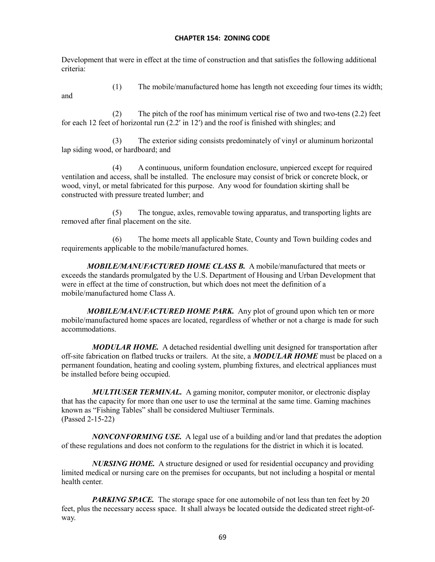Development that were in effect at the time of construction and that satisfies the following additional criteria:

and

(1) The mobile/manufactured home has length not exceeding four times its width;

(2) The pitch of the roof has minimum vertical rise of two and two-tens (2.2) feet for each 12 feet of horizontal run (2.2ʹ in 12ʹ) and the roof is finished with shingles; and

(3) The exterior siding consists predominately of vinyl or aluminum horizontal lap siding wood, or hardboard; and

(4) A continuous, uniform foundation enclosure, unpierced except for required ventilation and access, shall be installed. The enclosure may consist of brick or concrete block, or wood, vinyl, or metal fabricated for this purpose. Any wood for foundation skirting shall be constructed with pressure treated lumber; and

(5) The tongue, axles, removable towing apparatus, and transporting lights are removed after final placement on the site.

(6) The home meets all applicable State, County and Town building codes and requirements applicable to the mobile/manufactured homes.

*MOBILE/MANUFACTURED HOME CLASS B.* A mobile/manufactured that meets or exceeds the standards promulgated by the U.S. Department of Housing and Urban Development that were in effect at the time of construction, but which does not meet the definition of a mobile/manufactured home Class A.

*MOBILE/MANUFACTURED HOME PARK.* Any plot of ground upon which ten or more mobile/manufactured home spaces are located, regardless of whether or not a charge is made for such accommodations.

*MODULAR HOME.* A detached residential dwelling unit designed for transportation after off-site fabrication on flatbed trucks or trailers. At the site, a *MODULAR HOME* must be placed on a permanent foundation, heating and cooling system, plumbing fixtures, and electrical appliances must be installed before being occupied.

*MULTIUSER TERMINAL.* A gaming monitor, computer monitor, or electronic display that has the capacity for more than one user to use the terminal at the same time. Gaming machines known as "Fishing Tables" shall be considered Multiuser Terminals. (Passed 2-15-22)

*NONCONFORMING USE.* A legal use of a building and/or land that predates the adoption of these regulations and does not conform to the regulations for the district in which it is located.

*NURSING HOME.* A structure designed or used for residential occupancy and providing limited medical or nursing care on the premises for occupants, but not including a hospital or mental health center.

PARKING SPACE. The storage space for one automobile of not less than ten feet by 20 feet, plus the necessary access space. It shall always be located outside the dedicated street right-ofway.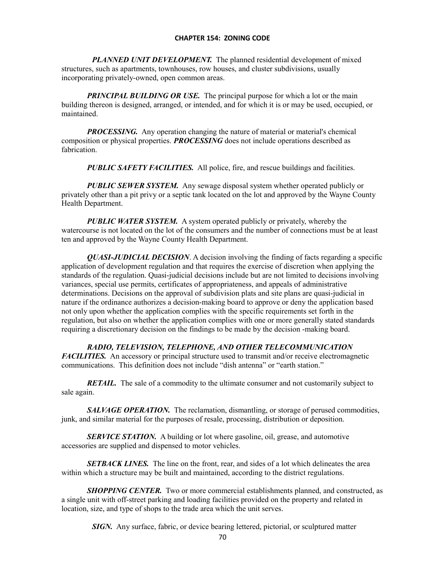*PLANNED UNIT DEVELOPMENT.* The planned residential development of mixed structures, such as apartments, townhouses, row houses, and cluster subdivisions, usually incorporating privately-owned, open common areas.

*PRINCIPAL BUILDING OR USE.* The principal purpose for which a lot or the main building thereon is designed, arranged, or intended, and for which it is or may be used, occupied, or maintained.

*PROCESSING.* Any operation changing the nature of material or material's chemical composition or physical properties. *PROCESSING* does not include operations described as fabrication.

*PUBLIC SAFETY FACILITIES.* All police, fire, and rescue buildings and facilities.

*PUBLIC SEWER SYSTEM.* Any sewage disposal system whether operated publicly or privately other than a pit privy or a septic tank located on the lot and approved by the Wayne County Health Department.

*PUBLIC WATER SYSTEM.* A system operated publicly or privately, whereby the watercourse is not located on the lot of the consumers and the number of connections must be at least ten and approved by the Wayne County Health Department.

*QUASI-JUDICIAL DECISION*. A decision involving the finding of facts regarding a specific application of development regulation and that requires the exercise of discretion when applying the standards of the regulation. Quasi-judicial decisions include but are not limited to decisions involving variances, special use permits, certificates of appropriateness, and appeals of administrative determinations. Decisions on the approval of subdivision plats and site plans are quasi-judicial in nature if the ordinance authorizes a decision-making board to approve or deny the application based not only upon whether the application complies with the specific requirements set forth in the regulation, but also on whether the application complies with one or more generally stated standards requiring a discretionary decision on the findings to be made by the decision -making board.

## *RADIO, TELEVISION, TELEPHONE, AND OTHER TELECOMMUNICATION*

*FACILITIES.* An accessory or principal structure used to transmit and/or receive electromagnetic communications. This definition does not include "dish antenna" or "earth station."

*RETAIL.* The sale of a commodity to the ultimate consumer and not customarily subject to sale again.

*SALVAGE OPERATION*. The reclamation, dismantling, or storage of perused commodities, junk, and similar material for the purposes of resale, processing, distribution or deposition.

**SERVICE STATION.** A building or lot where gasoline, oil, grease, and automotive accessories are supplied and dispensed to motor vehicles.

*SETBACK LINES.* The line on the front, rear, and sides of a lot which delineates the area within which a structure may be built and maintained, according to the district regulations.

*SHOPPING CENTER.* Two or more commercial establishments planned, and constructed, as a single unit with off-street parking and loading facilities provided on the property and related in location, size, and type of shops to the trade area which the unit serves.

*SIGN*. Any surface, fabric, or device bearing lettered, pictorial, or sculptured matter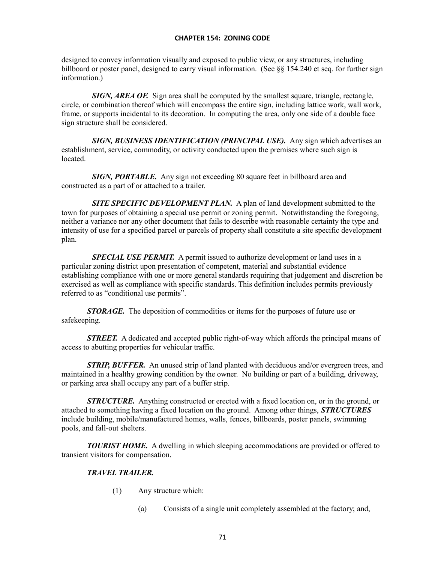designed to convey information visually and exposed to public view, or any structures, including billboard or poster panel, designed to carry visual information. (See §§ 154.240 et seq. for further sign information.)

*SIGN, AREA OF.* Sign area shall be computed by the smallest square, triangle, rectangle, circle, or combination thereof which will encompass the entire sign, including lattice work, wall work, frame, or supports incidental to its decoration. In computing the area, only one side of a double face sign structure shall be considered.

*SIGN, BUSINESS IDENTIFICATION (PRINCIPAL USE).* Any sign which advertises an establishment, service, commodity, or activity conducted upon the premises where such sign is located.

*SIGN, PORTABLE.* Any sign not exceeding 80 square feet in billboard area and constructed as a part of or attached to a trailer.

*SITE SPECIFIC DEVELOPMENT PLAN.* A plan of land development submitted to the town for purposes of obtaining a special use permit or zoning permit. Notwithstanding the foregoing, neither a variance nor any other document that fails to describe with reasonable certainty the type and intensity of use for a specified parcel or parcels of property shall constitute a site specific development plan.

**SPECIAL USE PERMIT.** A permit issued to authorize development or land uses in a particular zoning district upon presentation of competent, material and substantial evidence establishing compliance with one or more general standards requiring that judgement and discretion be exercised as well as compliance with specific standards. This definition includes permits previously referred to as "conditional use permits".

*STORAGE.* The deposition of commodities or items for the purposes of future use or safekeeping.

**STREET.** A dedicated and accepted public right-of-way which affords the principal means of access to abutting properties for vehicular traffic.

*STRIP, BUFFER.* An unused strip of land planted with deciduous and/or evergreen trees, and maintained in a healthy growing condition by the owner. No building or part of a building, driveway, or parking area shall occupy any part of a buffer strip.

*STRUCTURE.* Anything constructed or erected with a fixed location on, or in the ground, or attached to something having a fixed location on the ground. Among other things, *STRUCTURES* include building, mobile/manufactured homes, walls, fences, billboards, poster panels, swimming pools, and fall-out shelters.

*TOURIST HOME.* A dwelling in which sleeping accommodations are provided or offered to transient visitors for compensation.

# *TRAVEL TRAILER.*

- (1) Any structure which:
	- (a) Consists of a single unit completely assembled at the factory; and,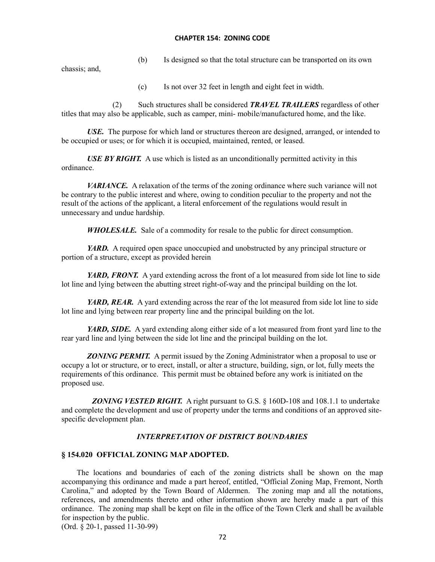(b) Is designed so that the total structure can be transported on its own

chassis; and,

(c) Is not over 32 feet in length and eight feet in width.

(2) Such structures shall be considered *TRAVEL TRAILERS* regardless of other titles that may also be applicable, such as camper, mini- mobile/manufactured home, and the like.

*USE.* The purpose for which land or structures thereon are designed, arranged, or intended to be occupied or uses; or for which it is occupied, maintained, rented, or leased.

*USE BY RIGHT.* A use which is listed as an unconditionally permitted activity in this ordinance.

*VARIANCE.* A relaxation of the terms of the zoning ordinance where such variance will not be contrary to the public interest and where, owing to condition peculiar to the property and not the result of the actions of the applicant, a literal enforcement of the regulations would result in unnecessary and undue hardship.

*WHOLESALE.* Sale of a commodity for resale to the public for direct consumption.

*YARD.* A required open space unoccupied and unobstructed by any principal structure or portion of a structure, except as provided herein

*YARD, FRONT.* A yard extending across the front of a lot measured from side lot line to side lot line and lying between the abutting street right-of-way and the principal building on the lot.

*YARD, REAR.* A yard extending across the rear of the lot measured from side lot line to side lot line and lying between rear property line and the principal building on the lot.

*YARD, SIDE.* A yard extending along either side of a lot measured from front yard line to the rear yard line and lying between the side lot line and the principal building on the lot.

*ZONING PERMIT.* A permit issued by the Zoning Administrator when a proposal to use or occupy a lot or structure, or to erect, install, or alter a structure, building, sign, or lot, fully meets the requirements of this ordinance. This permit must be obtained before any work is initiated on the proposed use.

**ZONING VESTED RIGHT.** A right pursuant to G.S. § 160D-108 and 108.1.1 to undertake and complete the development and use of property under the terms and conditions of an approved sitespecific development plan.

## *INTERPRETATION OF DISTRICT BOUNDARIES*

## **§ 154.020 OFFICIAL ZONING MAP ADOPTED.**

The locations and boundaries of each of the zoning districts shall be shown on the map accompanying this ordinance and made a part hereof, entitled, "Official Zoning Map, Fremont, North Carolina," and adopted by the Town Board of Aldermen. The zoning map and all the notations, references, and amendments thereto and other information shown are hereby made a part of this ordinance. The zoning map shall be kept on file in the office of the Town Clerk and shall be available for inspection by the public.

(Ord. § 20-1, passed 11-30-99)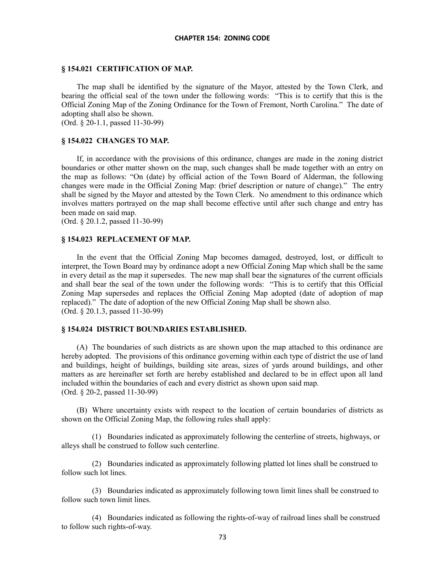#### **§ 154.021 CERTIFICATION OF MAP.**

The map shall be identified by the signature of the Mayor, attested by the Town Clerk, and bearing the official seal of the town under the following words: "This is to certify that this is the Official Zoning Map of the Zoning Ordinance for the Town of Fremont, North Carolina." The date of adopting shall also be shown.

(Ord. § 20-1.1, passed 11-30-99)

## **§ 154.022 CHANGES TO MAP.**

If, in accordance with the provisions of this ordinance, changes are made in the zoning district boundaries or other matter shown on the map, such changes shall be made together with an entry on the map as follows: "On (date) by official action of the Town Board of Alderman, the following changes were made in the Official Zoning Map: (brief description or nature of change)." The entry shall be signed by the Mayor and attested by the Town Clerk. No amendment to this ordinance which involves matters portrayed on the map shall become effective until after such change and entry has been made on said map.

(Ord. § 20.1.2, passed 11-30-99)

#### **§ 154.023 REPLACEMENT OF MAP.**

In the event that the Official Zoning Map becomes damaged, destroyed, lost, or difficult to interpret, the Town Board may by ordinance adopt a new Official Zoning Map which shall be the same in every detail as the map it supersedes. The new map shall bear the signatures of the current officials and shall bear the seal of the town under the following words: "This is to certify that this Official Zoning Map supersedes and replaces the Official Zoning Map adopted (date of adoption of map replaced)." The date of adoption of the new Official Zoning Map shall be shown also. (Ord. § 20.1.3, passed 11-30-99)

#### **§ 154.024 DISTRICT BOUNDARIES ESTABLISHED.**

(A) The boundaries of such districts as are shown upon the map attached to this ordinance are hereby adopted. The provisions of this ordinance governing within each type of district the use of land and buildings, height of buildings, building site areas, sizes of yards around buildings, and other matters as are hereinafter set forth are hereby established and declared to be in effect upon all land included within the boundaries of each and every district as shown upon said map. (Ord. § 20-2, passed 11-30-99)

(B) Where uncertainty exists with respect to the location of certain boundaries of districts as shown on the Official Zoning Map, the following rules shall apply:

(1) Boundaries indicated as approximately following the centerline of streets, highways, or alleys shall be construed to follow such centerline.

(2) Boundaries indicated as approximately following platted lot lines shall be construed to follow such lot lines.

(3) Boundaries indicated as approximately following town limit lines shall be construed to follow such town limit lines.

(4) Boundaries indicated as following the rights-of-way of railroad lines shall be construed to follow such rights-of-way.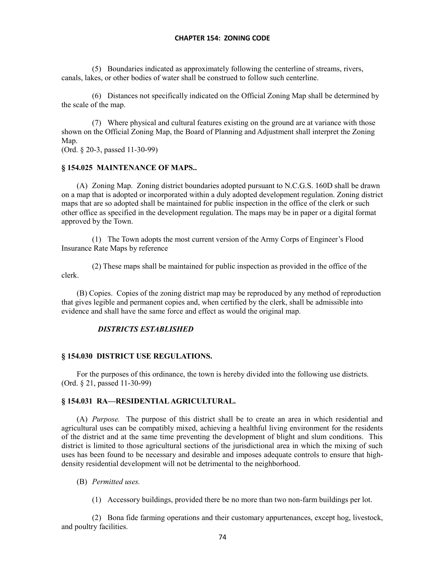(5) Boundaries indicated as approximately following the centerline of streams, rivers, canals, lakes, or other bodies of water shall be construed to follow such centerline.

(6) Distances not specifically indicated on the Official Zoning Map shall be determined by the scale of the map.

(7) Where physical and cultural features existing on the ground are at variance with those shown on the Official Zoning Map, the Board of Planning and Adjustment shall interpret the Zoning Map.

(Ord. § 20-3, passed 11-30-99)

## **§ 154.025 MAINTENANCE OF MAPS..**

(A) Zoning Map. Zoning district boundaries adopted pursuant to N.C.G.S. 160D shall be drawn on a map that is adopted or incorporated within a duly adopted development regulation. Zoning district maps that are so adopted shall be maintained for public inspection in the office of the clerk or such other office as specified in the development regulation. The maps may be in paper or a digital format approved by the Town.

(1) The Town adopts the most current version of the Army Corps of Engineer's Flood Insurance Rate Maps by reference

(2) These maps shall be maintained for public inspection as provided in the office of the clerk.

(B) Copies. Copies of the zoning district map may be reproduced by any method of reproduction that gives legible and permanent copies and, when certified by the clerk, shall be admissible into evidence and shall have the same force and effect as would the original map.

## *DISTRICTS ESTABLISHED*

### **§ 154.030 DISTRICT USE REGULATIONS.**

For the purposes of this ordinance, the town is hereby divided into the following use districts. (Ord. § 21, passed 11-30-99)

### **§ 154.031 RA—RESIDENTIAL AGRICULTURAL.**

(A) *Purpose.* The purpose of this district shall be to create an area in which residential and agricultural uses can be compatibly mixed, achieving a healthful living environment for the residents of the district and at the same time preventing the development of blight and slum conditions. This district is limited to those agricultural sections of the jurisdictional area in which the mixing of such uses has been found to be necessary and desirable and imposes adequate controls to ensure that highdensity residential development will not be detrimental to the neighborhood.

## (B) *Permitted uses.*

(1) Accessory buildings, provided there be no more than two non-farm buildings per lot.

(2) Bona fide farming operations and their customary appurtenances, except hog, livestock, and poultry facilities.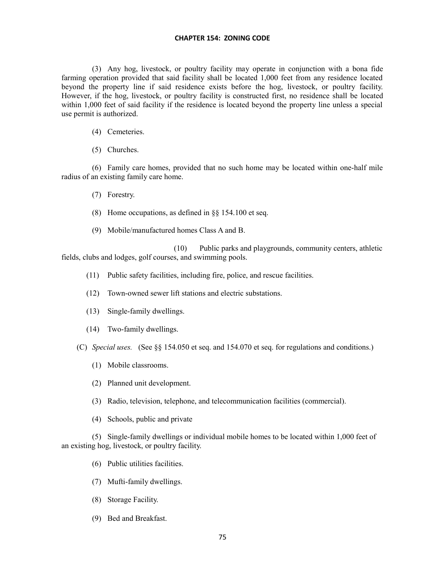(3) Any hog, livestock, or poultry facility may operate in conjunction with a bona fide farming operation provided that said facility shall be located 1,000 feet from any residence located beyond the property line if said residence exists before the hog, livestock, or poultry facility. However, if the hog, livestock, or poultry facility is constructed first, no residence shall be located within 1,000 feet of said facility if the residence is located beyond the property line unless a special use permit is authorized.

- (4) Cemeteries.
- (5) Churches.

(6) Family care homes, provided that no such home may be located within one-half mile radius of an existing family care home.

- (7) Forestry.
- (8) Home occupations, as defined in §§ 154.100 et seq.
- (9) Mobile/manufactured homes Class A and B.

(10) Public parks and playgrounds, community centers, athletic fields, clubs and lodges, golf courses, and swimming pools.

- (11) Public safety facilities, including fire, police, and rescue facilities.
- (12) Town-owned sewer lift stations and electric substations.
- (13) Single-family dwellings.
- (14) Two-family dwellings.

(C) *Special uses.* (See §§ 154.050 et seq. and 154.070 et seq. for regulations and conditions.)

- (1) Mobile classrooms.
- (2) Planned unit development.
- (3) Radio, television, telephone, and telecommunication facilities (commercial).
- (4) Schools, public and private

(5) Single-family dwellings or individual mobile homes to be located within 1,000 feet of an existing hog, livestock, or poultry facility.

- (6) Public utilities facilities.
- (7) Mufti-family dwellings.
- (8) Storage Facility.
- (9) Bed and Breakfast.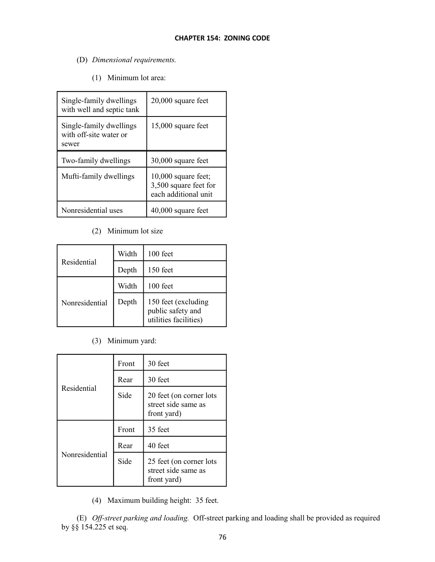- (D) *Dimensional requirements.*
	- (1) Minimum lot area:

| Single-family dwellings<br>with well and septic tank       | 20,000 square feet                                                     |
|------------------------------------------------------------|------------------------------------------------------------------------|
| Single-family dwellings<br>with off-site water or<br>sewer | 15,000 square feet                                                     |
|                                                            |                                                                        |
| Two-family dwellings                                       | 30,000 square feet                                                     |
| Mufti-family dwellings                                     | $10,000$ square feet;<br>3,500 square feet for<br>each additional unit |

# (2) Minimum lot size

|                | Width | $100$ feet                                                        |
|----------------|-------|-------------------------------------------------------------------|
| Residential    | Depth | $150$ feet                                                        |
|                | Width | $100$ feet                                                        |
| Nonresidential | Depth | 150 feet (excluding<br>public safety and<br>utilities facilities) |

(3) Minimum yard:

|                | Front | 30 feet                                                       |
|----------------|-------|---------------------------------------------------------------|
|                | Rear  | 30 feet                                                       |
| Residential    | Side  | 20 feet (on corner lots<br>street side same as<br>front yard) |
|                | Front | 35 feet                                                       |
| Nonresidential | Rear  | 40 feet                                                       |
|                |       |                                                               |

(4) Maximum building height: 35 feet.

(E) *Off-street parking and loading.* Off-street parking and loading shall be provided as required by §§ 154.225 et seq.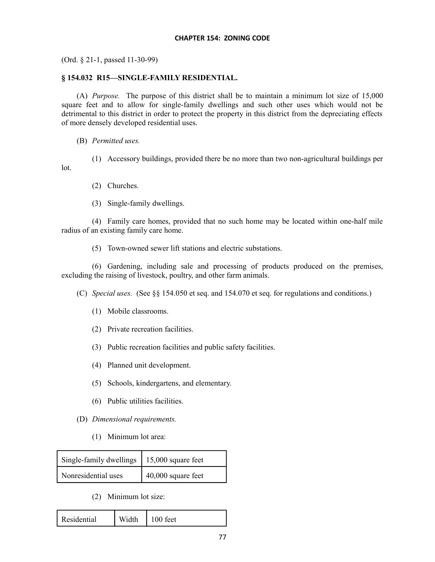(Ord. § 21-1, passed 11-30-99)

## **§ 154.032 R15—SINGLE-FAMILY RESIDENTIAL.**

(A) *Purpose.* The purpose of this district shall be to maintain a minimum lot size of 15,000 square feet and to allow for single-family dwellings and such other uses which would not be detrimental to this district in order to protect the property in this district from the depreciating effects of more densely developed residential uses.

(B) *Permitted uses.*

lot.

(1) Accessory buildings, provided there be no more than two non-agricultural buildings per

- (2) Churches.
- (3) Single-family dwellings.

(4) Family care homes, provided that no such home may be located within one-half mile radius of an existing family care home.

(5) Town-owned sewer lift stations and electric substations.

(6) Gardening, including sale and processing of products produced on the premises, excluding the raising of livestock, poultry, and other farm animals.

(C) *Special uses.* (See §§ 154.050 et seq. and 154.070 et seq. for regulations and conditions.)

- (1) Mobile classrooms.
- (2) Private recreation facilities.
- (3) Public recreation facilities and public safety facilities.
- (4) Planned unit development.
- (5) Schools, kindergartens, and elementary.
- (6) Public utilities facilities.
- (D) *Dimensional requirements.*
	- (1) Minimum lot area:

| Single-family dwellings   15,000 square feet |                      |
|----------------------------------------------|----------------------|
| Nonresidential uses                          | $40,000$ square feet |

(2) Minimum lot size:

| Residential | Width | 100 feet |  |
|-------------|-------|----------|--|
|-------------|-------|----------|--|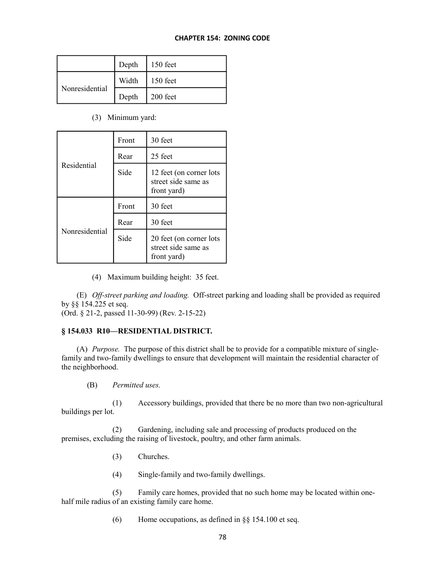|                | Depth | $150$ feet |
|----------------|-------|------------|
|                | Width | $150$ feet |
| Nonresidential | Depth | 200 feet   |

(3) Minimum yard:

|                | Front | 30 feet                                                       |
|----------------|-------|---------------------------------------------------------------|
|                | Rear  | 25 feet                                                       |
| Residential    | Side  | 12 feet (on corner lots<br>street side same as<br>front yard) |
|                | Front | 30 feet                                                       |
|                |       |                                                               |
| Nonresidential | Rear  | 30 feet                                                       |

(4) Maximum building height: 35 feet.

(E) *Off-street parking and loading.* Off-street parking and loading shall be provided as required by §§ 154.225 et seq.

(Ord. § 21-2, passed 11-30-99) (Rev. 2-15-22)

## **§ 154.033 R10—RESIDENTIAL DISTRICT.**

(A) *Purpose.* The purpose of this district shall be to provide for a compatible mixture of singlefamily and two-family dwellings to ensure that development will maintain the residential character of the neighborhood.

(B) *Permitted uses.*

(1) Accessory buildings, provided that there be no more than two non-agricultural buildings per lot.

(2) Gardening, including sale and processing of products produced on the premises, excluding the raising of livestock, poultry, and other farm animals.

- (3) Churches.
- (4) Single-family and two-family dwellings.

(5) Family care homes, provided that no such home may be located within onehalf mile radius of an existing family care home.

(6) Home occupations, as defined in  $\S$ § 154.100 et seq.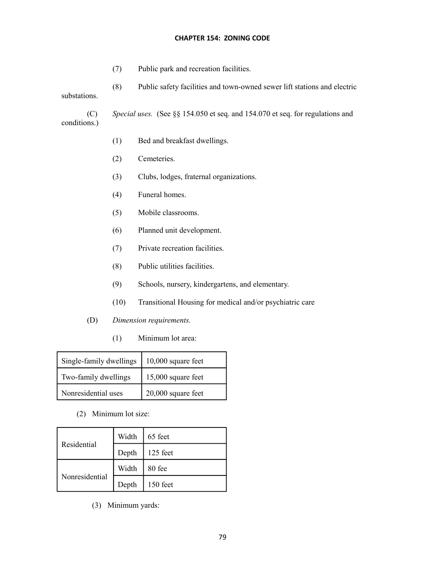- (7) Public park and recreation facilities.
- (8) Public safety facilities and town-owned sewer lift stations and electric substations.

(C) *Special uses.* (See §§ 154.050 et seq. and 154.070 et seq. for regulations and conditions.)

- (1) Bed and breakfast dwellings.
- (2) Cemeteries.
- (3) Clubs, lodges, fraternal organizations.
- (4) Funeral homes.
- (5) Mobile classrooms.
- (6) Planned unit development.
- (7) Private recreation facilities.
- (8) Public utilities facilities.
- (9) Schools, nursery, kindergartens, and elementary.
- (10) Transitional Housing for medical and/or psychiatric care
- (D) *Dimension requirements.*
	- (1) Minimum lot area:

| Single-family dwellings | $10,000$ square feet |
|-------------------------|----------------------|
| Two-family dwellings    | 15,000 square feet   |
| Nonresidential uses     | $20,000$ square feet |

(2) Minimum lot size:

|                | Width | 65 feet  |
|----------------|-------|----------|
| Residential    | Depth | 125 feet |
|                | Width | 80 fee   |
| Nonresidential | Depth | 150 feet |

(3) Minimum yards: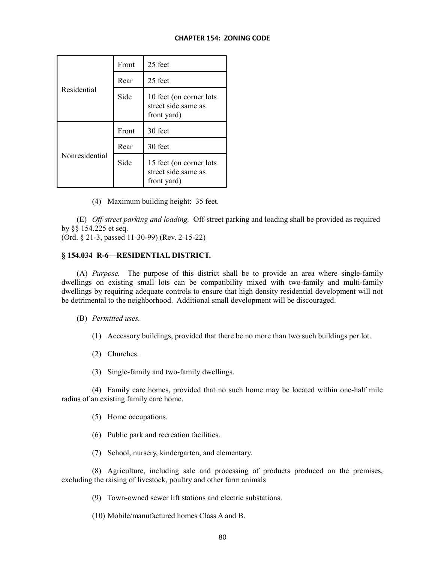|                | Front | 25 feet                                                       |
|----------------|-------|---------------------------------------------------------------|
|                | Rear  | 25 feet                                                       |
| Residential    | Side  | 10 feet (on corner lots<br>street side same as<br>front yard) |
|                |       |                                                               |
|                | Front | 30 feet                                                       |
| Nonresidential | Rear  | 30 feet                                                       |

(4) Maximum building height: 35 feet.

(E) *Off-street parking and loading.* Off-street parking and loading shall be provided as required by §§ 154.225 et seq.

(Ord. § 21-3, passed 11-30-99) (Rev. 2-15-22)

# **§ 154.034 R-6—RESIDENTIAL DISTRICT.**

(A) *Purpose.* The purpose of this district shall be to provide an area where single-family dwellings on existing small lots can be compatibility mixed with two-family and multi-family dwellings by requiring adequate controls to ensure that high density residential development will not be detrimental to the neighborhood. Additional small development will be discouraged.

(B) *Permitted uses.*

- (1) Accessory buildings, provided that there be no more than two such buildings per lot.
- (2) Churches.
- (3) Single-family and two-family dwellings.

(4) Family care homes, provided that no such home may be located within one-half mile radius of an existing family care home.

- (5) Home occupations.
- (6) Public park and recreation facilities.
- (7) School, nursery, kindergarten, and elementary.

(8) Agriculture, including sale and processing of products produced on the premises, excluding the raising of livestock, poultry and other farm animals

(9) Town-owned sewer lift stations and electric substations.

(10) Mobile/manufactured homes Class A and B.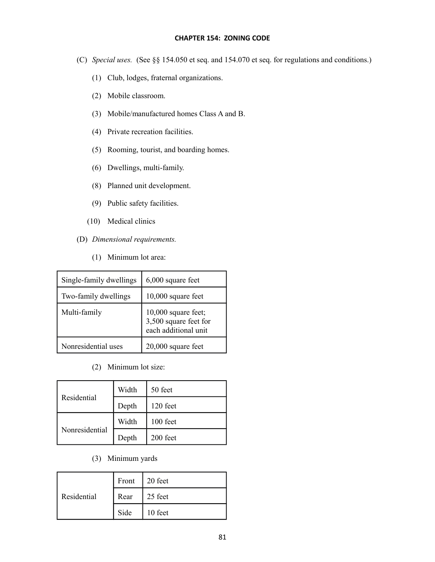- (C) *Special uses.* (See §§ 154.050 et seq. and 154.070 et seq. for regulations and conditions.)
	- (1) Club, lodges, fraternal organizations.
	- (2) Mobile classroom.
	- (3) Mobile/manufactured homes Class A and B.
	- (4) Private recreation facilities.
	- (5) Rooming, tourist, and boarding homes.
	- (6) Dwellings, multi-family.
	- (8) Planned unit development.
	- (9) Public safety facilities.
	- (10) Medical clinics
- (D) *Dimensional requirements.*
	- (1) Minimum lot area:

| Single-family dwellings | 6,000 square feet                                                    |
|-------------------------|----------------------------------------------------------------------|
| Two-family dwellings    | $10,000$ square feet                                                 |
| Multi-family            | 10,000 square feet;<br>3,500 square feet for<br>each additional unit |
| Nonresidential uses     | $20,000$ square feet                                                 |

(2) Minimum lot size:

|                | Width | 50 feet    |
|----------------|-------|------------|
| Residential    | Depth | $120$ feet |
|                | Width | 100 feet   |
| Nonresidential | Depth | 200 feet   |

(3) Minimum yards

| Residential |      | Front 20 feet   |
|-------------|------|-----------------|
|             | Rear | $\vert$ 25 feet |
|             | Side | $\vert$ 10 feet |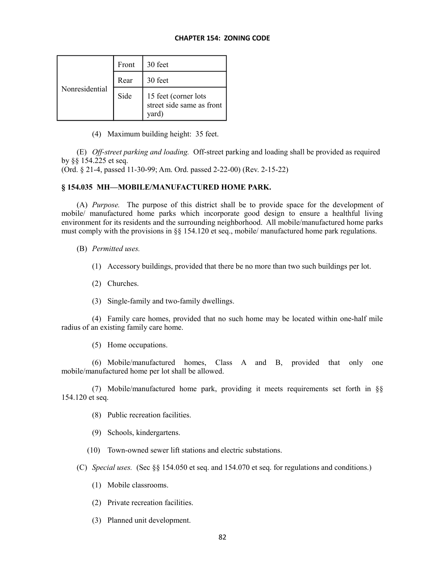| Nonresidential | Front | 30 feet                                                    |
|----------------|-------|------------------------------------------------------------|
|                | Rear  | 30 feet                                                    |
|                | Side  | 15 feet (corner lots<br>street side same as front<br>yard) |

(4) Maximum building height: 35 feet.

(E) *Off-street parking and loading.* Off-street parking and loading shall be provided as required by §§ 154.225 et seq.

(Ord. § 21-4, passed 11-30-99; Am. Ord. passed 2-22-00) (Rev. 2-15-22)

## **§ 154.035 MH—MOBILE/MANUFACTURED HOME PARK.**

(A) *Purpose.* The purpose of this district shall be to provide space for the development of mobile/ manufactured home parks which incorporate good design to ensure a healthful living environment for its residents and the surrounding neighborhood. All mobile/manufactured home parks must comply with the provisions in  $\S$  154.120 et seq., mobile/ manufactured home park regulations.

(B) *Permitted uses.*

- (1) Accessory buildings, provided that there be no more than two such buildings per lot.
- (2) Churches.
- (3) Single-family and two-family dwellings.

(4) Family care homes, provided that no such home may be located within one-half mile radius of an existing family care home.

(5) Home occupations.

(6) Mobile/manufactured homes, Class A and B, provided that only one mobile/manufactured home per lot shall be allowed.

(7) Mobile/manufactured home park, providing it meets requirements set forth in §§ 154.120 et seq.

- (8) Public recreation facilities.
- (9) Schools, kindergartens.
- (10) Town-owned sewer lift stations and electric substations.

(C) *Special uses.* (Sec §§ 154.050 et seq. and 154.070 et seq. for regulations and conditions.)

- (1) Mobile classrooms.
- (2) Private recreation facilities.
- (3) Planned unit development.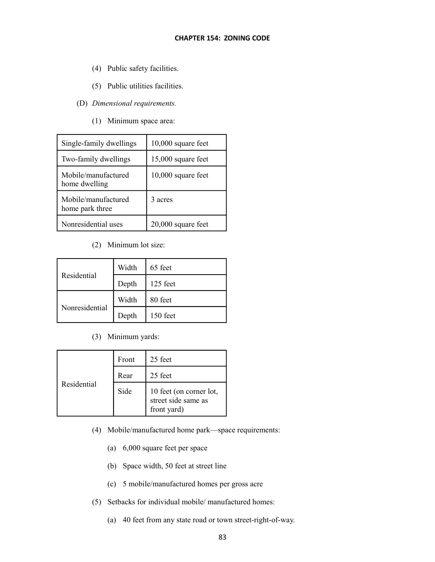- (4) Public safety facilities.
- (5) Public utilities facilities.
- (D) *Dimensional requirements.*
	- (1) Minimum space area:

| Single-family dwellings                | 10,000 square feet   |
|----------------------------------------|----------------------|
| Two-family dwellings                   | 15,000 square feet   |
| Mobile/manufactured<br>home dwelling   | $10,000$ square feet |
| Mobile/manufactured<br>home park three | 3 acres              |
| Nonresidential uses                    | 20,000 square feet   |

(2) Minimum lot size:

|                | Width | 65 feet    |
|----------------|-------|------------|
| Residential    | Depth | $125$ feet |
|                | Width | 80 feet    |
| Nonresidential | Depth | 150 feet   |

(3) Minimum yards:

|             | Front | 25 feet                                                       |
|-------------|-------|---------------------------------------------------------------|
|             | Rear  | 25 feet                                                       |
| Residential | Side  | 10 feet (on corner lot,<br>street side same as<br>front yard) |

- (4) Mobile/manufactured home park—space requirements:
	- (a) 6,000 square feet per space
	- (b) Space width, 50 feet at street line
	- (c) 5 mobile/manufactured homes per gross acre
- (5) Setbacks for individual mobile/ manufactured homes:
	- (a) 40 feet from any state road or town street-right-of-way.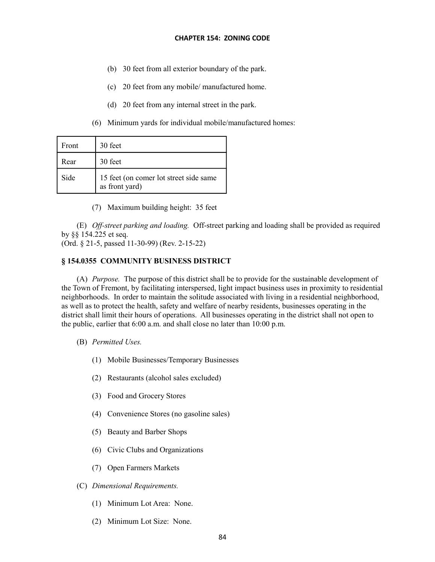- (b) 30 feet from all exterior boundary of the park.
- (c) 20 feet from any mobile/ manufactured home.
- (d) 20 feet from any internal street in the park.
- (6) Minimum yards for individual mobile/manufactured homes:

| Front | 30 feet                                                  |
|-------|----------------------------------------------------------|
| Rear  | 30 feet                                                  |
| Side  | 15 feet (on comer lot street side same<br>as front yard) |

(7) Maximum building height: 35 feet

(E) *Off-street parking and loading.* Off-street parking and loading shall be provided as required by §§ 154.225 et seq.

(Ord. § 21-5, passed 11-30-99) (Rev. 2-15-22)

## **§ 154.0355 COMMUNITY BUSINESS DISTRICT**

(A) *Purpose.* The purpose of this district shall be to provide for the sustainable development of the Town of Fremont, by facilitating interspersed, light impact business uses in proximity to residential neighborhoods. In order to maintain the solitude associated with living in a residential neighborhood, as well as to protect the health, safety and welfare of nearby residents, businesses operating in the district shall limit their hours of operations. All businesses operating in the district shall not open to the public, earlier that 6:00 a.m. and shall close no later than 10:00 p.m.

- (B) *Permitted Uses.*
	- (1) Mobile Businesses/Temporary Businesses
	- (2) Restaurants (alcohol sales excluded)
	- (3) Food and Grocery Stores
	- (4) Convenience Stores (no gasoline sales)
	- (5) Beauty and Barber Shops
	- (6) Civic Clubs and Organizations
	- (7) Open Farmers Markets

## (C) *Dimensional Requirements.*

- (1) Minimum Lot Area: None.
- (2) Minimum Lot Size: None.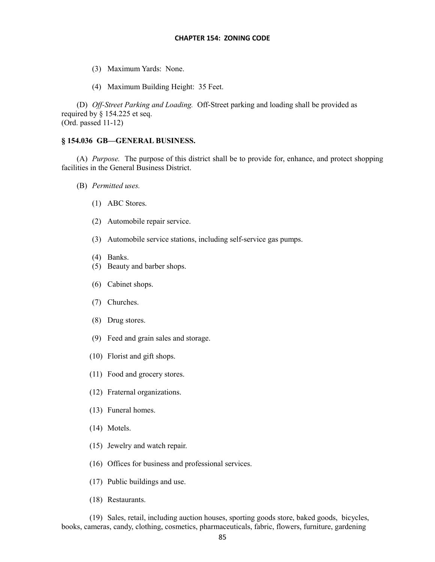- (3) Maximum Yards: None.
- (4) Maximum Building Height: 35 Feet.

(D) *Off-Street Parking and Loading.* Off-Street parking and loading shall be provided as required by § 154.225 et seq. (Ord. passed 11-12)

#### **§ 154.036 GB—GENERAL BUSINESS.**

(A) *Purpose.* The purpose of this district shall be to provide for, enhance, and protect shopping facilities in the General Business District.

- (B) *Permitted uses.*
	- (1) ABC Stores.
	- (2) Automobile repair service.
	- (3) Automobile service stations, including self-service gas pumps.
	- (4) Banks.
	- (5) Beauty and barber shops.
	- (6) Cabinet shops.
	- (7) Churches.
	- (8) Drug stores.
	- (9) Feed and grain sales and storage.
	- (10) Florist and gift shops.
	- (11) Food and grocery stores.
	- (12) Fraternal organizations.
	- (13) Funeral homes.
	- (14) Motels.
	- (15) Jewelry and watch repair.
	- (16) Offices for business and professional services.
	- (17) Public buildings and use.
	- (18) Restaurants.

(19) Sales, retail, including auction houses, sporting goods store, baked goods, bicycles, books, cameras, candy, clothing, cosmetics, pharmaceuticals, fabric, flowers, furniture, gardening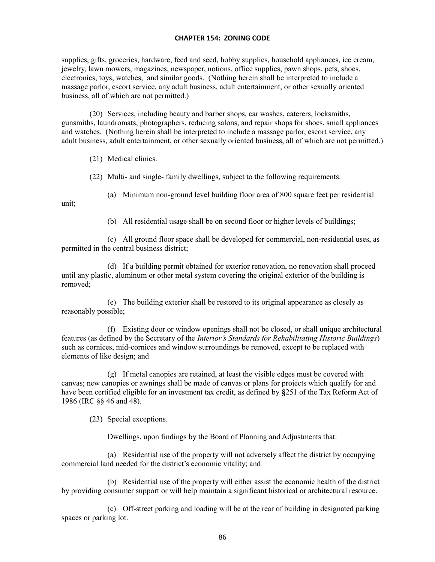supplies, gifts, groceries, hardware, feed and seed, hobby supplies, household appliances, ice cream, jewelry, lawn mowers, magazines, newspaper, notions, office supplies, pawn shops, pets, shoes, electronics, toys, watches, and similar goods. (Nothing herein shall be interpreted to include a massage parlor, escort service, any adult business, adult entertainment, or other sexually oriented business, all of which are not permitted.)

(20) Services, including beauty and barber shops, car washes, caterers, locksmiths, gunsmiths, laundromats, photographers, reducing salons, and repair shops for shoes, small appliances and watches. (Nothing herein shall be interpreted to include a massage parlor, escort service, any adult business, adult entertainment, or other sexually oriented business, all of which are not permitted.)

(21) Medical clinics.

(22) Multi- and single- family dwellings, subject to the following requirements:

(a) Minimum non-ground level building floor area of 800 square feet per residential

unit;

(b) All residential usage shall be on second floor or higher levels of buildings;

(c) All ground floor space shall be developed for commercial, non-residential uses, as permitted in the central business district;

(d) If a building permit obtained for exterior renovation, no renovation shall proceed until any plastic, aluminum or other metal system covering the original exterior of the building is removed;

(e) The building exterior shall be restored to its original appearance as closely as reasonably possible;

(f) Existing door or window openings shall not be closed, or shall unique architectural features (as defined by the Secretary of the *Interior's Standards for Rehabilitating Historic Buildings*) such as cornices, mid-cornices and window surroundings be removed, except to be replaced with elements of like design; and

(g) If metal canopies are retained, at least the visible edges must be covered with canvas; new canopies or awnings shall be made of canvas or plans for projects which qualify for and have been certified eligible for an investment tax credit, as defined by **§**251 of the Tax Reform Act of 1986 (IRC §§ 46 and 48).

(23) Special exceptions.

Dwellings, upon findings by the Board of Planning and Adjustments that:

(a) Residential use of the property will not adversely affect the district by occupying commercial land needed for the district's economic vitality; and

(b) Residential use of the property will either assist the economic health of the district by providing consumer support or will help maintain a significant historical or architectural resource.

(c) Off-street parking and loading will be at the rear of building in designated parking spaces or parking lot.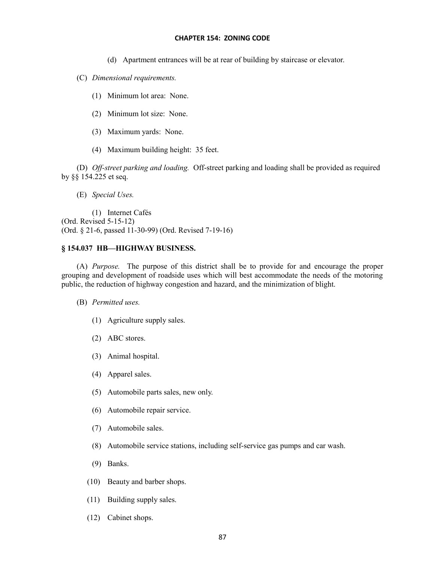- (d) Apartment entrances will be at rear of building by staircase or elevator.
- (C) *Dimensional requirements.*
	- (1) Minimum lot area: None.
	- (2) Minimum lot size: None.
	- (3) Maximum yards: None.
	- (4) Maximum building height: 35 feet.

(D) *Off-street parking and loading.* Off-street parking and loading shall be provided as required by §§ 154.225 et seq.

(E) *Special Uses.*

(1) Internet Cafés (Ord. Revised 5-15-12) (Ord. § 21-6, passed 11-30-99) (Ord. Revised 7-19-16)

## **§ 154.037 HB—HIGHWAY BUSINESS.**

(A) *Purpose.* The purpose of this district shall be to provide for and encourage the proper grouping and development of roadside uses which will best accommodate the needs of the motoring public, the reduction of highway congestion and hazard, and the minimization of blight.

- (B) *Permitted uses.*
	- (1) Agriculture supply sales.
	- (2) ABC stores.
	- (3) Animal hospital.
	- (4) Apparel sales.
	- (5) Automobile parts sales, new only.
	- (6) Automobile repair service.
	- (7) Automobile sales.
	- (8) Automobile service stations, including self-service gas pumps and car wash.
	- (9) Banks.
	- (10) Beauty and barber shops.
	- (11) Building supply sales.
	- (12) Cabinet shops.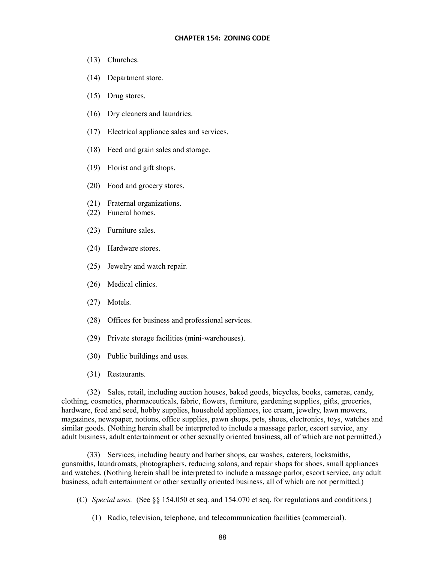- (13) Churches.
- (14) Department store.
- (15) Drug stores.
- (16) Dry cleaners and laundries.
- (17) Electrical appliance sales and services.
- (18) Feed and grain sales and storage.
- (19) Florist and gift shops.
- (20) Food and grocery stores.
- (21) Fraternal organizations.
- (22) Funeral homes.
- (23) Furniture sales.
- (24) Hardware stores.
- (25) Jewelry and watch repair.
- (26) Medical clinics.
- (27) Motels.
- (28) Offices for business and professional services.
- (29) Private storage facilities (mini-warehouses).
- (30) Public buildings and uses.
- (31) Restaurants.

(32) Sales, retail, including auction houses, baked goods, bicycles, books, cameras, candy, clothing, cosmetics, pharmaceuticals, fabric, flowers, furniture, gardening supplies, gifts, groceries, hardware, feed and seed, hobby supplies, household appliances, ice cream, jewelry, lawn mowers, magazines, newspaper, notions, office supplies, pawn shops, pets, shoes, electronics, toys, watches and similar goods. (Nothing herein shall be interpreted to include a massage parlor, escort service, any adult business, adult entertainment or other sexually oriented business, all of which are not permitted.)

(33) Services, including beauty and barber shops, car washes, caterers, locksmiths, gunsmiths, laundromats, photographers, reducing salons, and repair shops for shoes, small appliances and watches. (Nothing herein shall be interpreted to include a massage parlor, escort service, any adult business, adult entertainment or other sexually oriented business, all of which are not permitted.)

- (C) *Special uses.* (See §§ 154.050 et seq. and 154.070 et seq. for regulations and conditions.)
	- (1) Radio, television, telephone, and telecommunication facilities (commercial).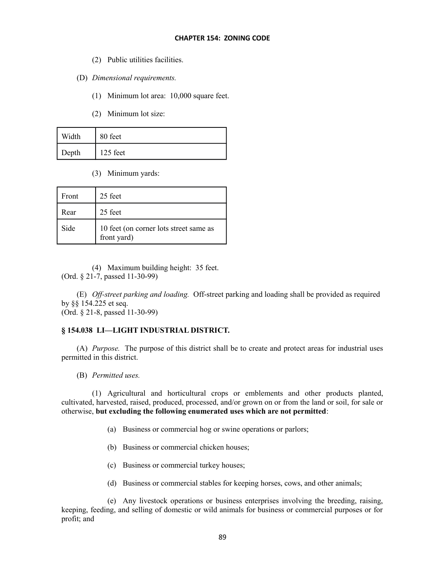- (2) Public utilities facilities.
- (D) *Dimensional requirements.*
	- (1) Minimum lot area: 10,000 square feet.
	- (2) Minimum lot size:

| Width | 80 feet  |
|-------|----------|
| Depth | 125 feet |

(3) Minimum yards:

| Front | 25 feet                                               |
|-------|-------------------------------------------------------|
| Rear  | 25 feet                                               |
| Side  | 10 feet (on corner lots street same as<br>front yard) |

(4) Maximum building height: 35 feet. (Ord. § 21-7, passed 11-30-99)

(E) *Off-street parking and loading.* Off-street parking and loading shall be provided as required by §§ 154.225 et seq. (Ord. § 21-8, passed 11-30-99)

## **§ 154.038 LI—LIGHT INDUSTRIAL DISTRICT.**

(A) *Purpose.* The purpose of this district shall be to create and protect areas for industrial uses permitted in this district.

(B) *Permitted uses.*

(1) Agricultural and horticultural crops or emblements and other products planted, cultivated, harvested, raised, produced, processed, and/or grown on or from the land or soil, for sale or otherwise, **but excluding the following enumerated uses which are not permitted**:

- (a) Business or commercial hog or swine operations or parlors;
- (b) Business or commercial chicken houses;
- (c) Business or commercial turkey houses;
- (d) Business or commercial stables for keeping horses, cows, and other animals;

(e) Any livestock operations or business enterprises involving the breeding, raising, keeping, feeding, and selling of domestic or wild animals for business or commercial purposes or for profit; and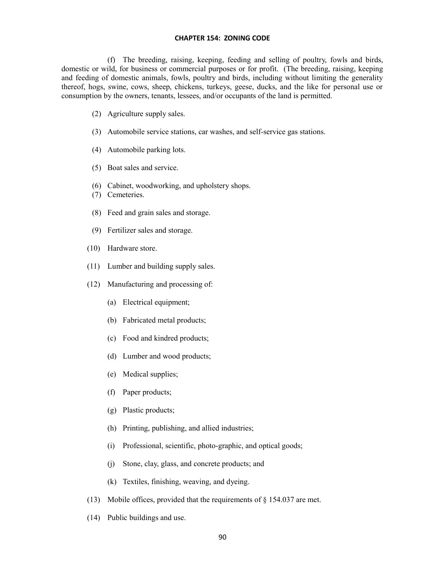(f) The breeding, raising, keeping, feeding and selling of poultry, fowls and birds, domestic or wild, for business or commercial purposes or for profit. (The breeding, raising, keeping and feeding of domestic animals, fowls, poultry and birds, including without limiting the generality thereof, hogs, swine, cows, sheep, chickens, turkeys, geese, ducks, and the like for personal use or consumption by the owners, tenants, lessees, and/or occupants of the land is permitted.

- (2) Agriculture supply sales.
- (3) Automobile service stations, car washes, and self-service gas stations.
- (4) Automobile parking lots.
- (5) Boat sales and service.
- (6) Cabinet, woodworking, and upholstery shops.
- (7) Cemeteries.
- (8) Feed and grain sales and storage.
- (9) Fertilizer sales and storage.
- (10) Hardware store.
- (11) Lumber and building supply sales.
- (12) Manufacturing and processing of:
	- (a) Electrical equipment;
	- (b) Fabricated metal products;
	- (c) Food and kindred products;
	- (d) Lumber and wood products;
	- (e) Medical supplies;
	- (f) Paper products;
	- (g) Plastic products;
	- (h) Printing, publishing, and allied industries;
	- (i) Professional, scientific, photo-graphic, and optical goods;
	- (j) Stone, clay, glass, and concrete products; and
	- (k) Textiles, finishing, weaving, and dyeing.
- (13) Mobile offices, provided that the requirements of  $\S$  154.037 are met.
- (14) Public buildings and use.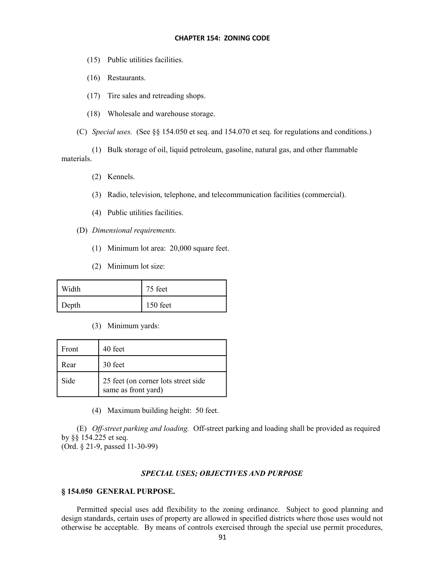- (15) Public utilities facilities.
- (16) Restaurants.
- (17) Tire sales and retreading shops.
- (18) Wholesale and warehouse storage.

(C) *Special uses.* (See §§ 154.050 et seq. and 154.070 et seq. for regulations and conditions.)

(1) Bulk storage of oil, liquid petroleum, gasoline, natural gas, and other flammable materials.

- (2) Kennels.
- (3) Radio, television, telephone, and telecommunication facilities (commercial).
- (4) Public utilities facilities.
- (D) *Dimensional requirements.*
	- (1) Minimum lot area: 20,000 square feet.
	- (2) Minimum lot size:

| Width | 75 feet  |
|-------|----------|
| Depth | 150 feet |

(3) Minimum yards:

| Front | 40 feet                                                    |
|-------|------------------------------------------------------------|
| Rear  | 30 feet                                                    |
| Side  | 25 feet (on corner lots street side<br>same as front yard) |

(4) Maximum building height: 50 feet.

(E) *Off-street parking and loading.* Off-street parking and loading shall be provided as required by §§ 154.225 et seq.

(Ord. § 21-9, passed 11-30-99)

## *SPECIAL USES; OBJECTIVES AND PURPOSE*

## **§ 154.050 GENERAL PURPOSE.**

Permitted special uses add flexibility to the zoning ordinance. Subject to good planning and design standards, certain uses of property are allowed in specified districts where those uses would not otherwise be acceptable. By means of controls exercised through the special use permit procedures,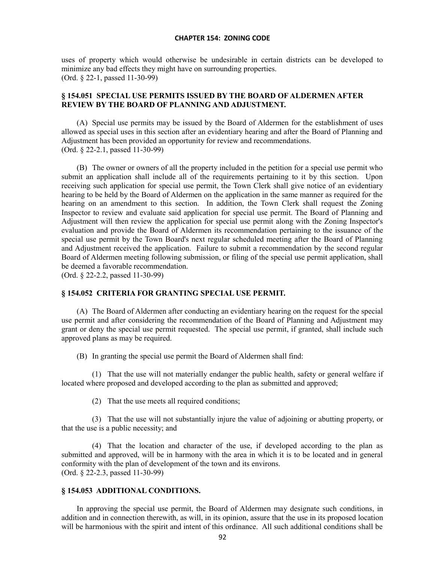uses of property which would otherwise be undesirable in certain districts can be developed to minimize any bad effects they might have on surrounding properties. (Ord. § 22-1, passed 11-30-99)

## **§ 154.051 SPECIAL USE PERMITS ISSUED BY THE BOARD OF ALDERMEN AFTER REVIEW BY THE BOARD OF PLANNING AND ADJUSTMENT.**

(A) Special use permits may be issued by the Board of Aldermen for the establishment of uses allowed as special uses in this section after an evidentiary hearing and after the Board of Planning and Adjustment has been provided an opportunity for review and recommendations. (Ord. § 22-2.1, passed 11-30-99)

(B) The owner or owners of all the property included in the petition for a special use permit who submit an application shall include all of the requirements pertaining to it by this section. Upon receiving such application for special use permit, the Town Clerk shall give notice of an evidentiary hearing to be held by the Board of Aldermen on the application in the same manner as required for the hearing on an amendment to this section. In addition, the Town Clerk shall request the Zoning Inspector to review and evaluate said application for special use permit. The Board of Planning and Adjustment will then review the application for special use permit along with the Zoning Inspector's evaluation and provide the Board of Aldermen its recommendation pertaining to the issuance of the special use permit by the Town Board's next regular scheduled meeting after the Board of Planning and Adjustment received the application. Failure to submit a recommendation by the second regular Board of Aldermen meeting following submission, or filing of the special use permit application, shall be deemed a favorable recommendation.

(Ord. § 22-2.2, passed 11-30-99)

## **§ 154.052 CRITERIA FOR GRANTING SPECIAL USE PERMIT.**

(A) The Board of Aldermen after conducting an evidentiary hearing on the request for the special use permit and after considering the recommendation of the Board of Planning and Adjustment may grant or deny the special use permit requested. The special use permit, if granted, shall include such approved plans as may be required.

(B) In granting the special use permit the Board of Aldermen shall find:

(1) That the use will not materially endanger the public health, safety or general welfare if located where proposed and developed according to the plan as submitted and approved;

(2) That the use meets all required conditions;

(3) That the use will not substantially injure the value of adjoining or abutting property, or that the use is a public necessity; and

(4) That the location and character of the use, if developed according to the plan as submitted and approved, will be in harmony with the area in which it is to be located and in general conformity with the plan of development of the town and its environs. (Ord. § 22-2.3, passed 11-30-99)

### **§ 154.053 ADDITIONAL CONDITIONS.**

In approving the special use permit, the Board of Aldermen may designate such conditions, in addition and in connection therewith, as will, in its opinion, assure that the use in its proposed location will be harmonious with the spirit and intent of this ordinance. All such additional conditions shall be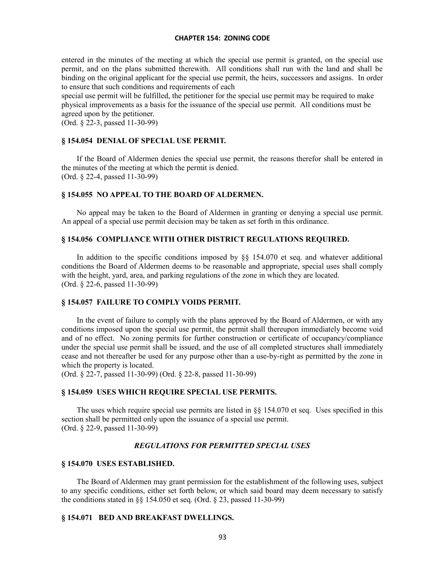entered in the minutes of the meeting at which the special use permit is granted, on the special use permit, and on the plans submitted therewith. All conditions shall run with the land and shall be binding on the original applicant for the special use permit, the heirs, successors and assigns. In order to ensure that such conditions and requirements of each

special use permit will be fulfilled, the petitioner for the special use permit may be required to make physical improvements as a basis for the issuance of the special use permit. All conditions must be agreed upon by the petitioner.

(Ord. § 22-3, passed 11-30-99)

## **§ 154.054 DENIAL OF SPECIAL USE PERMIT.**

If the Board of Aldermen denies the special use permit, the reasons therefor shall be entered in the minutes of the meeting at which the permit is denied. (Ord. § 22-4, passed 11-30-99)

### **§ 154.055 NO APPEAL TO THE BOARD OF ALDERMEN.**

No appeal may be taken to the Board of Aldermen in granting or denying a special use permit. An appeal of a special use permit decision may be taken as set forth in this ordinance.

### **§ 154.056 COMPLIANCE WITH OTHER DISTRICT REGULATIONS REQUIRED.**

In addition to the specific conditions imposed by §§ 154.070 et seq. and whatever additional conditions the Board of Aldermen deems to be reasonable and appropriate, special uses shall comply with the height, yard, area, and parking regulations of the zone in which they are located. (Ord. § 22-6, passed 11-30-99)

## **§ 154.057 FAILURE TO COMPLY VOIDS PERMIT.**

In the event of failure to comply with the plans approved by the Board of Aldermen, or with any conditions imposed upon the special use permit, the permit shall thereupon immediately become void and of no effect. No zoning permits for further construction or certificate of occupancy/compliance under the special use permit shall be issued, and the use of all completed structures shall immediately cease and not thereafter be used for any purpose other than a use-by-right as permitted by the zone in which the property is located.

(Ord. § 22-7, passed 11-30-99) (Ord. § 22-8, passed 11-30-99)

### **§ 154.059 USES WHICH REQUIRE SPECIAL USE PERMITS.**

The uses which require special use permits are listed in §§ 154.070 et seq. Uses specified in this section shall be permitted only upon the issuance of a special use permit. (Ord. § 22-9, passed 11-30-99)

## *REGULATIONS FOR PERMITTED SPECIAL USES*

#### **§ 154.070 USES ESTABLISHED.**

The Board of Aldermen may grant permission for the establishment of the following uses, subject to any specific conditions, either set forth below, or which said board may deem necessary to satisfy the conditions stated in §§ 154.050 et seq. (Ord. § 23, passed 11-30-99)

## **§ 154.071 BED AND BREAKFAST DWELLINGS.**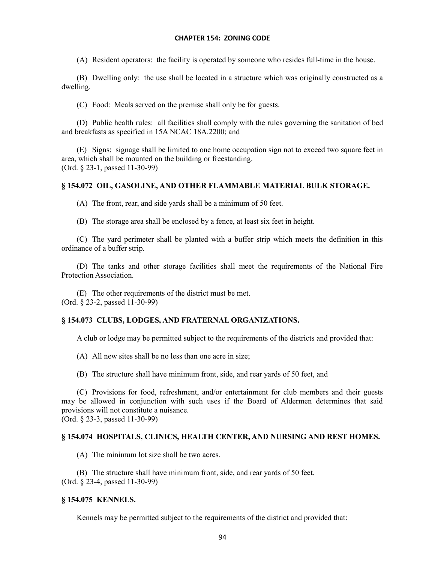(A) Resident operators: the facility is operated by someone who resides full-time in the house.

(B) Dwelling only: the use shall be located in a structure which was originally constructed as a dwelling.

(C) Food: Meals served on the premise shall only be for guests.

(D) Public health rules: all facilities shall comply with the rules governing the sanitation of bed and breakfasts as specified in 15A NCAC 18A.2200; and

(E) Signs: signage shall be limited to one home occupation sign not to exceed two square feet in area, which shall be mounted on the building or freestanding. (Ord. § 23-1, passed 11-30-99)

# **§ 154.072 OIL, GASOLINE, AND OTHER FLAMMABLE MATERIAL BULK STORAGE.**

(A) The front, rear, and side yards shall be a minimum of 50 feet.

(B) The storage area shall be enclosed by a fence, at least six feet in height.

(C) The yard perimeter shall be planted with a buffer strip which meets the definition in this ordinance of a buffer strip.

(D) The tanks and other storage facilities shall meet the requirements of the National Fire Protection Association.

(E) The other requirements of the district must be met. (Ord. § 23-2, passed 11-30-99)

# **§ 154.073 CLUBS, LODGES, AND FRATERNAL ORGANIZATIONS.**

A club or lodge may be permitted subject to the requirements of the districts and provided that:

(A) All new sites shall be no less than one acre in size;

(B) The structure shall have minimum front, side, and rear yards of 50 feet, and

(C) Provisions for food, refreshment, and/or entertainment for club members and their guests may be allowed in conjunction with such uses if the Board of Aldermen determines that said provisions will not constitute a nuisance. (Ord. § 23-3, passed 11-30-99)

# **§ 154.074 HOSPITALS, CLINICS, HEALTH CENTER, AND NURSING AND REST HOMES.**

(A) The minimum lot size shall be two acres.

(B) The structure shall have minimum front, side, and rear yards of 50 feet. (Ord. § 23-4, passed 11-30-99)

# **§ 154.075 KENNELS.**

Kennels may be permitted subject to the requirements of the district and provided that: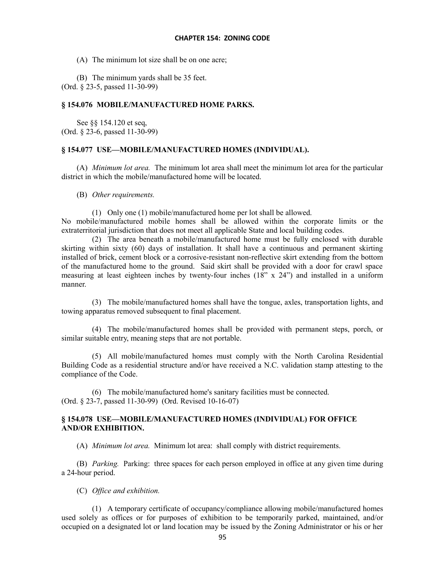(A) The minimum lot size shall be on one acre;

(B) The minimum yards shall be 35 feet. (Ord. § 23-5, passed 11-30-99)

# **§ 154.076 MOBILE/MANUFACTURED HOME PARKS.**

See §§ 154.120 et seq, (Ord. § 23-6, passed 11-30-99)

## **§ 154.077 USE—MOBILE/MANUFACTURED HOMES (INDIVIDUAL).**

(A) *Minimum lot area.* The minimum lot area shall meet the minimum lot area for the particular district in which the mobile/manufactured home will be located.

(B) *Other requirements.*

(1) Only one (1) mobile/manufactured home per lot shall be allowed.

No mobile/manufactured mobile homes shall be allowed within the corporate limits or the extraterritorial jurisdiction that does not meet all applicable State and local building codes.

(2) The area beneath a mobile/manufactured home must be fully enclosed with durable skirting within sixty (60) days of installation. It shall have a continuous and permanent skirting installed of brick, cement block or a corrosive-resistant non-reflective skirt extending from the bottom of the manufactured home to the ground. Said skirt shall be provided with a door for crawl space measuring at least eighteen inches by twenty-four inches (18" x 24") and installed in a uniform manner.

(3) The mobile/manufactured homes shall have the tongue, axles, transportation lights, and towing apparatus removed subsequent to final placement.

(4) The mobile/manufactured homes shall be provided with permanent steps, porch, or similar suitable entry, meaning steps that are not portable.

(5) All mobile/manufactured homes must comply with the North Carolina Residential Building Code as a residential structure and/or have received a N.C. validation stamp attesting to the compliance of the Code.

(6) The mobile/manufactured home's sanitary facilities must be connected. (Ord. § 23-7, passed 11-30-99) (Ord. Revised 10-16-07)

# **§ 154.078 USE—MOBILE/MANUFACTURED HOMES (INDIVIDUAL) FOR OFFICE AND/OR EXHIBITION.**

(A) *Minimum lot area.* Minimum lot area: shall comply with district requirements.

(B) *Parking.* Parking: three spaces for each person employed in office at any given time during a 24-hour period.

(C) *Office and exhibition.*

(1) A temporary certificate of occupancy/compliance allowing mobile/manufactured homes used solely as offices or for purposes of exhibition to be temporarily parked, maintained, and/or occupied on a designated lot or land location may be issued by the Zoning Administrator or his or her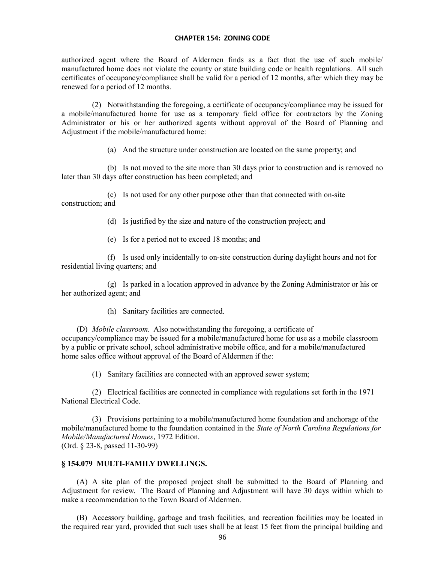authorized agent where the Board of Aldermen finds as a fact that the use of such mobile/ manufactured home does not violate the county or state building code or health regulations. All such certificates of occupancy/compliance shall be valid for a period of 12 months, after which they may be renewed for a period of 12 months.

(2) Notwithstanding the foregoing, a certificate of occupancy/compliance may be issued for a mobile/manufactured home for use as a temporary field office for contractors by the Zoning Administrator or his or her authorized agents without approval of the Board of Planning and Adjustment if the mobile/manufactured home:

(a) And the structure under construction are located on the same property; and

(b) Is not moved to the site more than 30 days prior to construction and is removed no later than 30 days after construction has been completed; and

(c) Is not used for any other purpose other than that connected with on-site construction; and

(d) Is justified by the size and nature of the construction project; and

(e) Is for a period not to exceed 18 months; and

(f) Is used only incidentally to on-site construction during daylight hours and not for residential living quarters; and

(g) Is parked in a location approved in advance by the Zoning Administrator or his or her authorized agent; and

(h) Sanitary facilities are connected.

(D) *Mobile classroom.* Also notwithstanding the foregoing, a certificate of occupancy/compliance may be issued for a mobile/manufactured home for use as a mobile classroom by a public or private school, school administrative mobile office, and for a mobile/manufactured home sales office without approval of the Board of Aldermen if the:

(1) Sanitary facilities are connected with an approved sewer system;

(2) Electrical facilities are connected in compliance with regulations set forth in the 1971 National Electrical Code.

(3) Provisions pertaining to a mobile/manufactured home foundation and anchorage of the mobile/manufactured home to the foundation contained in the *State of North Carolina Regulations for Mobile/Manufactured Homes*, 1972 Edition. (Ord. § 23-8, passed 11-30-99)

#### **§ 154.079 MULTI-FAMILY DWELLINGS.**

(A) A site plan of the proposed project shall be submitted to the Board of Planning and Adjustment for review. The Board of Planning and Adjustment will have 30 days within which to make a recommendation to the Town Board of Aldermen.

(B) Accessory building, garbage and trash facilities, and recreation facilities may be located in the required rear yard, provided that such uses shall be at least 15 feet from the principal building and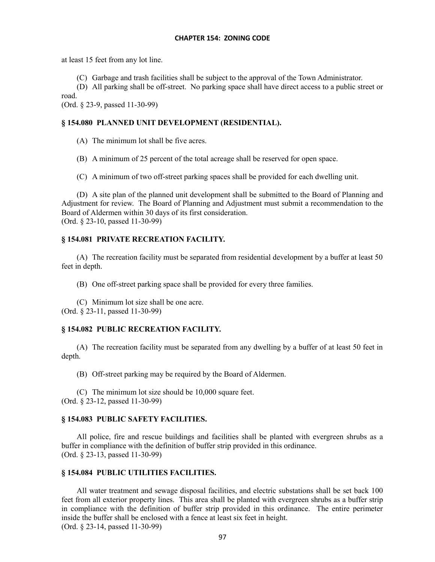at least 15 feet from any lot line.

(C) Garbage and trash facilities shall be subject to the approval of the Town Administrator.

(D) All parking shall be off-street. No parking space shall have direct access to a public street or road.

(Ord. § 23-9, passed 11-30-99)

# **§ 154.080 PLANNED UNIT DEVELOPMENT (RESIDENTIAL).**

(A) The minimum lot shall be five acres.

(B) A minimum of 25 percent of the total acreage shall be reserved for open space.

(C) A minimum of two off-street parking spaces shall be provided for each dwelling unit.

(D) A site plan of the planned unit development shall be submitted to the Board of Planning and Adjustment for review. The Board of Planning and Adjustment must submit a recommendation to the Board of Aldermen within 30 days of its first consideration. (Ord. § 23-10, passed 11-30-99)

# **§ 154.081 PRIVATE RECREATION FACILITY.**

(A) The recreation facility must be separated from residential development by a buffer at least 50 feet in depth.

(B) One off-street parking space shall be provided for every three families.

(C) Minimum lot size shall be one acre. (Ord. § 23-11, passed 11-30-99)

# **§ 154.082 PUBLIC RECREATION FACILITY.**

(A) The recreation facility must be separated from any dwelling by a buffer of at least 50 feet in depth.

(B) Off-street parking may be required by the Board of Aldermen.

(C) The minimum lot size should be 10,000 square feet. (Ord. § 23-12, passed 11-30-99)

# **§ 154.083 PUBLIC SAFETY FACILITIES.**

All police, fire and rescue buildings and facilities shall be planted with evergreen shrubs as a buffer in compliance with the definition of buffer strip provided in this ordinance. (Ord. § 23-13, passed 11-30-99)

# **§ 154.084 PUBLIC UTILITIES FACILITIES.**

All water treatment and sewage disposal facilities, and electric substations shall be set back 100 feet from all exterior property lines. This area shall be planted with evergreen shrubs as a buffer strip in compliance with the definition of buffer strip provided in this ordinance. The entire perimeter inside the buffer shall be enclosed with a fence at least six feet in height. (Ord. § 23-14, passed 11-30-99)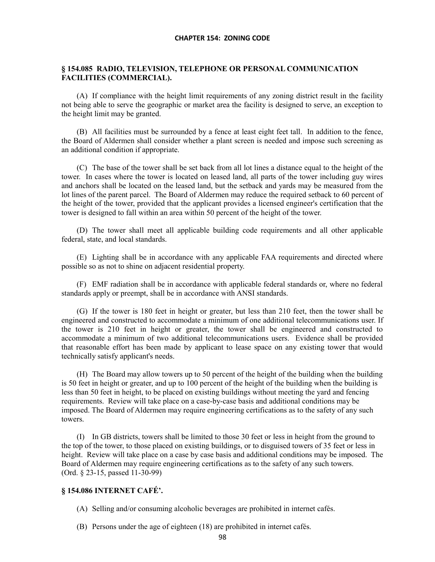# **§ 154.085 RADIO, TELEVISION, TELEPHONE OR PERSONAL COMMUNICATION FACILITIES (COMMERCIAL).**

(A) If compliance with the height limit requirements of any zoning district result in the facility not being able to serve the geographic or market area the facility is designed to serve, an exception to the height limit may be granted.

(B) All facilities must be surrounded by a fence at least eight feet tall. In addition to the fence, the Board of Aldermen shall consider whether a plant screen is needed and impose such screening as an additional condition if appropriate.

(C) The base of the tower shall be set back from all lot lines a distance equal to the height of the tower. In cases where the tower is located on leased land, all parts of the tower including guy wires and anchors shall be located on the leased land, but the setback and yards may be measured from the lot lines of the parent parcel. The Board of Aldermen may reduce the required setback to 60 percent of the height of the tower, provided that the applicant provides a licensed engineer's certification that the tower is designed to fall within an area within 50 percent of the height of the tower.

(D) The tower shall meet all applicable building code requirements and all other applicable federal, state, and local standards.

(E) Lighting shall be in accordance with any applicable FAA requirements and directed where possible so as not to shine on adjacent residential property.

(F) EMF radiation shall be in accordance with applicable federal standards or, where no federal standards apply or preempt, shall be in accordance with ANSI standards.

(G) If the tower is 180 feet in height or greater, but less than 210 feet, then the tower shall be engineered and constructed to accommodate a minimum of one additional telecommunications user. If the tower is 210 feet in height or greater, the tower shall be engineered and constructed to accommodate a minimum of two additional telecommunications users. Evidence shall be provided that reasonable effort has been made by applicant to lease space on any existing tower that would technically satisfy applicant's needs.

(H) The Board may allow towers up to 50 percent of the height of the building when the building is 50 feet in height or greater, and up to 100 percent of the height of the building when the building is less than 50 feet in height, to be placed on existing buildings without meeting the yard and fencing requirements. Review will take place on a case-by-case basis and additional conditions may be imposed. The Board of Aldermen may require engineering certifications as to the safety of any such towers.

(I) In GB districts, towers shall be limited to those 30 feet or less in height from the ground to the top of the tower, to those placed on existing buildings, or to disguised towers of 35 feet or less in height. Review will take place on a case by case basis and additional conditions may be imposed. The Board of Aldermen may require engineering certifications as to the safety of any such towers. (Ord. § 23-15, passed 11-30-99)

# **§ 154.086 INTERNET CAFÉ'.**

- (A) Selling and/or consuming alcoholic beverages are prohibited in internet cafés.
- (B) Persons under the age of eighteen (18) are prohibited in internet cafés.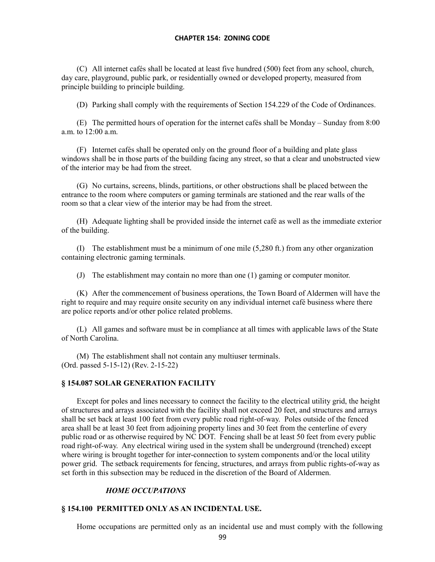(C) All internet cafés shall be located at least five hundred (500) feet from any school, church, day care, playground, public park, or residentially owned or developed property, measured from principle building to principle building.

(D) Parking shall comply with the requirements of Section 154.229 of the Code of Ordinances.

(E) The permitted hours of operation for the internet cafés shall be Monday – Sunday from 8:00 a.m. to 12:00 a.m.

(F) Internet cafés shall be operated only on the ground floor of a building and plate glass windows shall be in those parts of the building facing any street, so that a clear and unobstructed view of the interior may be had from the street.

(G) No curtains, screens, blinds, partitions, or other obstructions shall be placed between the entrance to the room where computers or gaming terminals are stationed and the rear walls of the room so that a clear view of the interior may be had from the street.

(H) Adequate lighting shall be provided inside the internet café as well as the immediate exterior of the building.

(I) The establishment must be a minimum of one mile (5,280 ft.) from any other organization containing electronic gaming terminals.

(J) The establishment may contain no more than one (1) gaming or computer monitor.

(K) After the commencement of business operations, the Town Board of Aldermen will have the right to require and may require onsite security on any individual internet café business where there are police reports and/or other police related problems.

(L) All games and software must be in compliance at all times with applicable laws of the State of North Carolina.

(M) The establishment shall not contain any multiuser terminals. (Ord. passed 5-15-12) (Rev. 2-15-22)

# **§ 154.087 SOLAR GENERATION FACILITY**

Except for poles and lines necessary to connect the facility to the electrical utility grid, the height of structures and arrays associated with the facility shall not exceed 20 feet, and structures and arrays shall be set back at least 100 feet from every public road right-of-way. Poles outside of the fenced area shall be at least 30 feet from adjoining property lines and 30 feet from the centerline of every public road or as otherwise required by NC DOT. Fencing shall be at least 50 feet from every public road right-of-way. Any electrical wiring used in the system shall be underground (trenched) except where wiring is brought together for inter-connection to system components and/or the local utility power grid. The setback requirements for fencing, structures, and arrays from public rights-of-way as set forth in this subsection may be reduced in the discretion of the Board of Aldermen.

# *HOME OCCUPATIONS*

# **§ 154.100 PERMITTED ONLY AS AN INCIDENTAL USE.**

Home occupations are permitted only as an incidental use and must comply with the following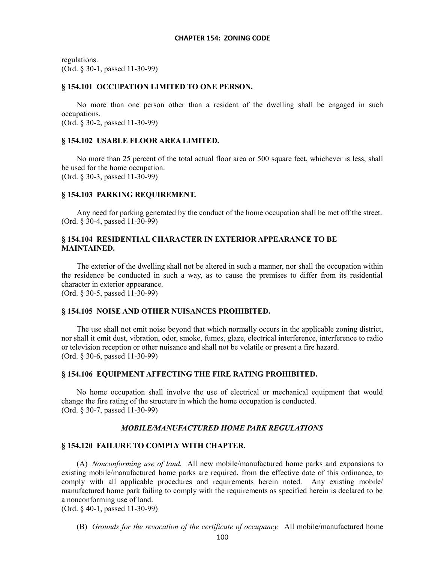regulations. (Ord. § 30-1, passed 11-30-99)

#### **§ 154.101 OCCUPATION LIMITED TO ONE PERSON.**

No more than one person other than a resident of the dwelling shall be engaged in such occupations. (Ord. § 30-2, passed 11-30-99)

## **§ 154.102 USABLE FLOOR AREA LIMITED.**

No more than 25 percent of the total actual floor area or 500 square feet, whichever is less, shall be used for the home occupation. (Ord. § 30-3, passed 11-30-99)

### **§ 154.103 PARKING REQUIREMENT.**

Any need for parking generated by the conduct of the home occupation shall be met off the street. (Ord. § 30-4, passed 11-30-99)

# **§ 154.104 RESIDENTIAL CHARACTER IN EXTERIOR APPEARANCE TO BE MAINTAINED.**

The exterior of the dwelling shall not be altered in such a manner, nor shall the occupation within the residence be conducted in such a way, as to cause the premises to differ from its residential character in exterior appearance.

(Ord. § 30-5, passed 11-30-99)

## **§ 154.105 NOISE AND OTHER NUISANCES PROHIBITED.**

The use shall not emit noise beyond that which normally occurs in the applicable zoning district, nor shall it emit dust, vibration, odor, smoke, fumes, glaze, electrical interference, interference to radio or television reception or other nuisance and shall not be volatile or present a fire hazard. (Ord. § 30-6, passed 11-30-99)

## **§ 154.106 EQUIPMENT AFFECTING THE FIRE RATING PROHIBITED.**

No home occupation shall involve the use of electrical or mechanical equipment that would change the fire rating of the structure in which the home occupation is conducted. (Ord. § 30-7, passed 11-30-99)

#### *MOBILE/MANUFACTURED HOME PARK REGULATIONS*

## **§ 154.120 FAILURE TO COMPLY WITH CHAPTER.**

(A) *Nonconforming use of land.* All new mobile/manufactured home parks and expansions to existing mobile/manufactured home parks are required, from the effective date of this ordinance, to comply with all applicable procedures and requirements herein noted. Any existing mobile/ manufactured home park failing to comply with the requirements as specified herein is declared to be a nonconforming use of land.

(Ord. § 40-1, passed 11-30-99)

(B) *Grounds for the revocation of the certificate of occupancy.* All mobile/manufactured home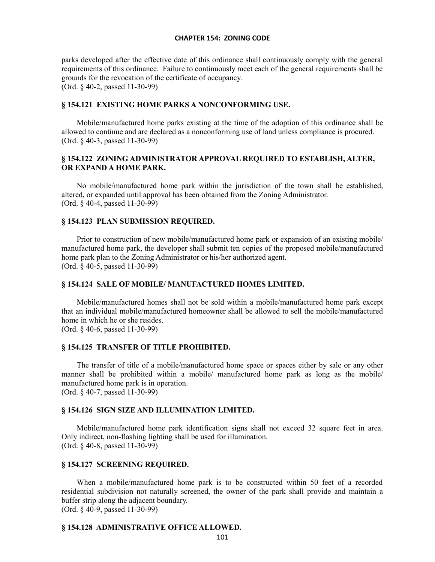parks developed after the effective date of this ordinance shall continuously comply with the general requirements of this ordinance. Failure to continuously meet each of the general requirements shall be grounds for the revocation of the certificate of occupancy. (Ord. § 40-2, passed 11-30-99)

#### **§ 154.121 EXISTING HOME PARKS A NONCONFORMING USE.**

Mobile/manufactured home parks existing at the time of the adoption of this ordinance shall be allowed to continue and are declared as a nonconforming use of land unless compliance is procured. (Ord. § 40-3, passed 11-30-99)

# **§ 154.122 ZONING ADMINISTRATOR APPROVAL REQUIRED TO ESTABLISH, ALTER, OR EXPAND A HOME PARK.**

No mobile/manufactured home park within the jurisdiction of the town shall be established, altered, or expanded until approval has been obtained from the Zoning Administrator. (Ord. § 40-4, passed 11-30-99)

## **§ 154.123 PLAN SUBMISSION REQUIRED.**

Prior to construction of new mobile/manufactured home park or expansion of an existing mobile/ manufactured home park, the developer shall submit ten copies of the proposed mobile/manufactured home park plan to the Zoning Administrator or his/her authorized agent. (Ord. § 40-5, passed 11-30-99)

#### **§ 154.124 SALE OF MOBILE/ MANUFACTURED HOMES LIMITED.**

Mobile/manufactured homes shall not be sold within a mobile/manufactured home park except that an individual mobile/manufactured homeowner shall be allowed to sell the mobile/manufactured home in which he or she resides.

(Ord. § 40-6, passed 11-30-99)

# **§ 154.125 TRANSFER OF TITLE PROHIBITED.**

The transfer of title of a mobile/manufactured home space or spaces either by sale or any other manner shall be prohibited within a mobile/ manufactured home park as long as the mobile/ manufactured home park is in operation. (Ord. § 40-7, passed 11-30-99)

#### **§ 154.126 SIGN SIZE AND ILLUMINATION LIMITED.**

Mobile/manufactured home park identification signs shall not exceed 32 square feet in area. Only indirect, non-flashing lighting shall be used for illumination. (Ord. § 40-8, passed 11-30-99)

# **§ 154.127 SCREENING REQUIRED.**

When a mobile/manufactured home park is to be constructed within 50 feet of a recorded residential subdivision not naturally screened, the owner of the park shall provide and maintain a buffer strip along the adjacent boundary. (Ord. § 40-9, passed 11-30-99)

# **§ 154.128 ADMINISTRATIVE OFFICE ALLOWED.**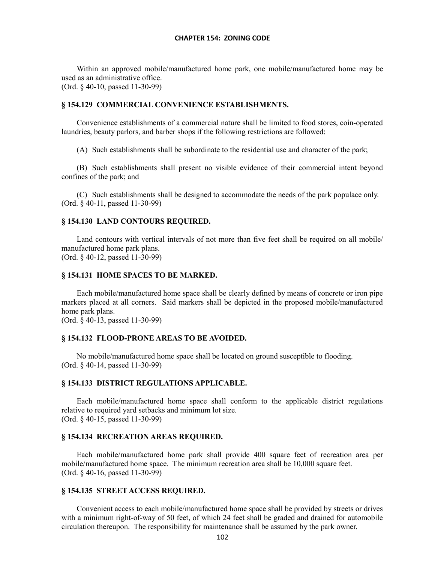Within an approved mobile/manufactured home park, one mobile/manufactured home may be used as an administrative office. (Ord. § 40-10, passed 11-30-99)

#### **§ 154.129 COMMERCIAL CONVENIENCE ESTABLISHMENTS.**

Convenience establishments of a commercial nature shall be limited to food stores, coin-operated laundries, beauty parlors, and barber shops if the following restrictions are followed:

(A) Such establishments shall be subordinate to the residential use and character of the park;

(B) Such establishments shall present no visible evidence of their commercial intent beyond confines of the park; and

(C) Such establishments shall be designed to accommodate the needs of the park populace only. (Ord. § 40-11, passed 11-30-99)

## **§ 154.130 LAND CONTOURS REQUIRED.**

Land contours with vertical intervals of not more than five feet shall be required on all mobile/ manufactured home park plans. (Ord. § 40-12, passed 11-30-99)

#### **§ 154.131 HOME SPACES TO BE MARKED.**

Each mobile/manufactured home space shall be clearly defined by means of concrete or iron pipe markers placed at all corners. Said markers shall be depicted in the proposed mobile/manufactured home park plans.

(Ord. § 40-13, passed 11-30-99)

#### **§ 154.132 FLOOD-PRONE AREAS TO BE AVOIDED.**

No mobile/manufactured home space shall be located on ground susceptible to flooding. (Ord. § 40-14, passed 11-30-99)

#### **§ 154.133 DISTRICT REGULATIONS APPLICABLE.**

Each mobile/manufactured home space shall conform to the applicable district regulations relative to required yard setbacks and minimum lot size. (Ord. § 40-15, passed 11-30-99)

#### **§ 154.134 RECREATION AREAS REQUIRED.**

Each mobile/manufactured home park shall provide 400 square feet of recreation area per mobile/manufactured home space. The minimum recreation area shall be 10,000 square feet. (Ord. § 40-16, passed 11-30-99)

#### **§ 154.135 STREET ACCESS REQUIRED.**

Convenient access to each mobile/manufactured home space shall be provided by streets or drives with a minimum right-of-way of 50 feet, of which 24 feet shall be graded and drained for automobile circulation thereupon. The responsibility for maintenance shall be assumed by the park owner.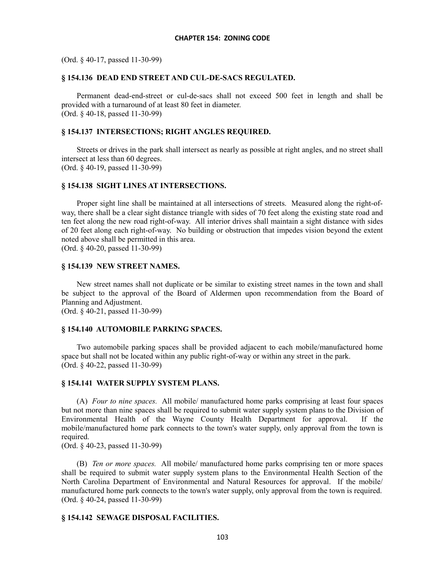(Ord. § 40-17, passed 11-30-99)

## **§ 154.136 DEAD END STREET AND CUL-DE-SACS REGULATED.**

Permanent dead-end-street or cul-de-sacs shall not exceed 500 feet in length and shall be provided with a turnaround of at least 80 feet in diameter. (Ord. § 40-18, passed 11-30-99)

## **§ 154.137 INTERSECTIONS; RIGHT ANGLES REQUIRED.**

Streets or drives in the park shall intersect as nearly as possible at right angles, and no street shall intersect at less than 60 degrees. (Ord. § 40-19, passed 11-30-99)

#### **§ 154.138 SIGHT LINES AT INTERSECTIONS.**

Proper sight line shall be maintained at all intersections of streets. Measured along the right-ofway, there shall be a clear sight distance triangle with sides of 70 feet along the existing state road and ten feet along the new road right-of-way. All interior drives shall maintain a sight distance with sides of 20 feet along each right-of-way. No building or obstruction that impedes vision beyond the extent noted above shall be permitted in this area.

(Ord. § 40-20, passed 11-30-99)

## **§ 154.139 NEW STREET NAMES.**

New street names shall not duplicate or be similar to existing street names in the town and shall be subject to the approval of the Board of Aldermen upon recommendation from the Board of Planning and Adjustment.

(Ord. § 40-21, passed 11-30-99)

## **§ 154.140 AUTOMOBILE PARKING SPACES.**

Two automobile parking spaces shall be provided adjacent to each mobile/manufactured home space but shall not be located within any public right-of-way or within any street in the park. (Ord. § 40-22, passed 11-30-99)

## **§ 154.141 WATER SUPPLY SYSTEM PLANS.**

(A) *Four to nine spaces.* All mobile/ manufactured home parks comprising at least four spaces but not more than nine spaces shall be required to submit water supply system plans to the Division of Environmental Health of the Wayne County Health Department for approval. If the mobile/manufactured home park connects to the town's water supply, only approval from the town is required.

(Ord. § 40-23, passed 11-30-99)

(B) *Ten or more spaces.* All mobile/ manufactured home parks comprising ten or more spaces shall be required to submit water supply system plans to the Environmental Health Section of the North Carolina Department of Environmental and Natural Resources for approval. If the mobile/ manufactured home park connects to the town's water supply, only approval from the town is required. (Ord. § 40-24, passed 11-30-99)

#### **§ 154.142 SEWAGE DISPOSAL FACILITIES.**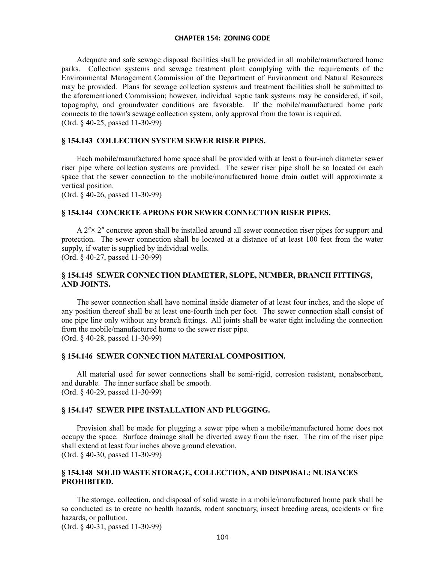Adequate and safe sewage disposal facilities shall be provided in all mobile/manufactured home parks. Collection systems and sewage treatment plant complying with the requirements of the Environmental Management Commission of the Department of Environment and Natural Resources may be provided. Plans for sewage collection systems and treatment facilities shall be submitted to the aforementioned Commission; however, individual septic tank systems may be considered, if soil, topography, and groundwater conditions are favorable. If the mobile/manufactured home park connects to the town's sewage collection system, only approval from the town is required. (Ord. § 40-25, passed 11-30-99)

# **§ 154.143 COLLECTION SYSTEM SEWER RISER PIPES.**

Each mobile/manufactured home space shall be provided with at least a four-inch diameter sewer riser pipe where collection systems are provided. The sewer riser pipe shall be so located on each space that the sewer connection to the mobile/manufactured home drain outlet will approximate a vertical position.

(Ord. § 40-26, passed 11-30-99)

## **§ 154.144 CONCRETE APRONS FOR SEWER CONNECTION RISER PIPES.**

 $A$   $2<sup>″</sup> × 2<sup>″</sup>$  concrete apron shall be installed around all sewer connection riser pipes for support and protection. The sewer connection shall be located at a distance of at least 100 feet from the water supply, if water is supplied by individual wells. (Ord. § 40-27, passed 11-30-99)

# **§ 154.145 SEWER CONNECTION DIAMETER, SLOPE, NUMBER, BRANCH FITTINGS, AND JOINTS.**

The sewer connection shall have nominal inside diameter of at least four inches, and the slope of any position thereof shall be at least one-fourth inch per foot. The sewer connection shall consist of one pipe line only without any branch fittings. All joints shall be water tight including the connection from the mobile/manufactured home to the sewer riser pipe. (Ord. § 40-28, passed 11-30-99)

#### **§ 154.146 SEWER CONNECTION MATERIAL COMPOSITION.**

All material used for sewer connections shall be semi-rigid, corrosion resistant, nonabsorbent, and durable. The inner surface shall be smooth. (Ord. § 40-29, passed 11-30-99)

#### **§ 154.147 SEWER PIPE INSTALLATION AND PLUGGING.**

Provision shall be made for plugging a sewer pipe when a mobile/manufactured home does not occupy the space. Surface drainage shall be diverted away from the riser. The rim of the riser pipe shall extend at least four inches above ground elevation. (Ord. § 40-30, passed 11-30-99)

# **§ 154.148 SOLID WASTE STORAGE, COLLECTION, AND DISPOSAL; NUISANCES PROHIBITED.**

The storage, collection, and disposal of solid waste in a mobile/manufactured home park shall be so conducted as to create no health hazards, rodent sanctuary, insect breeding areas, accidents or fire hazards, or pollution.

(Ord. § 40-31, passed 11-30-99)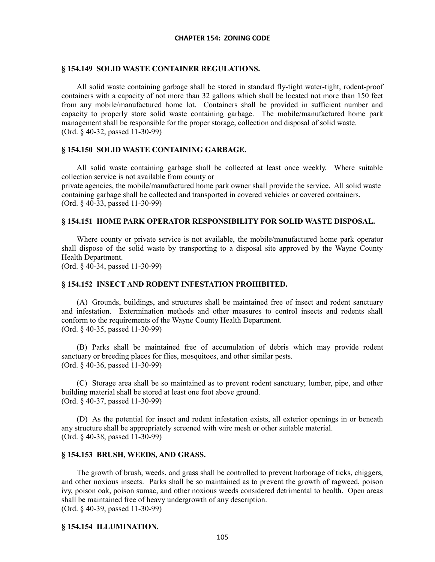#### **§ 154.149 SOLID WASTE CONTAINER REGULATIONS.**

All solid waste containing garbage shall be stored in standard fly-tight water-tight, rodent-proof containers with a capacity of not more than 32 gallons which shall be located not more than 150 feet from any mobile/manufactured home lot. Containers shall be provided in sufficient number and capacity to properly store solid waste containing garbage. The mobile/manufactured home park management shall be responsible for the proper storage, collection and disposal of solid waste. (Ord. § 40-32, passed 11-30-99)

## **§ 154.150 SOLID WASTE CONTAINING GARBAGE.**

All solid waste containing garbage shall be collected at least once weekly. Where suitable collection service is not available from county or private agencies, the mobile/manufactured home park owner shall provide the service. All solid waste containing garbage shall be collected and transported in covered vehicles or covered containers.

(Ord. § 40-33, passed 11-30-99)

## **§ 154.151 HOME PARK OPERATOR RESPONSIBILITY FOR SOLID WASTE DISPOSAL.**

Where county or private service is not available, the mobile/manufactured home park operator shall dispose of the solid waste by transporting to a disposal site approved by the Wayne County Health Department.

(Ord. § 40-34, passed 11-30-99)

## **§ 154.152 INSECT AND RODENT INFESTATION PROHIBITED.**

(A) Grounds, buildings, and structures shall be maintained free of insect and rodent sanctuary and infestation. Extermination methods and other measures to control insects and rodents shall conform to the requirements of the Wayne County Health Department. (Ord. § 40-35, passed 11-30-99)

(B) Parks shall be maintained free of accumulation of debris which may provide rodent sanctuary or breeding places for flies, mosquitoes, and other similar pests. (Ord. § 40-36, passed 11-30-99)

(C) Storage area shall be so maintained as to prevent rodent sanctuary; lumber, pipe, and other building material shall be stored at least one foot above ground. (Ord. § 40-37, passed 11-30-99)

(D) As the potential for insect and rodent infestation exists, all exterior openings in or beneath any structure shall be appropriately screened with wire mesh or other suitable material. (Ord. § 40-38, passed 11-30-99)

#### **§ 154.153 BRUSH, WEEDS, AND GRASS.**

The growth of brush, weeds, and grass shall be controlled to prevent harborage of ticks, chiggers, and other noxious insects. Parks shall be so maintained as to prevent the growth of ragweed, poison ivy, poison oak, poison sumac, and other noxious weeds considered detrimental to health. Open areas shall be maintained free of heavy undergrowth of any description. (Ord. § 40-39, passed 11-30-99)

#### **§ 154.154 ILLUMINATION.**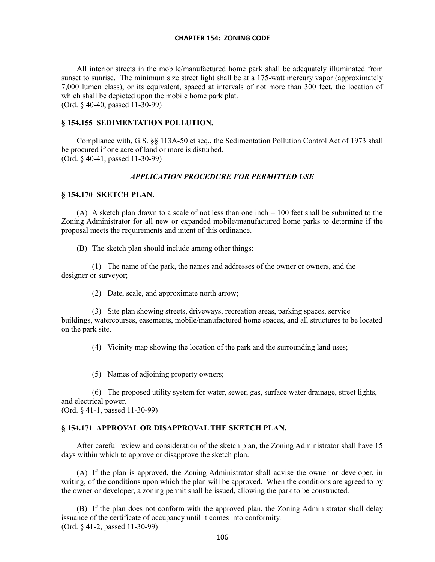All interior streets in the mobile/manufactured home park shall be adequately illuminated from sunset to sunrise. The minimum size street light shall be at a 175-watt mercury vapor (approximately 7,000 lumen class), or its equivalent, spaced at intervals of not more than 300 feet, the location of which shall be depicted upon the mobile home park plat. (Ord. § 40-40, passed 11-30-99)

# **§ 154.155 SEDIMENTATION POLLUTION.**

Compliance with, G.S. §§ 113A-50 et seq., the Sedimentation Pollution Control Act of 1973 shall be procured if one acre of land or more is disturbed. (Ord. § 40-41, passed 11-30-99)

# *APPLICATION PROCEDURE FOR PERMITTED USE*

#### **§ 154.170 SKETCH PLAN.**

(A) A sketch plan drawn to a scale of not less than one inch = 100 feet shall be submitted to the Zoning Administrator for all new or expanded mobile/manufactured home parks to determine if the proposal meets the requirements and intent of this ordinance.

(B) The sketch plan should include among other things:

(1) The name of the park, the names and addresses of the owner or owners, and the designer or surveyor;

(2) Date, scale, and approximate north arrow;

(3) Site plan showing streets, driveways, recreation areas, parking spaces, service buildings, watercourses, easements, mobile/manufactured home spaces, and all structures to be located on the park site.

(4) Vicinity map showing the location of the park and the surrounding land uses;

(5) Names of adjoining property owners;

(6) The proposed utility system for water, sewer, gas, surface water drainage, street lights, and electrical power.

(Ord. § 41-1, passed 11-30-99)

#### **§ 154.171 APPROVAL OR DISAPPROVAL THE SKETCH PLAN.**

After careful review and consideration of the sketch plan, the Zoning Administrator shall have 15 days within which to approve or disapprove the sketch plan.

(A) If the plan is approved, the Zoning Administrator shall advise the owner or developer, in writing, of the conditions upon which the plan will be approved. When the conditions are agreed to by the owner or developer, a zoning permit shall be issued, allowing the park to be constructed.

(B) If the plan does not conform with the approved plan, the Zoning Administrator shall delay issuance of the certificate of occupancy until it comes into conformity. (Ord. § 41-2, passed 11-30-99)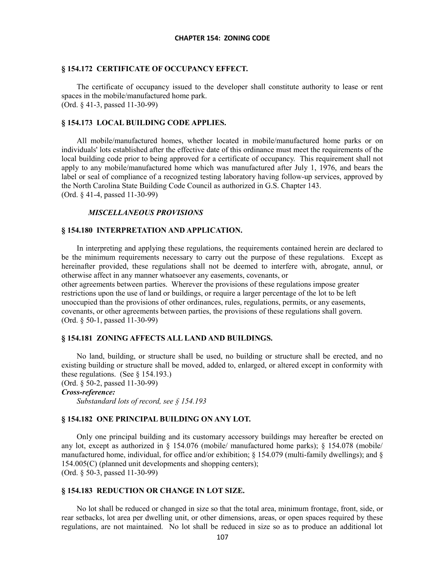## **§ 154.172 CERTIFICATE OF OCCUPANCY EFFECT.**

The certificate of occupancy issued to the developer shall constitute authority to lease or rent spaces in the mobile/manufactured home park. (Ord. § 41-3, passed 11-30-99)

# **§ 154.173 LOCAL BUILDING CODE APPLIES.**

All mobile/manufactured homes, whether located in mobile/manufactured home parks or on individuals' lots established after the effective date of this ordinance must meet the requirements of the local building code prior to being approved for a certificate of occupancy. This requirement shall not apply to any mobile/manufactured home which was manufactured after July 1, 1976, and bears the label or seal of compliance of a recognized testing laboratory having follow-up services, approved by the North Carolina State Building Code Council as authorized in G.S. Chapter 143. (Ord. § 41-4, passed 11-30-99)

## *MISCELLANEOUS PROVISIONS*

## **§ 154.180 INTERPRETATION AND APPLICATION.**

In interpreting and applying these regulations, the requirements contained herein are declared to be the minimum requirements necessary to carry out the purpose of these regulations. Except as hereinafter provided, these regulations shall not be deemed to interfere with, abrogate, annul, or otherwise affect in any manner whatsoever any easements, covenants, or other agreements between parties. Wherever the provisions of these regulations impose greater restrictions upon the use of land or buildings, or require a larger percentage of the lot to be left unoccupied than the provisions of other ordinances, rules, regulations, permits, or any easements, covenants, or other agreements between parties, the provisions of these regulations shall govern. (Ord. § 50-1, passed 11-30-99)

#### **§ 154.181 ZONING AFFECTS ALL LAND AND BUILDINGS.**

No land, building, or structure shall be used, no building or structure shall be erected, and no existing building or structure shall be moved, added to, enlarged, or altered except in conformity with these regulations. (See § 154.193.) (Ord. § 50-2, passed 11-30-99)

*Cross-reference:*

*Substandard lots of record, see § 154.193*

## **§ 154.182 ONE PRINCIPAL BUILDING ON ANY LOT.**

Only one principal building and its customary accessory buildings may hereafter be erected on any lot, except as authorized in  $\S$  154.076 (mobile/ manufactured home parks);  $\S$  154.078 (mobile/ manufactured home, individual, for office and/or exhibition; § 154.079 (multi-family dwellings); and § 154.005(C) (planned unit developments and shopping centers); (Ord. § 50-3, passed 11-30-99)

# **§ 154.183 REDUCTION OR CHANGE IN LOT SIZE.**

No lot shall be reduced or changed in size so that the total area, minimum frontage, front, side, or rear setbacks, lot area per dwelling unit, or other dimensions, areas, or open spaces required by these regulations, are not maintained. No lot shall be reduced in size so as to produce an additional lot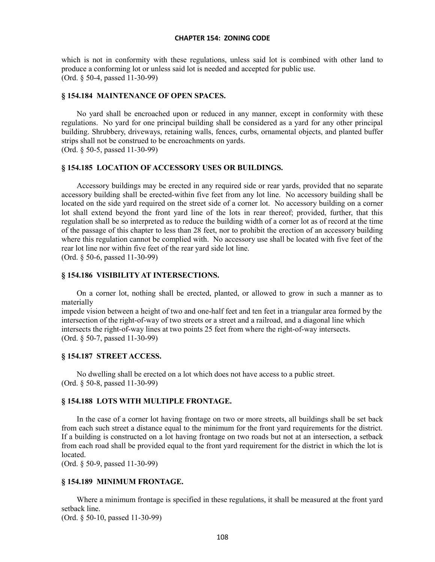which is not in conformity with these regulations, unless said lot is combined with other land to produce a conforming lot or unless said lot is needed and accepted for public use. (Ord. § 50-4, passed 11-30-99)

#### **§ 154.184 MAINTENANCE OF OPEN SPACES.**

No yard shall be encroached upon or reduced in any manner, except in conformity with these regulations. No yard for one principal building shall be considered as a yard for any other principal building. Shrubbery, driveways, retaining walls, fences, curbs, ornamental objects, and planted buffer strips shall not be construed to be encroachments on yards. (Ord. § 50-5, passed 11-30-99)

**§ 154.185 LOCATION OF ACCESSORY USES OR BUILDINGS.**

Accessory buildings may be erected in any required side or rear yards, provided that no separate accessory building shall be erected-within five feet from any lot line. No accessory building shall be located on the side yard required on the street side of a corner lot. No accessory building on a corner lot shall extend beyond the front yard line of the lots in rear thereof; provided, further, that this regulation shall be so interpreted as to reduce the building width of a corner lot as of record at the time of the passage of this chapter to less than 28 feet, nor to prohibit the erection of an accessory building where this regulation cannot be complied with. No accessory use shall be located with five feet of the rear lot line nor within five feet of the rear yard side lot line. (Ord. § 50-6, passed 11-30-99)

# **§ 154.186 VISIBILITY AT INTERSECTIONS.**

On a corner lot, nothing shall be erected, planted, or allowed to grow in such a manner as to materially

impede vision between a height of two and one-half feet and ten feet in a triangular area formed by the intersection of the right-of-way of two streets or a street and a railroad, and a diagonal line which intersects the right-of-way lines at two points 25 feet from where the right-of-way intersects. (Ord. § 50-7, passed 11-30-99)

# **§ 154.187 STREET ACCESS.**

No dwelling shall be erected on a lot which does not have access to a public street. (Ord. § 50-8, passed 11-30-99)

# **§ 154.188 LOTS WITH MULTIPLE FRONTAGE.**

In the case of a corner lot having frontage on two or more streets, all buildings shall be set back from each such street a distance equal to the minimum for the front yard requirements for the district. If a building is constructed on a lot having frontage on two roads but not at an intersection, a setback from each road shall be provided equal to the front yard requirement for the district in which the lot is located.

(Ord. § 50-9, passed 11-30-99)

# **§ 154.189 MINIMUM FRONTAGE.**

Where a minimum frontage is specified in these regulations, it shall be measured at the front yard setback line.

(Ord. § 50-10, passed 11-30-99)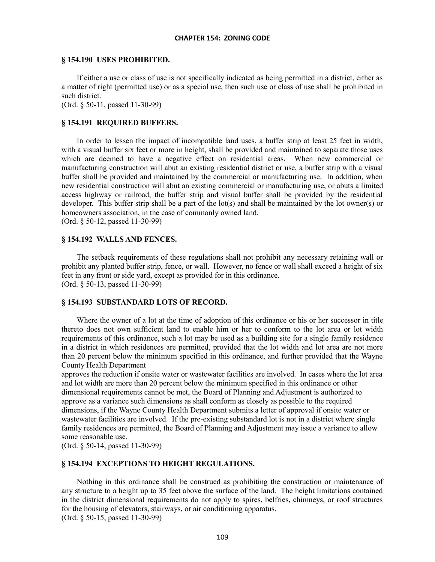#### **§ 154.190 USES PROHIBITED.**

If either a use or class of use is not specifically indicated as being permitted in a district, either as a matter of right (permitted use) or as a special use, then such use or class of use shall be prohibited in such district.

(Ord. § 50-11, passed 11-30-99)

# **§ 154.191 REQUIRED BUFFERS.**

In order to lessen the impact of incompatible land uses, a buffer strip at least 25 feet in width, with a visual buffer six feet or more in height, shall be provided and maintained to separate those uses which are deemed to have a negative effect on residential areas. When new commercial or manufacturing construction will abut an existing residential district or use, a buffer strip with a visual buffer shall be provided and maintained by the commercial or manufacturing use. In addition, when new residential construction will abut an existing commercial or manufacturing use, or abuts a limited access highway or railroad, the buffer strip and visual buffer shall be provided by the residential developer. This buffer strip shall be a part of the lot(s) and shall be maintained by the lot owner(s) or homeowners association, in the case of commonly owned land. (Ord. § 50-12, passed 11-30-99)

#### **§ 154.192 WALLS AND FENCES.**

The setback requirements of these regulations shall not prohibit any necessary retaining wall or prohibit any planted buffer strip, fence, or wall. However, no fence or wall shall exceed a height of six feet in any front or side yard, except as provided for in this ordinance. (Ord. § 50-13, passed 11-30-99)

## **§ 154.193 SUBSTANDARD LOTS OF RECORD.**

Where the owner of a lot at the time of adoption of this ordinance or his or her successor in title thereto does not own sufficient land to enable him or her to conform to the lot area or lot width requirements of this ordinance, such a lot may be used as a building site for a single family residence in a district in which residences are permitted, provided that the lot width and lot area are not more than 20 percent below the minimum specified in this ordinance, and further provided that the Wayne County Health Department

approves the reduction if onsite water or wastewater facilities are involved. In cases where the lot area and lot width are more than 20 percent below the minimum specified in this ordinance or other dimensional requirements cannot be met, the Board of Planning and Adjustment is authorized to approve as a variance such dimensions as shall conform as closely as possible to the required dimensions, if the Wayne County Health Department submits a letter of approval if onsite water or wastewater facilities are involved. If the pre-existing substandard lot is not in a district where single family residences are permitted, the Board of Planning and Adjustment may issue a variance to allow some reasonable use.

(Ord. § 50-14, passed 11-30-99)

#### **§ 154.194 EXCEPTIONS TO HEIGHT REGULATIONS.**

Nothing in this ordinance shall be construed as prohibiting the construction or maintenance of any structure to a height up to 35 feet above the surface of the land. The height limitations contained in the district dimensional requirements do not apply to spires, belfries, chimneys, or roof structures for the housing of elevators, stairways, or air conditioning apparatus. (Ord. § 50-15, passed 11-30-99)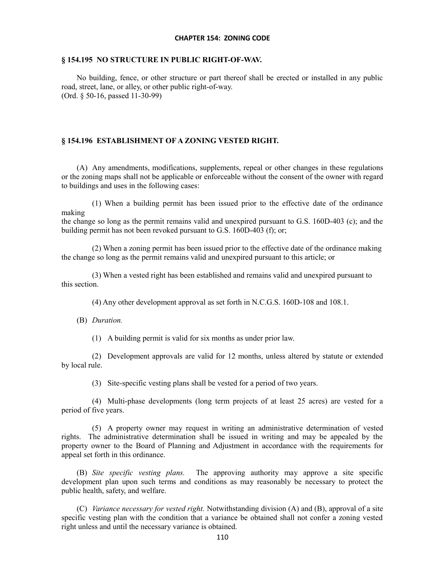#### **§ 154.195 NO STRUCTURE IN PUBLIC RIGHT-OF-WAV.**

No building, fence, or other structure or part thereof shall be erected or installed in any public road, street, lane, or alley, or other public right-of-way. (Ord. § 50-16, passed 11-30-99)

#### **§ 154.196 ESTABLISHMENT OF A ZONING VESTED RIGHT.**

(A) Any amendments, modifications, supplements, repeal or other changes in these regulations or the zoning maps shall not be applicable or enforceable without the consent of the owner with regard to buildings and uses in the following cases:

(1) When a building permit has been issued prior to the effective date of the ordinance making

the change so long as the permit remains valid and unexpired pursuant to G.S. 160D-403 (c); and the building permit has not been revoked pursuant to G.S. 160D-403 (f); or;

(2) When a zoning permit has been issued prior to the effective date of the ordinance making the change so long as the permit remains valid and unexpired pursuant to this article; or

(3) When a vested right has been established and remains valid and unexpired pursuant to this section.

(4) Any other development approval as set forth in N.C.G.S. 160D-108 and 108.1.

(B) *Duration.*

(1) A building permit is valid for six months as under prior law.

(2) Development approvals are valid for 12 months, unless altered by statute or extended by local rule.

(3) Site-specific vesting plans shall be vested for a period of two years.

(4) Multi-phase developments (long term projects of at least 25 acres) are vested for a period of five years.

(5) A property owner may request in writing an administrative determination of vested rights. The administrative determination shall be issued in writing and may be appealed by the property owner to the Board of Planning and Adjustment in accordance with the requirements for appeal set forth in this ordinance.

(B) *Site specific vesting plans.* The approving authority may approve a site specific development plan upon such terms and conditions as may reasonably be necessary to protect the public health, safety, and welfare.

(C) *Variance necessary for vested right.* Notwithstanding division (A) and (B), approval of a site specific vesting plan with the condition that a variance be obtained shall not confer a zoning vested right unless and until the necessary variance is obtained.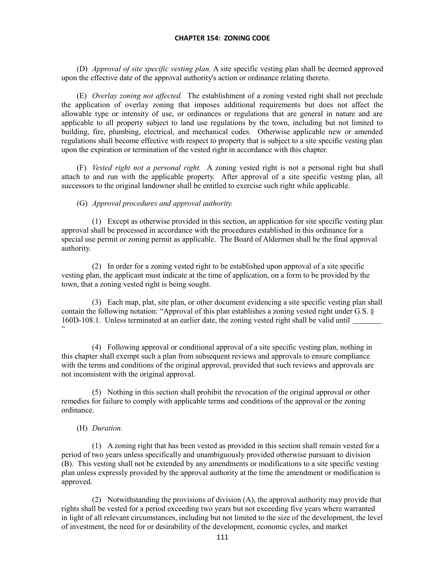(D) *Approval of site specific vesting plan.* A site specific vesting plan shall be deemed approved upon the effective date of the approval authority's action or ordinance relating thereto.

(E) *Overlay zoning not affected.* The establishment of a zoning vested right shall not preclude the application of overlay zoning that imposes additional requirements but does not affect the allowable type or intensity of use, or ordinances or regulations that are general in nature and are applicable to all property subject to land use regulations by the town, including but not limited to building, fire, plumbing, electrical, and mechanical codes. Otherwise applicable new or amended regulations shall become effective with respect to property that is subject to a site specific vesting plan upon the expiration or termination of the vested right in accordance with this chapter.

(F) *Vested right not a personal right.* A zoning vested right is not a personal right but shall attach to and run with the applicable property. After approval of a site specific vesting plan, all successors to the original landowner shall be entitled to exercise such right while applicable.

(G) *Approval procedures and approval authority.*

(1) Except as otherwise provided in this section, an application for site specific vesting plan approval shall be processed in accordance with the procedures established in this ordinance for a special use permit or zoning permit as applicable. The Board of Aldermen shall be the final approval authority.

(2) In order for a zoning vested right to be established upon approval of a site specific vesting plan, the applicant must indicate at the time of application, on a form to be provided by the town, that a zoning vested right is being sought.

(3) Each map, plat, site plan, or other document evidencing a site specific vesting plan shall contain the following notation: "Approval of this plan establishes a zoning vested right under G.S. § 160D-108.1. Unless terminated at an earlier date, the zoning vested right shall be valid until "

(4) Following approval or conditional approval of a site specific vesting plan, nothing in this chapter shall exempt such a plan from subsequent reviews and approvals to ensure compliance with the terms and conditions of the original approval, provided that such reviews and approvals are not inconsistent with the original approval.

(5) Nothing in this section shall prohibit the revocation of the original approval or other remedies for failure to comply with applicable terms and conditions of the approval or the zoning ordinance.

# (H) *Duration.*

(1) A zoning right that has been vested as provided in this section shall remain vested for a period of two years unless specifically and unambiguously provided otherwise pursuant to division (B). This vesting shall not be extended by any amendments or modifications to a site specific vesting plan unless expressly provided by the approval authority at the time the amendment or modification is approved.

(2) Notwithstanding the provisions of division (A), the approval authority may provide that rights shall be vested for a period exceeding two years but not exceeding five years where warranted in light of all relevant circumstances, including but not limited to the size of the development, the level of investment, the need for or desirability of the development, economic cycles, and market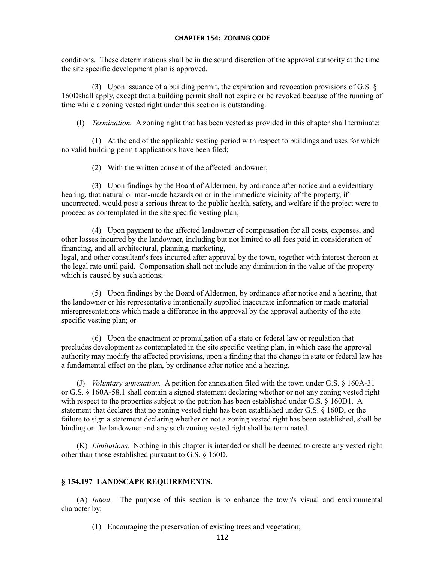conditions. These determinations shall be in the sound discretion of the approval authority at the time the site specific development plan is approved.

(3) Upon issuance of a building permit, the expiration and revocation provisions of G.S. § 160Dshall apply, except that a building permit shall not expire or be revoked because of the running of time while a zoning vested right under this section is outstanding.

(I) *Termination.* A zoning right that has been vested as provided in this chapter shall terminate:

(1) At the end of the applicable vesting period with respect to buildings and uses for which no valid building permit applications have been filed;

(2) With the written consent of the affected landowner;

(3) Upon findings by the Board of Aldermen, by ordinance after notice and a evidentiary hearing, that natural or man-made hazards on or in the immediate vicinity of the property, if uncorrected, would pose a serious threat to the public health, safety, and welfare if the project were to proceed as contemplated in the site specific vesting plan;

(4) Upon payment to the affected landowner of compensation for all costs, expenses, and other losses incurred by the landowner, including but not limited to all fees paid in consideration of financing, and all architectural, planning, marketing,

legal, and other consultant's fees incurred after approval by the town, together with interest thereon at the legal rate until paid. Compensation shall not include any diminution in the value of the property which is caused by such actions;

(5) Upon findings by the Board of Aldermen, by ordinance after notice and a hearing, that the landowner or his representative intentionally supplied inaccurate information or made material misrepresentations which made a difference in the approval by the approval authority of the site specific vesting plan; or

(6) Upon the enactment or promulgation of a state or federal law or regulation that precludes development as contemplated in the site specific vesting plan, in which case the approval authority may modify the affected provisions, upon a finding that the change in state or federal law has a fundamental effect on the plan, by ordinance after notice and a hearing.

(J) *Voluntary annexation.* A petition for annexation filed with the town under G.S. § 160A-31 or G.S. § 160A-58.1 shall contain a signed statement declaring whether or not any zoning vested right with respect to the properties subject to the petition has been established under G.S. § 160D1. A statement that declares that no zoning vested right has been established under G.S. § 160D, or the failure to sign a statement declaring whether or not a zoning vested right has been established, shall be binding on the landowner and any such zoning vested right shall be terminated.

(K) *Limitations.* Nothing in this chapter is intended or shall be deemed to create any vested right other than those established pursuant to G.S. § 160D.

# **§ 154.197 LANDSCAPE REQUIREMENTS.**

(A) *Intent.* The purpose of this section is to enhance the town's visual and environmental character by:

(1) Encouraging the preservation of existing trees and vegetation;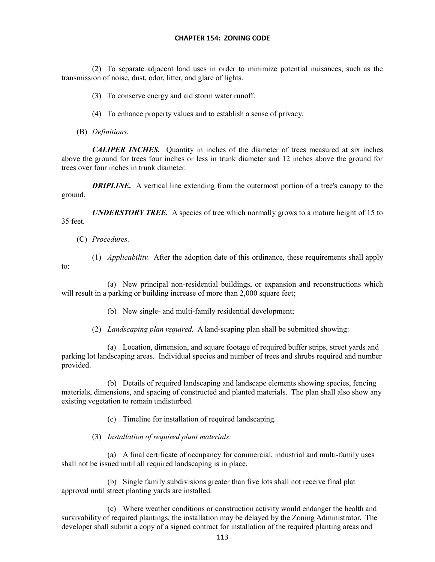(2) To separate adjacent land uses in order to minimize potential nuisances, such as the transmission of noise, dust, odor, litter, and glare of lights.

- (3) To conserve energy and aid storm water runoff.
- (4) To enhance property values and to establish a sense of privacy.
- (B) *Definitions.*

*CALIPER INCHES.* Quantity in inches of the diameter of trees measured at six inches above the ground for trees four inches or less in trunk diameter and 12 inches above the ground for trees over four inches in trunk diameter.

*DRIPLINE.* A vertical line extending from the outermost portion of a tree's canopy to the ground.

*UNDERSTORY TREE.* A species of tree which normally grows to a mature height of 15 to 35 feet.

- (C) *Procedures.*
- (1) *Applicability.* After the adoption date of this ordinance, these requirements shall apply to:

(a) New principal non-residential buildings, or expansion and reconstructions which will result in a parking or building increase of more than 2,000 square feet;

- (b) New single- and multi-family residential development;
- (2) *Landscaping plan required.* A land-scaping plan shall be submitted showing:

(a) Location, dimension, and square footage of required buffer strips, street yards and parking lot landscaping areas. Individual species and number of trees and shrubs required and number provided.

(b) Details of required landscaping and landscape elements showing species, fencing materials, dimensions, and spacing of constructed and planted materials. The plan shall also show any existing vegetation to remain undisturbed.

(c) Timeline for installation of required landscaping.

(3) *Installation of required plant materials:*

(a) A final certificate of occupancy for commercial, industrial and multi-family uses shall not be issued until all required landscaping is in place.

(b) Single family subdivisions greater than five lots shall not receive final plat approval until street planting yards are installed.

(c) Where weather conditions or construction activity would endanger the health and survivability of required plantings, the installation may be delayed by the Zoning Administrator. The developer shall submit a copy of a signed contract for installation of the required planting areas and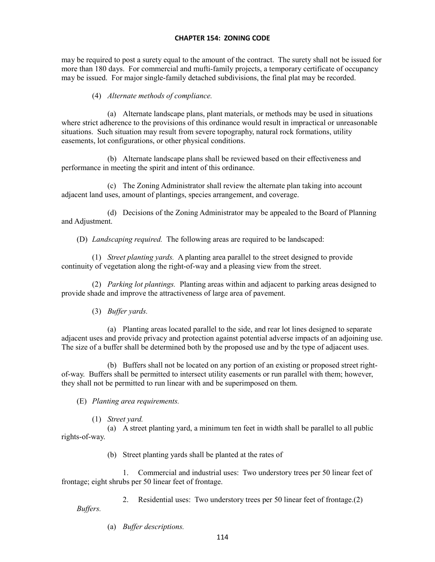may be required to post a surety equal to the amount of the contract. The surety shall not be issued for more than 180 days. For commercial and mufti-family projects, a temporary certificate of occupancy may be issued. For major single-family detached subdivisions, the final plat may be recorded.

# (4) *Alternate methods of compliance.*

(a) Alternate landscape plans, plant materials, or methods may be used in situations where strict adherence to the provisions of this ordinance would result in impractical or unreasonable situations. Such situation may result from severe topography, natural rock formations, utility easements, lot configurations, or other physical conditions.

(b) Alternate landscape plans shall be reviewed based on their effectiveness and performance in meeting the spirit and intent of this ordinance.

(c) The Zoning Administrator shall review the alternate plan taking into account adjacent land uses, amount of plantings, species arrangement, and coverage.

(d) Decisions of the Zoning Administrator may be appealed to the Board of Planning and Adjustment.

(D) *Landscaping required.* The following areas are required to be landscaped:

(1) *Street planting yards.* A planting area parallel to the street designed to provide continuity of vegetation along the right-of-way and a pleasing view from the street.

(2) *Parking lot plantings.* Planting areas within and adjacent to parking areas designed to provide shade and improve the attractiveness of large area of pavement.

(3) *Buffer yards.*

(a) Planting areas located parallel to the side, and rear lot lines designed to separate adjacent uses and provide privacy and protection against potential adverse impacts of an adjoining use. The size of a buffer shall be determined both by the proposed use and by the type of adjacent uses.

(b) Buffers shall not be located on any portion of an existing or proposed street rightof-way. Buffers shall be permitted to intersect utility easements or run parallel with them; however, they shall not be permitted to run linear with and be superimposed on them.

(E) *Planting area requirements.*

(1) *Street yard.*

(a) A street planting yard, a minimum ten feet in width shall be parallel to all public rights-of-way.

(b) Street planting yards shall be planted at the rates of

1. Commercial and industrial uses: Two understory trees per 50 linear feet of frontage; eight shrubs per 50 linear feet of frontage.

2. Residential uses: Two understory trees per 50 linear feet of frontage.(2) *Buffers.*

(a) *Buffer descriptions.*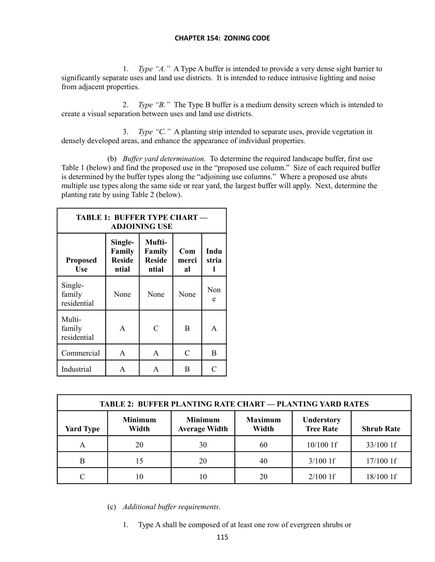1. *Type "A."* A Type A buffer is intended to provide a very dense sight barrier to significantly separate uses and land use districts. It is intended to reduce intrusive lighting and noise from adjacent properties.

2. *Type "B."* The Type B buffer is a medium density screen which is intended to create a visual separation between uses and land use districts.

3. *Type "C."* A planting strip intended to separate uses, provide vegetation in densely developed areas, and enhance the appearance of individual properties.

(b) *Buffer yard determination.* To determine the required landscape buffer, first use Table 1 (below) and find the proposed use in the "proposed use column." Size of each required buffer is determined by the buffer types along the "adjoining use columns." Where a proposed use abuts multiple use types along the same side or rear yard, the largest buffer will apply. Next, determine the planting rate by using Table 2 (below).

| <b>TABLE 1: BUFFER TYPE CHART -</b><br><b>ADJOINING USE</b> |                                             |                                            |                    |               |
|-------------------------------------------------------------|---------------------------------------------|--------------------------------------------|--------------------|---------------|
| <b>Proposed</b><br><b>Use</b>                               | Single-<br>Family<br><b>Reside</b><br>ntial | Mufti-<br>Family<br><b>Reside</b><br>ntial | Com<br>merci<br>al | Indu<br>stria |
| Single-<br>family<br>residential                            | None                                        | None                                       | None               | Non<br>e      |
| Multi-<br>family<br>residential                             | A                                           | $\mathcal{C}$                              | B                  | A             |
| Commercial                                                  | A                                           | $\mathsf{A}$                               | $\mathsf{C}$       | B             |
| Industrial                                                  | A                                           | A                                          | B                  | C             |

| <b>TABLE 2: BUFFER PLANTING RATE CHART — PLANTING YARD RATES</b> |                         |                                        |                         |                                       |                   |
|------------------------------------------------------------------|-------------------------|----------------------------------------|-------------------------|---------------------------------------|-------------------|
| <b>Yard Type</b>                                                 | <b>Minimum</b><br>Width | <b>Minimum</b><br><b>Average Width</b> | <b>Maximum</b><br>Width | <b>Understory</b><br><b>Tree Rate</b> | <b>Shrub Rate</b> |
| A                                                                | 20                      | 30                                     | 60                      | $10/100$ 1f                           | 33/100 1f         |
| B                                                                | 15                      | 20                                     | 40                      | $3/100$ 1f                            | 17/100 1f         |
|                                                                  |                         | 10                                     | 20                      | $2/100$ 1f                            | 18/100 1f         |

(c) *Additional buffer requirements.*

1. Type A shall be composed of at least one row of evergreen shrubs or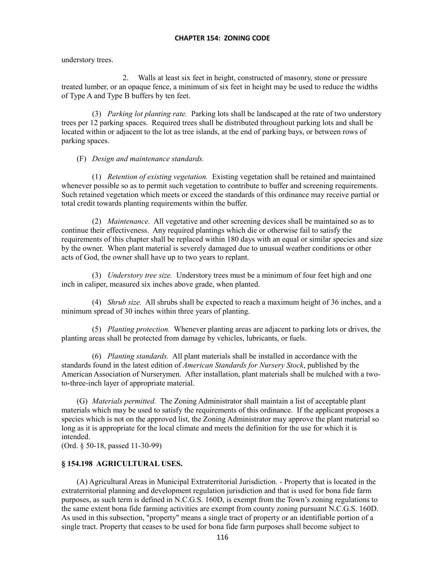understory trees.

2. Walls at least six feet in height, constructed of masonry, stone or pressure treated lumber, or an opaque fence, a minimum of six feet in height may be used to reduce the widths of Type A and Type B buffers by ten feet.

(3) *Parking lot planting rate.* Parking lots shall be landscaped at the rate of two understory trees per 12 parking spaces. Required trees shall be distributed throughout parking lots and shall be located within or adjacent to the lot as tree islands, at the end of parking bays, or between rows of parking spaces.

# (F) *Design and maintenance standards.*

(1) *Retention of existing vegetation.* Existing vegetation shall be retained and maintained whenever possible so as to permit such vegetation to contribute to buffer and screening requirements. Such retained vegetation which meets or exceed the standards of this ordinance may receive partial or total credit towards planting requirements within the buffer.

(2) *Maintenance.* All vegetative and other screening devices shall be maintained so as to continue their effectiveness. Any required plantings which die or otherwise fail to satisfy the requirements of this chapter shall be replaced within 180 days with an equal or similar species and size by the owner. When plant material is severely damaged due to unusual weather conditions or other acts of God, the owner shall have up to two years to replant.

(3) *Understory tree size.* Understory trees must be a minimum of four feet high and one inch in caliper, measured six inches above grade, when planted.

(4) *Shrub size.* All shrubs shall be expected to reach a maximum height of 36 inches, and a minimum spread of 30 inches within three years of planting.

(5) *Planting protection.* Whenever planting areas are adjacent to parking lots or drives, the planting areas shall be protected from damage by vehicles, lubricants, or fuels.

(6) *Planting standards.* All plant materials shall be installed in accordance with the standards found in the latest edition of *American Standards for Nursery Stock*, published by the American Association of Nurserymen. After installation, plant materials shall be mulched with a twoto-three-inch layer of appropriate material.

(G) *Materials permitted.* The Zoning Administrator shall maintain a list of acceptable plant materials which may be used to satisfy the requirements of this ordinance. If the applicant proposes a species which is not on the approved list, the Zoning Administrator may approve the plant material so long as it is appropriate for the local climate and meets the definition for the use for which it is intended.

(Ord. § 50-18, passed 11-30-99)

# **§ 154.198 AGRICULTURAL USES.**

(A) Agricultural Areas in Municipal Extraterritorial Jurisdiction. - Property that is located in the extraterritorial planning and development regulation jurisdiction and that is used for bona fide farm purposes, as such term is defined in N.C.G.S. 160D, is exempt from the Town's zoning regulations to the same extent bona fide farming activities are exempt from county zoning pursuant N.C.G.S. 160D. As used in this subsection, "property" means a single tract of property or an identifiable portion of a single tract. Property that ceases to be used for bona fide farm purposes shall become subject to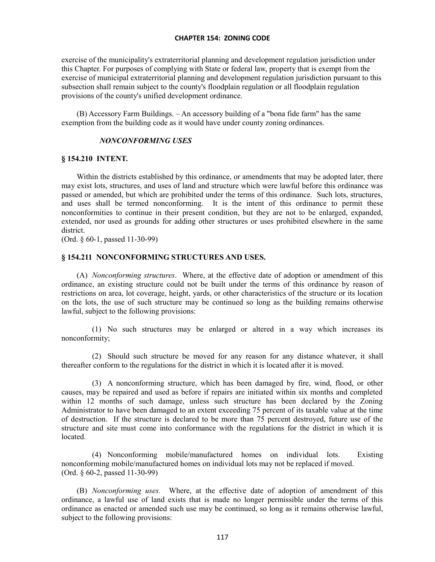exercise of the municipality's extraterritorial planning and development regulation jurisdiction under this Chapter. For purposes of complying with State or federal law, property that is exempt from the exercise of municipal extraterritorial planning and development regulation jurisdiction pursuant to this subsection shall remain subject to the county's floodplain regulation or all floodplain regulation provisions of the county's unified development ordinance.

(B) Accessory Farm Buildings. – An accessory building of a "bona fide farm" has the same exemption from the building code as it would have under county zoning ordinances.

## *NONCONFORMING USES*

#### **§ 154.210 INTENT.**

Within the districts established by this ordinance, or amendments that may be adopted later, there may exist lots, structures, and uses of land and structure which were lawful before this ordinance was passed or amended, but which are prohibited under the terms of this ordinance. Such lots, structures, and uses shall be termed nonconforming. It is the intent of this ordinance to permit these It is the intent of this ordinance to permit these nonconformities to continue in their present condition, but they are not to be enlarged, expanded, extended, nor used as grounds for adding other structures or uses prohibited elsewhere in the same district.

(Ord. § 60-1, passed 11-30-99)

# **§ 154.211 NONCONFORMING STRUCTURES AND USES.**

(A) *Nonconforming structures*. Where, at the effective date of adoption or amendment of this ordinance, an existing structure could not be built under the terms of this ordinance by reason of restrictions on area, lot coverage, height, yards, or other characteristics of the structure or its location on the lots, the use of such structure may be continued so long as the building remains otherwise lawful, subject to the following provisions:

(1) No such structures may be enlarged or altered in a way which increases its nonconformity;

(2) Should such structure be moved for any reason for any distance whatever, it shall thereafter conform to the regulations for the district in which it is located after it is moved.

(3) A nonconforming structure, which has been damaged by fire, wind, flood, or other causes, may be repaired and used as before if repairs are initiated within six months and completed within 12 months of such damage, unless such structure has been declared by the Zoning Administrator to have been damaged to an extent exceeding 75 percent of its taxable value at the time of destruction. If the structure is declared to be more than 75 percent destroyed, future use of the structure and site must come into conformance with the regulations for the district in which it is located.

(4) Nonconforming mobile/manufactured homes on individual lots. Existing nonconforming mobile/manufactured homes on individual lots may not be replaced if moved. (Ord. § 60-2, passed 11-30-99)

(B) *Nonconforming uses.* Where, at the effective date of adoption of amendment of this ordinance, a lawful use of land exists that is made no longer permissible under the terms of this ordinance as enacted or amended such use may be continued, so long as it remains otherwise lawful, subject to the following provisions: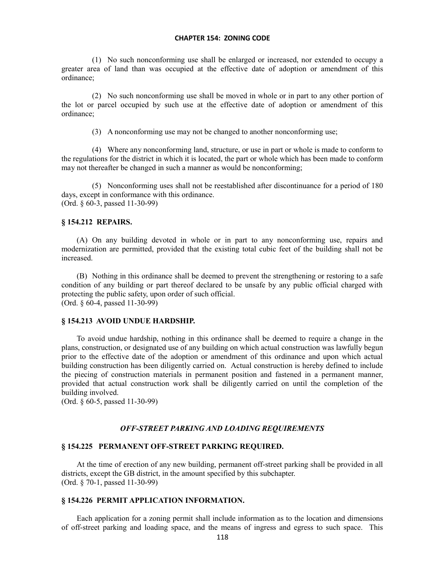(1) No such nonconforming use shall be enlarged or increased, nor extended to occupy a greater area of land than was occupied at the effective date of adoption or amendment of this ordinance;

(2) No such nonconforming use shall be moved in whole or in part to any other portion of the lot or parcel occupied by such use at the effective date of adoption or amendment of this ordinance;

(3) A nonconforming use may not be changed to another nonconforming use;

(4) Where any nonconforming land, structure, or use in part or whole is made to conform to the regulations for the district in which it is located, the part or whole which has been made to conform may not thereafter be changed in such a manner as would be nonconforming;

(5) Nonconforming uses shall not be reestablished after discontinuance for a period of 180 days, except in conformance with this ordinance. (Ord. § 60-3, passed 11-30-99)

# **§ 154.212 REPAIRS.**

(A) On any building devoted in whole or in part to any nonconforming use, repairs and modernization are permitted, provided that the existing total cubic feet of the building shall not be increased.

(B) Nothing in this ordinance shall be deemed to prevent the strengthening or restoring to a safe condition of any building or part thereof declared to be unsafe by any public official charged with protecting the public safety, upon order of such official. (Ord. § 60-4, passed 11-30-99)

# **§ 154.213 AVOID UNDUE HARDSHIP.**

To avoid undue hardship, nothing in this ordinance shall be deemed to require a change in the plans, construction, or designated use of any building on which actual construction was lawfully begun prior to the effective date of the adoption or amendment of this ordinance and upon which actual building construction has been diligently carried on. Actual construction is hereby defined to include the piecing of construction materials in permanent position and fastened in a permanent manner, provided that actual construction work shall be diligently carried on until the completion of the building involved.

(Ord. § 60-5, passed 11-30-99)

#### *OFF-STREET PARKING AND LOADING REQUIREMENTS*

# **§ 154.225 PERMANENT OFF-STREET PARKING REQUIRED.**

At the time of erection of any new building, permanent off-street parking shall be provided in all districts, except the GB district, in the amount specified by this subchapter. (Ord. § 70-1, passed 11-30-99)

#### **§ 154.226 PERMIT APPLICATION INFORMATION.**

Each application for a zoning permit shall include information as to the location and dimensions of off-street parking and loading space, and the means of ingress and egress to such space. This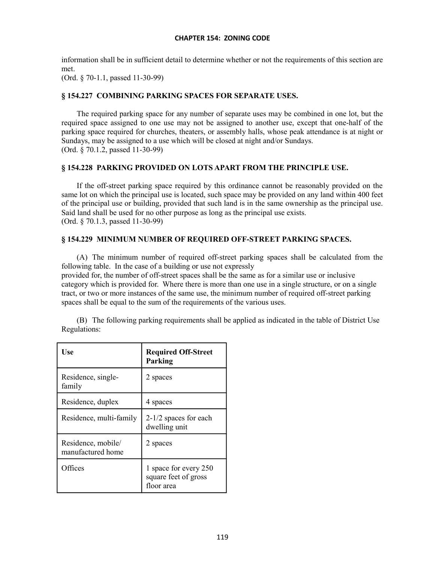information shall be in sufficient detail to determine whether or not the requirements of this section are met.

(Ord. § 70-1.1, passed 11-30-99)

# **§ 154.227 COMBINING PARKING SPACES FOR SEPARATE USES.**

The required parking space for any number of separate uses may be combined in one lot, but the required space assigned to one use may not be assigned to another use, except that one-half of the parking space required for churches, theaters, or assembly halls, whose peak attendance is at night or Sundays, may be assigned to a use which will be closed at night and/or Sundays. (Ord. § 70.1.2, passed 11-30-99)

# **§ 154.228 PARKING PROVIDED ON LOTS APART FROM THE PRINCIPLE USE.**

If the off-street parking space required by this ordinance cannot be reasonably provided on the same lot on which the principal use is located, such space may be provided on any land within 400 feet of the principal use or building, provided that such land is in the same ownership as the principal use. Said land shall be used for no other purpose as long as the principal use exists. (Ord. § 70.1.3, passed 11-30-99)

# **§ 154.229 MINIMUM NUMBER OF REQUIRED OFF-STREET PARKING SPACES.**

(A) The minimum number of required off-street parking spaces shall be calculated from the following table. In the case of a building or use not expressly provided for, the number of off-street spaces shall be the same as for a similar use or inclusive

category which is provided for. Where there is more than one use in a single structure, or on a single tract, or two or more instances of the same use, the minimum number of required off-street parking spaces shall be equal to the sum of the requirements of the various uses.

|              | (B) The following parking requirements shall be applied as indicated in the table of District Use |  |  |  |
|--------------|---------------------------------------------------------------------------------------------------|--|--|--|
| Regulations: |                                                                                                   |  |  |  |

| Use                                     | <b>Required Off-Street</b><br>Parking                       |
|-----------------------------------------|-------------------------------------------------------------|
| Residence, single-<br>family            | 2 spaces                                                    |
| Residence, duplex                       | 4 spaces                                                    |
| Residence, multi-family                 | $2-1/2$ spaces for each<br>dwelling unit                    |
| Residence, mobile/<br>manufactured home | 2 spaces                                                    |
| Offices                                 | 1 space for every 250<br>square feet of gross<br>floor area |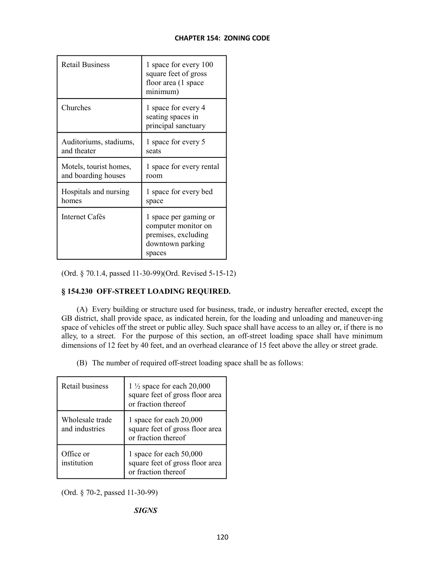| <b>Retail Business</b> | 1 space for every 100<br>square feet of gross<br>floor area (1 space<br>minimum)                  |
|------------------------|---------------------------------------------------------------------------------------------------|
| Churches               | 1 space for every 4<br>seating spaces in<br>principal sanctuary                                   |
| Auditoriums, stadiums, | 1 space for every 5                                                                               |
| and theater            | seats                                                                                             |
| Motels, tourist homes, | 1 space for every rental                                                                          |
| and boarding houses    | room                                                                                              |
| Hospitals and nursing  | 1 space for every bed                                                                             |
| homes                  | space                                                                                             |
| Internet Cafés         | 1 space per gaming or<br>computer monitor on<br>premises, excluding<br>downtown parking<br>spaces |

(Ord. § 70.1.4, passed 11-30-99)(Ord. Revised 5-15-12)

# **§ 154.230 OFF-STREET LOADING REQUIRED.**

(A) Every building or structure used for business, trade, or industry hereafter erected, except the GB district, shall provide space, as indicated herein, for the loading and unloading and maneuver-ing space of vehicles off the street or public alley. Such space shall have access to an alley or, if there is no alley, to a street. For the purpose of this section, an off-street loading space shall have minimum dimensions of 12 feet by 40 feet, and an overhead clearance of 15 feet above the alley or street grade.

(B) The number of required off-street loading space shall be as follows:

| Retail business                   | 1 $\frac{1}{2}$ space for each 20,000<br>square feet of gross floor area<br>or fraction thereof |
|-----------------------------------|-------------------------------------------------------------------------------------------------|
| Wholesale trade<br>and industries | 1 space for each 20,000<br>square feet of gross floor area<br>or fraction thereof               |
| Office or<br>institution          | 1 space for each 50,000<br>square feet of gross floor area<br>or fraction thereof               |

(Ord. § 70-2, passed 11-30-99)

# *SIGNS*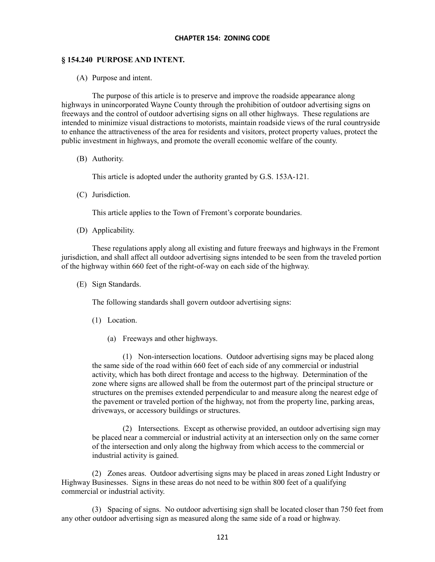# **§ 154.240 PURPOSE AND INTENT.**

(A) Purpose and intent.

The purpose of this article is to preserve and improve the roadside appearance along highways in unincorporated Wayne County through the prohibition of outdoor advertising signs on freeways and the control of outdoor advertising signs on all other highways. These regulations are intended to minimize visual distractions to motorists, maintain roadside views of the rural countryside to enhance the attractiveness of the area for residents and visitors, protect property values, protect the public investment in highways, and promote the overall economic welfare of the county.

(B) Authority.

This article is adopted under the authority granted by G.S. 153A-121.

(C) Jurisdiction.

This article applies to the Town of Fremont's corporate boundaries.

(D) Applicability.

These regulations apply along all existing and future freeways and highways in the Fremont jurisdiction, and shall affect all outdoor advertising signs intended to be seen from the traveled portion of the highway within 660 feet of the right-of-way on each side of the highway.

(E) Sign Standards.

The following standards shall govern outdoor advertising signs:

- (1) Location.
	- (a) Freeways and other highways.

(1) Non-intersection locations. Outdoor advertising signs may be placed along the same side of the road within 660 feet of each side of any commercial or industrial activity, which has both direct frontage and access to the highway. Determination of the zone where signs are allowed shall be from the outermost part of the principal structure or structures on the premises extended perpendicular to and measure along the nearest edge of the pavement or traveled portion of the highway, not from the property line, parking areas, driveways, or accessory buildings or structures.

(2) Intersections. Except as otherwise provided, an outdoor advertising sign may be placed near a commercial or industrial activity at an intersection only on the same corner of the intersection and only along the highway from which access to the commercial or industrial activity is gained.

(2) Zones areas. Outdoor advertising signs may be placed in areas zoned Light Industry or Highway Businesses. Signs in these areas do not need to be within 800 feet of a qualifying commercial or industrial activity.

(3) Spacing of signs. No outdoor advertising sign shall be located closer than 750 feet from any other outdoor advertising sign as measured along the same side of a road or highway.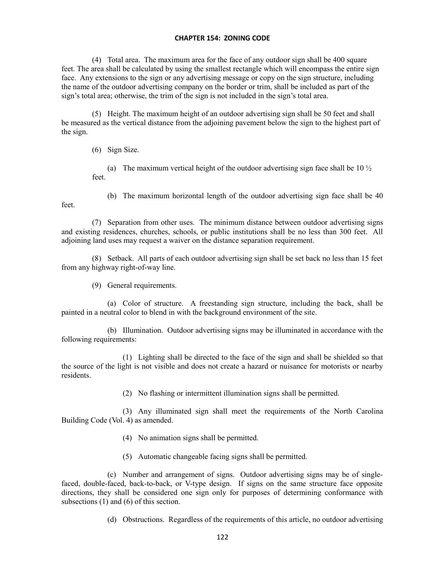(4) Total area. The maximum area for the face of any outdoor sign shall be 400 square feet. The area shall be calculated by using the smallest rectangle which will encompass the entire sign face. Any extensions to the sign or any advertising message or copy on the sign structure, including the name of the outdoor advertising company on the border or trim, shall be included as part of the sign's total area; otherwise, the trim of the sign is not included in the sign's total area.

(5) Height. The maximum height of an outdoor advertising sign shall be 50 feet and shall be measured as the vertical distance from the adjoining pavement below the sign to the highest part of the sign.

(6) Sign Size.

(a) The maximum vertical height of the outdoor advertising sign face shall be 10  $\frac{1}{2}$ feet.

feet.

(b) The maximum horizontal length of the outdoor advertising sign face shall be 40

(7) Separation from other uses. The minimum distance between outdoor advertising signs and existing residences, churches, schools, or public institutions shall be no less than 300 feet. All adjoining land uses may request a waiver on the distance separation requirement.

(8) Setback. All parts of each outdoor advertising sign shall be set back no less than 15 feet from any highway right-of-way line.

(9) General requirements.

(a) Color of structure. A freestanding sign structure, including the back, shall be painted in a neutral color to blend in with the background environment of the site.

(b) Illumination. Outdoor advertising signs may be illuminated in accordance with the following requirements:

(1) Lighting shall be directed to the face of the sign and shall be shielded so that the source of the light is not visible and does not create a hazard or nuisance for motorists or nearby residents.

(2) No flashing or intermittent illumination signs shall be permitted.

(3) Any illuminated sign shall meet the requirements of the North Carolina Building Code (Vol. 4) as amended.

- (4) No animation signs shall be permitted.
- (5) Automatic changeable facing signs shall be permitted.

(c) Number and arrangement of signs. Outdoor advertising signs may be of singlefaced, double-faced, back-to-back, or V-type design. If signs on the same structure face opposite directions, they shall be considered one sign only for purposes of determining conformance with subsections (1) and (6) of this section.

(d) Obstructions. Regardless of the requirements of this article, no outdoor advertising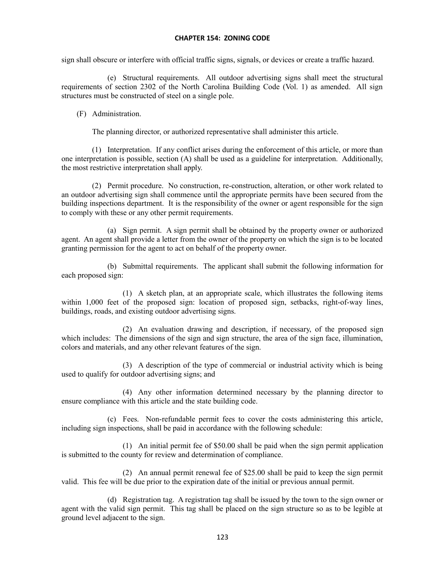sign shall obscure or interfere with official traffic signs, signals, or devices or create a traffic hazard.

(e) Structural requirements. All outdoor advertising signs shall meet the structural requirements of section 2302 of the North Carolina Building Code (Vol. 1) as amended. All sign structures must be constructed of steel on a single pole.

(F) Administration.

The planning director, or authorized representative shall administer this article.

(1) Interpretation. If any conflict arises during the enforcement of this article, or more than one interpretation is possible, section (A) shall be used as a guideline for interpretation. Additionally, the most restrictive interpretation shall apply.

(2) Permit procedure. No construction, re-construction, alteration, or other work related to an outdoor advertising sign shall commence until the appropriate permits have been secured from the building inspections department. It is the responsibility of the owner or agent responsible for the sign to comply with these or any other permit requirements.

(a) Sign permit. A sign permit shall be obtained by the property owner or authorized agent. An agent shall provide a letter from the owner of the property on which the sign is to be located granting permission for the agent to act on behalf of the property owner.

(b) Submittal requirements. The applicant shall submit the following information for each proposed sign:

(1) A sketch plan, at an appropriate scale, which illustrates the following items within 1,000 feet of the proposed sign: location of proposed sign, setbacks, right-of-way lines, buildings, roads, and existing outdoor advertising signs.

(2) An evaluation drawing and description, if necessary, of the proposed sign which includes: The dimensions of the sign and sign structure, the area of the sign face, illumination, colors and materials, and any other relevant features of the sign.

(3) A description of the type of commercial or industrial activity which is being used to qualify for outdoor advertising signs; and

(4) Any other information determined necessary by the planning director to ensure compliance with this article and the state building code.

(c) Fees. Non-refundable permit fees to cover the costs administering this article, including sign inspections, shall be paid in accordance with the following schedule:

(1) An initial permit fee of \$50.00 shall be paid when the sign permit application is submitted to the county for review and determination of compliance.

(2) An annual permit renewal fee of \$25.00 shall be paid to keep the sign permit valid. This fee will be due prior to the expiration date of the initial or previous annual permit.

(d) Registration tag. A registration tag shall be issued by the town to the sign owner or agent with the valid sign permit. This tag shall be placed on the sign structure so as to be legible at ground level adjacent to the sign.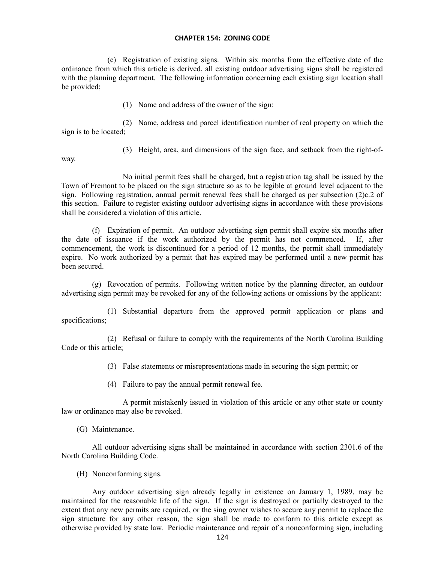(e) Registration of existing signs. Within six months from the effective date of the ordinance from which this article is derived, all existing outdoor advertising signs shall be registered with the planning department. The following information concerning each existing sign location shall be provided;

(1) Name and address of the owner of the sign:

(2) Name, address and parcel identification number of real property on which the sign is to be located;

(3) Height, area, and dimensions of the sign face, and setback from the right-of-

way.

No initial permit fees shall be charged, but a registration tag shall be issued by the Town of Fremont to be placed on the sign structure so as to be legible at ground level adjacent to the sign. Following registration, annual permit renewal fees shall be charged as per subsection (2)c.2 of this section. Failure to register existing outdoor advertising signs in accordance with these provisions shall be considered a violation of this article.

(f) Expiration of permit. An outdoor advertising sign permit shall expire six months after the date of issuance if the work authorized by the permit has not commenced. If, after commencement, the work is discontinued for a period of 12 months, the permit shall immediately expire. No work authorized by a permit that has expired may be performed until a new permit has been secured.

(g) Revocation of permits. Following written notice by the planning director, an outdoor advertising sign permit may be revoked for any of the following actions or omissions by the applicant:

(1) Substantial departure from the approved permit application or plans and specifications;

(2) Refusal or failure to comply with the requirements of the North Carolina Building Code or this article;

(3) False statements or misrepresentations made in securing the sign permit; or

(4) Failure to pay the annual permit renewal fee.

A permit mistakenly issued in violation of this article or any other state or county law or ordinance may also be revoked.

(G) Maintenance.

All outdoor advertising signs shall be maintained in accordance with section 2301.6 of the North Carolina Building Code.

(H) Nonconforming signs.

Any outdoor advertising sign already legally in existence on January 1, 1989, may be maintained for the reasonable life of the sign. If the sign is destroyed or partially destroyed to the extent that any new permits are required, or the sing owner wishes to secure any permit to replace the sign structure for any other reason, the sign shall be made to conform to this article except as otherwise provided by state law. Periodic maintenance and repair of a nonconforming sign, including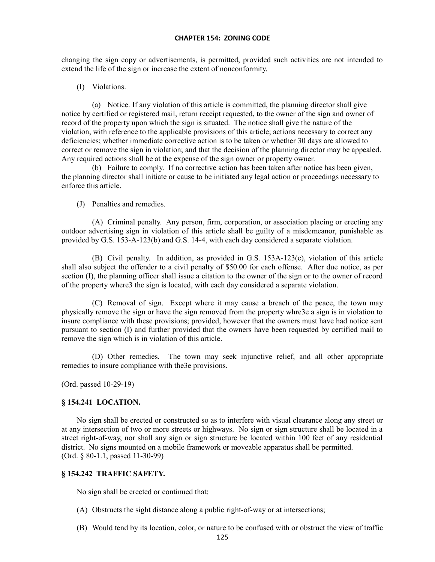changing the sign copy or advertisements, is permitted, provided such activities are not intended to extend the life of the sign or increase the extent of nonconformity.

#### (I) Violations.

(a) Notice. If any violation of this article is committed, the planning director shall give notice by certified or registered mail, return receipt requested, to the owner of the sign and owner of record of the property upon which the sign is situated. The notice shall give the nature of the violation, with reference to the applicable provisions of this article; actions necessary to correct any deficiencies; whether immediate corrective action is to be taken or whether 30 days are allowed to correct or remove the sign in violation; and that the decision of the planning director may be appealed. Any required actions shall be at the expense of the sign owner or property owner.

(b) Failure to comply. If no corrective action has been taken after notice has been given, the planning director shall initiate or cause to be initiated any legal action or proceedings necessary to enforce this article.

(J) Penalties and remedies.

(A) Criminal penalty. Any person, firm, corporation, or association placing or erecting any outdoor advertising sign in violation of this article shall be guilty of a misdemeanor, punishable as provided by G.S. 153-A-123(b) and G.S. 14-4, with each day considered a separate violation.

(B) Civil penalty. In addition, as provided in G.S. 153A-123(c), violation of this article shall also subject the offender to a civil penalty of \$50.00 for each offense. After due notice, as per section (I), the planning officer shall issue a citation to the owner of the sign or to the owner of record of the property where3 the sign is located, with each day considered a separate violation.

(C) Removal of sign. Except where it may cause a breach of the peace, the town may physically remove the sign or have the sign removed from the property whre3e a sign is in violation to insure compliance with these provisions; provided, however that the owners must have had notice sent pursuant to section (I) and further provided that the owners have been requested by certified mail to remove the sign which is in violation of this article.

(D) Other remedies. The town may seek injunctive relief, and all other appropriate remedies to insure compliance with the3e provisions.

(Ord. passed 10-29-19)

# **§ 154.241 LOCATION.**

No sign shall be erected or constructed so as to interfere with visual clearance along any street or at any intersection of two or more streets or highways. No sign or sign structure shall be located in a street right-of-way, nor shall any sign or sign structure be located within 100 feet of any residential district. No signs mounted on a mobile framework or moveable apparatus shall be permitted. (Ord. § 80-1.1, passed 11-30-99)

# **§ 154.242 TRAFFIC SAFETY.**

No sign shall be erected or continued that:

- (A) Obstructs the sight distance along a public right-of-way or at intersections;
- (B) Would tend by its location, color, or nature to be confused with or obstruct the view of traffic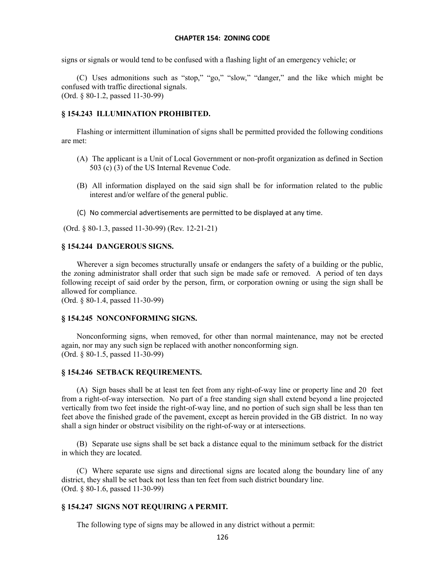signs or signals or would tend to be confused with a flashing light of an emergency vehicle; or

(C) Uses admonitions such as "stop," "go," "slow," "danger," and the like which might be confused with traffic directional signals. (Ord. § 80-1.2, passed 11-30-99)

# **§ 154.243 ILLUMINATION PROHIBITED.**

Flashing or intermittent illumination of signs shall be permitted provided the following conditions are met:

- (A) The applicant is a Unit of Local Government or non-profit organization as defined in Section 503 (c) (3) of the US Internal Revenue Code.
- (B) All information displayed on the said sign shall be for information related to the public interest and/or welfare of the general public.
- (C) No commercial advertisements are permitted to be displayed at any time.
- (Ord. § 80-1.3, passed 11-30-99) (Rev. 12-21-21)

# **§ 154.244 DANGEROUS SIGNS.**

Wherever a sign becomes structurally unsafe or endangers the safety of a building or the public, the zoning administrator shall order that such sign be made safe or removed. A period of ten days following receipt of said order by the person, firm, or corporation owning or using the sign shall be allowed for compliance.

(Ord. § 80-1.4, passed 11-30-99)

# **§ 154.245 NONCONFORMING SIGNS.**

Nonconforming signs, when removed, for other than normal maintenance, may not be erected again, nor may any such sign be replaced with another nonconforming sign. (Ord. § 80-1.5, passed 11-30-99)

# **§ 154.246 SETBACK REQUIREMENTS.**

(A) Sign bases shall be at least ten feet from any right-of-way line or property line and 20 feet from a right-of-way intersection. No part of a free standing sign shall extend beyond a line projected vertically from two feet inside the right-of-way line, and no portion of such sign shall be less than ten feet above the finished grade of the pavement, except as herein provided in the GB district. In no way shall a sign hinder or obstruct visibility on the right-of-way or at intersections.

(B) Separate use signs shall be set back a distance equal to the minimum setback for the district in which they are located.

(C) Where separate use signs and directional signs are located along the boundary line of any district, they shall be set back not less than ten feet from such district boundary line. (Ord. § 80-1.6, passed 11-30-99)

# **§ 154.247 SIGNS NOT REQUIRING A PERMIT.**

The following type of signs may be allowed in any district without a permit: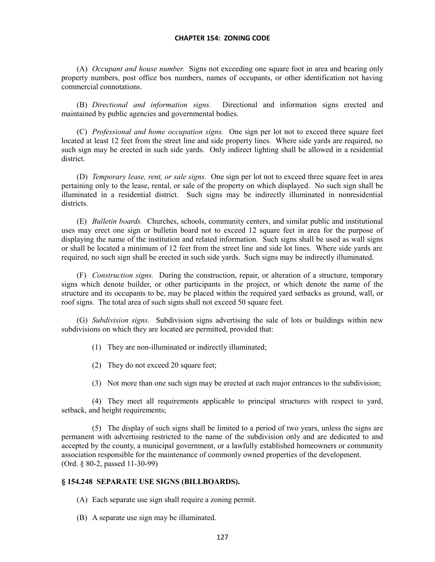(A) *Occupant and house number.* Signs not exceeding one square foot in area and bearing only property numbers, post office box numbers, names of occupants, or other identification not having commercial connotations.

(B) *Directional and information signs.* Directional and information signs erected and maintained by public agencies and governmental bodies.

(C) *Professional and home occupation signs.* One sign per lot not to exceed three square feet located at least 12 feet from the street line and side property lines. Where side yards are required, no such sign may be erected in such side yards. Only indirect lighting shall be allowed in a residential district.

(D) *Temporary lease, rent, or sale signs.* One sign per lot not to exceed three square feet in area pertaining only to the lease, rental, or sale of the property on which displayed. No such sign shall be illuminated in a residential district. Such signs may be indirectly illuminated in nonresidential districts.

(E) *Bulletin boards.* Churches, schools, community centers, and similar public and institutional uses may erect one sign or bulletin board not to exceed 12 square feet in area for the purpose of displaying the name of the institution and related information. Such signs shall be used as wall signs or shall be located a minimum of 12 feet from the street line and side lot lines. Where side yards are required, no such sign shall be erected in such side yards. Such signs may be indirectly illuminated.

(F) *Construction signs.* During the construction, repair, or alteration of a structure, temporary signs which denote builder, or other participants in the project, or which denote the name of the structure and its occupants to be, may be placed within the required yard setbacks as ground, wall, or roof signs. The total area of such signs shall not exceed 50 square feet.

(G) *Subdivision signs.* Subdivision signs advertising the sale of lots or buildings within new subdivisions on which they are located are permitted, provided that:

(1) They are non-illuminated or indirectly illuminated;

(2) They do not exceed 20 square feet;

(3) Not more than one such sign may be erected at each major entrances to the subdivision;

(4) They meet all requirements applicable to principal structures with respect to yard, setback, and height requirements;

(5) The display of such signs shall be limited to a period of two years, unless the signs are permanent with advertising restricted to the name of the subdivision only and are dedicated to and accepted by the county, a municipal government, or a lawfully established homeowners or community association responsible for the maintenance of commonly owned properties of the development. (Ord. § 80-2, passed 11-30-99)

#### **§ 154.248 SEPARATE USE SIGNS (BILLBOARDS).**

(A) Each separate use sign shall require a zoning permit.

(B) A separate use sign may be illuminated.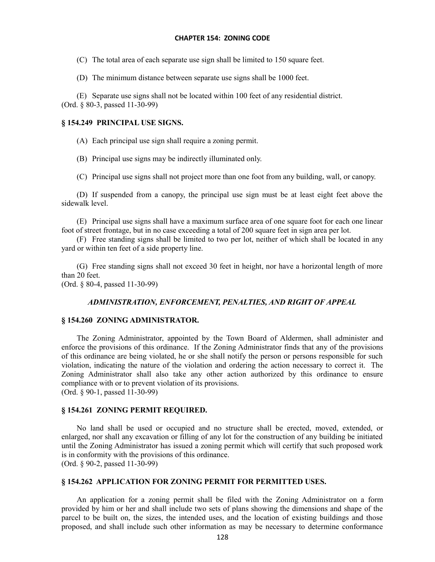(C) The total area of each separate use sign shall be limited to 150 square feet.

(D) The minimum distance between separate use signs shall be 1000 feet.

(E) Separate use signs shall not be located within 100 feet of any residential district. (Ord. § 80-3, passed 11-30-99)

# **§ 154.249 PRINCIPAL USE SIGNS.**

(A) Each principal use sign shall require a zoning permit.

(B) Principal use signs may be indirectly illuminated only.

(C) Principal use signs shall not project more than one foot from any building, wall, or canopy.

(D) If suspended from a canopy, the principal use sign must be at least eight feet above the sidewalk level.

(E) Principal use signs shall have a maximum surface area of one square foot for each one linear foot of street frontage, but in no case exceeding a total of 200 square feet in sign area per lot.

(F) Free standing signs shall be limited to two per lot, neither of which shall be located in any yard or within ten feet of a side property line.

(G) Free standing signs shall not exceed 30 feet in height, nor have a horizontal length of more than 20 feet.

(Ord. § 80-4, passed 11-30-99)

#### *ADMINISTRATION, ENFORCEMENT, PENALTIES, AND RIGHT OF APPEAL*

## **§ 154.260 ZONING ADMINISTRATOR.**

The Zoning Administrator, appointed by the Town Board of Aldermen, shall administer and enforce the provisions of this ordinance. If the Zoning Administrator finds that any of the provisions of this ordinance are being violated, he or she shall notify the person or persons responsible for such violation, indicating the nature of the violation and ordering the action necessary to correct it. The Zoning Administrator shall also take any other action authorized by this ordinance to ensure compliance with or to prevent violation of its provisions. (Ord. § 90-1, passed 11-30-99)

#### **§ 154.261 ZONING PERMIT REQUIRED.**

No land shall be used or occupied and no structure shall be erected, moved, extended, or enlarged, nor shall any excavation or filling of any lot for the construction of any building be initiated until the Zoning Administrator has issued a zoning permit which will certify that such proposed work is in conformity with the provisions of this ordinance. (Ord. § 90-2, passed 11-30-99)

#### **§ 154.262 APPLICATION FOR ZONING PERMIT FOR PERMITTED USES.**

An application for a zoning permit shall be filed with the Zoning Administrator on a form provided by him or her and shall include two sets of plans showing the dimensions and shape of the parcel to be built on, the sizes, the intended uses, and the location of existing buildings and those proposed, and shall include such other information as may be necessary to determine conformance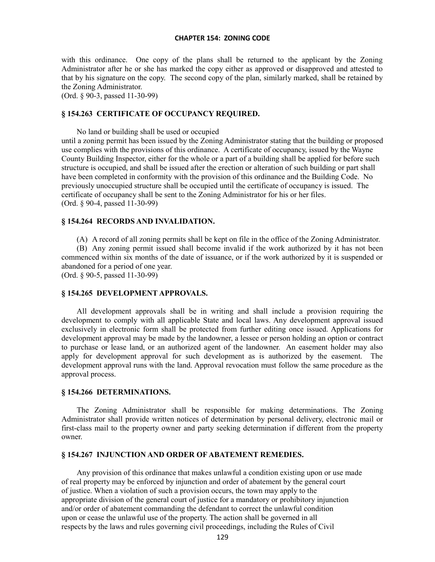with this ordinance. One copy of the plans shall be returned to the applicant by the Zoning Administrator after he or she has marked the copy either as approved or disapproved and attested to that by his signature on the copy. The second copy of the plan, similarly marked, shall be retained by the Zoning Administrator.

(Ord. § 90-3, passed 11-30-99)

## **§ 154.263 CERTIFICATE OF OCCUPANCY REQUIRED.**

No land or building shall be used or occupied until a zoning permit has been issued by the Zoning Administrator stating that the building or proposed use complies with the provisions of this ordinance. A certificate of occupancy, issued by the Wayne County Building Inspector, either for the whole or a part of a building shall be applied for before such structure is occupied, and shall be issued after the erection or alteration of such building or part shall have been completed in conformity with the provision of this ordinance and the Building Code. No previously unoccupied structure shall be occupied until the certificate of occupancy is issued. The certificate of occupancy shall be sent to the Zoning Administrator for his or her files. (Ord. § 90-4, passed 11-30-99)

## **§ 154.264 RECORDS AND INVALIDATION.**

(A) A record of all zoning permits shall be kept on file in the office of the Zoning Administrator. (B) Any zoning permit issued shall become invalid if the work authorized by it has not been commenced within six months of the date of issuance, or if the work authorized by it is suspended or abandoned for a period of one year.

(Ord. § 90-5, passed 11-30-99)

# **§ 154.265 DEVELOPMENT APPROVALS.**

All development approvals shall be in writing and shall include a provision requiring the development to comply with all applicable State and local laws. Any development approval issued exclusively in electronic form shall be protected from further editing once issued. Applications for development approval may be made by the landowner, a lessee or person holding an option or contract to purchase or lease land, or an authorized agent of the landowner. An easement holder may also apply for development approval for such development as is authorized by the easement. The development approval runs with the land. Approval revocation must follow the same procedure as the approval process.

#### **§ 154.266 DETERMINATIONS.**

The Zoning Administrator shall be responsible for making determinations. The Zoning Administrator shall provide written notices of determination by personal delivery, electronic mail or first-class mail to the property owner and party seeking determination if different from the property owner.

## **§ 154.267 INJUNCTION AND ORDER OF ABATEMENT REMEDIES.**

Any provision of this ordinance that makes unlawful a condition existing upon or use made of real property may be enforced by injunction and order of abatement by the general court of justice. When a violation of such a provision occurs, the town may apply to the appropriate division of the general court of justice for a mandatory or prohibitory injunction and/or order of abatement commanding the defendant to correct the unlawful condition upon or cease the unlawful use of the property. The action shall be governed in all respects by the laws and rules governing civil proceedings, including the Rules of Civil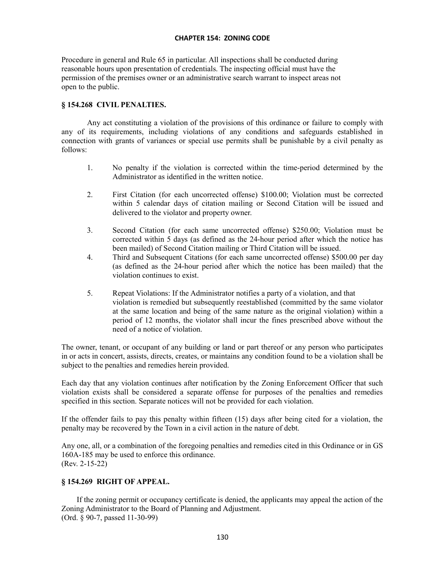Procedure in general and Rule 65 in particular. All inspections shall be conducted during reasonable hours upon presentation of credentials. The inspecting official must have the permission of the premises owner or an administrative search warrant to inspect areas not open to the public.

## **§ 154.268 CIVIL PENALTIES.**

Any act constituting a violation of the provisions of this ordinance or failure to comply with any of its requirements, including violations of any conditions and safeguards established in connection with grants of variances or special use permits shall be punishable by a civil penalty as follows:

- 1. No penalty if the violation is corrected within the time-period determined by the Administrator as identified in the written notice.
- 2. First Citation (for each uncorrected offense) \$100.00; Violation must be corrected within 5 calendar days of citation mailing or Second Citation will be issued and delivered to the violator and property owner.
- 3. Second Citation (for each same uncorrected offense) \$250.00; Violation must be corrected within 5 days (as defined as the 24-hour period after which the notice has been mailed) of Second Citation mailing or Third Citation will be issued.
- 4. Third and Subsequent Citations (for each same uncorrected offense) \$500.00 per day (as defined as the 24-hour period after which the notice has been mailed) that the violation continues to exist.
- 5. Repeat Violations: If the Administrator notifies a party of a violation, and that violation is remedied but subsequently reestablished (committed by the same violator at the same location and being of the same nature as the original violation) within a period of 12 months, the violator shall incur the fines prescribed above without the need of a notice of violation.

The owner, tenant, or occupant of any building or land or part thereof or any person who participates in or acts in concert, assists, directs, creates, or maintains any condition found to be a violation shall be subject to the penalties and remedies herein provided.

Each day that any violation continues after notification by the Zoning Enforcement Officer that such violation exists shall be considered a separate offense for purposes of the penalties and remedies specified in this section. Separate notices will not be provided for each violation.

If the offender fails to pay this penalty within fifteen (15) days after being cited for a violation, the penalty may be recovered by the Town in a civil action in the nature of debt.

Any one, all, or a combination of the foregoing penalties and remedies cited in this Ordinance or in GS 160A-185 may be used to enforce this ordinance. (Rev. 2-15-22)

## **§ 154.269 RIGHT OF APPEAL.**

If the zoning permit or occupancy certificate is denied, the applicants may appeal the action of the Zoning Administrator to the Board of Planning and Adjustment. (Ord. § 90-7, passed 11-30-99)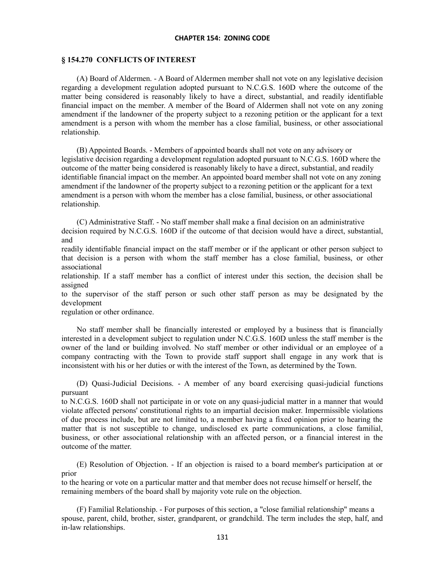#### **§ 154.270 CONFLICTS OF INTEREST**

(A) Board of Aldermen. - A Board of Aldermen member shall not vote on any legislative decision regarding a development regulation adopted pursuant to N.C.G.S. 160D where the outcome of the matter being considered is reasonably likely to have a direct, substantial, and readily identifiable financial impact on the member. A member of the Board of Aldermen shall not vote on any zoning amendment if the landowner of the property subject to a rezoning petition or the applicant for a text amendment is a person with whom the member has a close familial, business, or other associational relationship.

(B) Appointed Boards. - Members of appointed boards shall not vote on any advisory or legislative decision regarding a development regulation adopted pursuant to N.C.G.S. 160D where the outcome of the matter being considered is reasonably likely to have a direct, substantial, and readily identifiable financial impact on the member. An appointed board member shall not vote on any zoning amendment if the landowner of the property subject to a rezoning petition or the applicant for a text amendment is a person with whom the member has a close familial, business, or other associational relationship.

(C) Administrative Staff. - No staff member shall make a final decision on an administrative decision required by N.C.G.S. 160D if the outcome of that decision would have a direct, substantial, and

readily identifiable financial impact on the staff member or if the applicant or other person subject to that decision is a person with whom the staff member has a close familial, business, or other associational

relationship. If a staff member has a conflict of interest under this section, the decision shall be assigned

to the supervisor of the staff person or such other staff person as may be designated by the development

regulation or other ordinance.

No staff member shall be financially interested or employed by a business that is financially interested in a development subject to regulation under N.C.G.S. 160D unless the staff member is the owner of the land or building involved. No staff member or other individual or an employee of a company contracting with the Town to provide staff support shall engage in any work that is inconsistent with his or her duties or with the interest of the Town, as determined by the Town.

(D) Quasi-Judicial Decisions. - A member of any board exercising quasi-judicial functions pursuant

to N.C.G.S. 160D shall not participate in or vote on any quasi-judicial matter in a manner that would violate affected persons' constitutional rights to an impartial decision maker. Impermissible violations of due process include, but are not limited to, a member having a fixed opinion prior to hearing the matter that is not susceptible to change, undisclosed ex parte communications, a close familial, business, or other associational relationship with an affected person, or a financial interest in the outcome of the matter.

(E) Resolution of Objection. - If an objection is raised to a board member's participation at or prior

to the hearing or vote on a particular matter and that member does not recuse himself or herself, the remaining members of the board shall by majority vote rule on the objection.

(F) Familial Relationship. - For purposes of this section, a "close familial relationship" means a spouse, parent, child, brother, sister, grandparent, or grandchild. The term includes the step, half, and in-law relationships.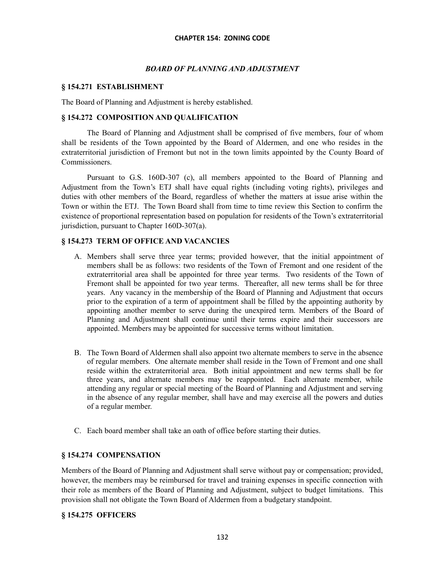## *BOARD OF PLANNING AND ADJUSTMENT*

## **§ 154.271 ESTABLISHMENT**

The Board of Planning and Adjustment is hereby established.

## **§ 154.272 COMPOSITION AND QUALIFICATION**

The Board of Planning and Adjustment shall be comprised of five members, four of whom shall be residents of the Town appointed by the Board of Aldermen, and one who resides in the extraterritorial jurisdiction of Fremont but not in the town limits appointed by the County Board of Commissioners.

Pursuant to G.S. 160D-307 (c), all members appointed to the Board of Planning and Adjustment from the Town's ETJ shall have equal rights (including voting rights), privileges and duties with other members of the Board, regardless of whether the matters at issue arise within the Town or within the ETJ. The Town Board shall from time to time review this Section to confirm the existence of proportional representation based on population for residents of the Town's extraterritorial jurisdiction, pursuant to Chapter 160D-307(a).

## **§ 154.273 TERM OF OFFICE AND VACANCIES**

- A. Members shall serve three year terms; provided however, that the initial appointment of members shall be as follows: two residents of the Town of Fremont and one resident of the extraterritorial area shall be appointed for three year terms. Two residents of the Town of Fremont shall be appointed for two year terms. Thereafter, all new terms shall be for three years. Any vacancy in the membership of the Board of Planning and Adjustment that occurs prior to the expiration of a term of appointment shall be filled by the appointing authority by appointing another member to serve during the unexpired term. Members of the Board of Planning and Adjustment shall continue until their terms expire and their successors are appointed. Members may be appointed for successive terms without limitation.
- B. The Town Board of Aldermen shall also appoint two alternate members to serve in the absence of regular members. One alternate member shall reside in the Town of Fremont and one shall reside within the extraterritorial area. Both initial appointment and new terms shall be for three years, and alternate members may be reappointed. Each alternate member, while attending any regular or special meeting of the Board of Planning and Adjustment and serving in the absence of any regular member, shall have and may exercise all the powers and duties of a regular member.
- C. Each board member shall take an oath of office before starting their duties.

## **§ 154.274 COMPENSATION**

Members of the Board of Planning and Adjustment shall serve without pay or compensation; provided, however, the members may be reimbursed for travel and training expenses in specific connection with their role as members of the Board of Planning and Adjustment, subject to budget limitations. This provision shall not obligate the Town Board of Aldermen from a budgetary standpoint.

## **§ 154.275 OFFICERS**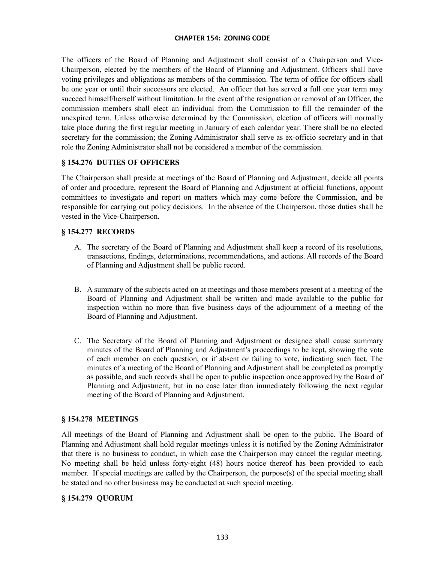The officers of the Board of Planning and Adjustment shall consist of a Chairperson and Vice-Chairperson, elected by the members of the Board of Planning and Adjustment. Officers shall have voting privileges and obligations as members of the commission. The term of office for officers shall be one year or until their successors are elected. An officer that has served a full one year term may succeed himself/herself without limitation. In the event of the resignation or removal of an Officer, the commission members shall elect an individual from the Commission to fill the remainder of the unexpired term. Unless otherwise determined by the Commission, election of officers will normally take place during the first regular meeting in January of each calendar year. There shall be no elected secretary for the commission; the Zoning Administrator shall serve as ex-officio secretary and in that role the Zoning Administrator shall not be considered a member of the commission.

# **§ 154.276 DUTIES OF OFFICERS**

The Chairperson shall preside at meetings of the Board of Planning and Adjustment, decide all points of order and procedure, represent the Board of Planning and Adjustment at official functions, appoint committees to investigate and report on matters which may come before the Commission, and be responsible for carrying out policy decisions. In the absence of the Chairperson, those duties shall be vested in the Vice-Chairperson.

## **§ 154.277 RECORDS**

- A. The secretary of the Board of Planning and Adjustment shall keep a record of its resolutions, transactions, findings, determinations, recommendations, and actions. All records of the Board of Planning and Adjustment shall be public record.
- B. A summary of the subjects acted on at meetings and those members present at a meeting of the Board of Planning and Adjustment shall be written and made available to the public for inspection within no more than five business days of the adjournment of a meeting of the Board of Planning and Adjustment.
- C. The Secretary of the Board of Planning and Adjustment or designee shall cause summary minutes of the Board of Planning and Adjustment's proceedings to be kept, showing the vote of each member on each question, or if absent or failing to vote, indicating such fact. The minutes of a meeting of the Board of Planning and Adjustment shall be completed as promptly as possible, and such records shall be open to public inspection once approved by the Board of Planning and Adjustment, but in no case later than immediately following the next regular meeting of the Board of Planning and Adjustment.

## **§ 154.278 MEETINGS**

All meetings of the Board of Planning and Adjustment shall be open to the public. The Board of Planning and Adjustment shall hold regular meetings unless it is notified by the Zoning Administrator that there is no business to conduct, in which case the Chairperson may cancel the regular meeting. No meeting shall be held unless forty-eight (48) hours notice thereof has been provided to each member. If special meetings are called by the Chairperson, the purpose(s) of the special meeting shall be stated and no other business may be conducted at such special meeting.

## **§ 154.279 QUORUM**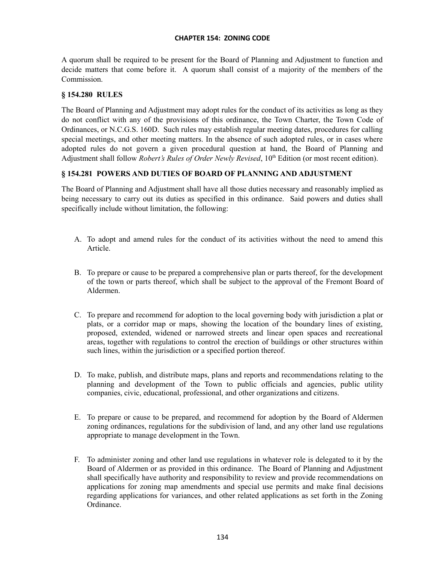A quorum shall be required to be present for the Board of Planning and Adjustment to function and decide matters that come before it. A quorum shall consist of a majority of the members of the Commission.

## **§ 154.280 RULES**

The Board of Planning and Adjustment may adopt rules for the conduct of its activities as long as they do not conflict with any of the provisions of this ordinance, the Town Charter, the Town Code of Ordinances, or N.C.G.S. 160D. Such rules may establish regular meeting dates, procedures for calling special meetings, and other meeting matters. In the absence of such adopted rules, or in cases where adopted rules do not govern a given procedural question at hand, the Board of Planning and Adjustment shall follow *Robert's Rules of Order Newly Revised*, 10<sup>th</sup> Edition (or most recent edition).

# **§ 154.281 POWERS AND DUTIES OF BOARD OF PLANNING AND ADJUSTMENT**

The Board of Planning and Adjustment shall have all those duties necessary and reasonably implied as being necessary to carry out its duties as specified in this ordinance. Said powers and duties shall specifically include without limitation, the following:

- A. To adopt and amend rules for the conduct of its activities without the need to amend this Article.
- B. To prepare or cause to be prepared a comprehensive plan or parts thereof, for the development of the town or parts thereof, which shall be subject to the approval of the Fremont Board of Aldermen.
- C. To prepare and recommend for adoption to the local governing body with jurisdiction a plat or plats, or a corridor map or maps, showing the location of the boundary lines of existing, proposed, extended, widened or narrowed streets and linear open spaces and recreational areas, together with regulations to control the erection of buildings or other structures within such lines, within the jurisdiction or a specified portion thereof.
- D. To make, publish, and distribute maps, plans and reports and recommendations relating to the planning and development of the Town to public officials and agencies, public utility companies, civic, educational, professional, and other organizations and citizens.
- E. To prepare or cause to be prepared, and recommend for adoption by the Board of Aldermen zoning ordinances, regulations for the subdivision of land, and any other land use regulations appropriate to manage development in the Town.
- F. To administer zoning and other land use regulations in whatever role is delegated to it by the Board of Aldermen or as provided in this ordinance. The Board of Planning and Adjustment shall specifically have authority and responsibility to review and provide recommendations on applications for zoning map amendments and special use permits and make final decisions regarding applications for variances, and other related applications as set forth in the Zoning Ordinance.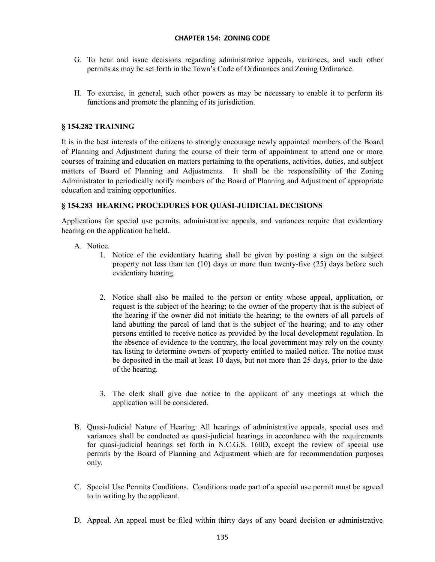- G. To hear and issue decisions regarding administrative appeals, variances, and such other permits as may be set forth in the Town's Code of Ordinances and Zoning Ordinance.
- H. To exercise, in general, such other powers as may be necessary to enable it to perform its functions and promote the planning of its jurisdiction.

## **§ 154.282 TRAINING**

It is in the best interests of the citizens to strongly encourage newly appointed members of the Board of Planning and Adjustment during the course of their term of appointment to attend one or more courses of training and education on matters pertaining to the operations, activities, duties, and subject matters of Board of Planning and Adjustments. It shall be the responsibility of the Zoning Administrator to periodically notify members of the Board of Planning and Adjustment of appropriate education and training opportunities.

## **§ 154.283 HEARING PROCEDURES FOR QUASI-JUIDICIAL DECISIONS**

Applications for special use permits, administrative appeals, and variances require that evidentiary hearing on the application be held.

- A. Notice.
	- 1. Notice of the evidentiary hearing shall be given by posting a sign on the subject property not less than ten (10) days or more than twenty-five (25) days before such evidentiary hearing.
	- 2. Notice shall also be mailed to the person or entity whose appeal, application, or request is the subject of the hearing; to the owner of the property that is the subject of the hearing if the owner did not initiate the hearing; to the owners of all parcels of land abutting the parcel of land that is the subject of the hearing; and to any other persons entitled to receive notice as provided by the local development regulation. In the absence of evidence to the contrary, the local government may rely on the county tax listing to determine owners of property entitled to mailed notice. The notice must be deposited in the mail at least 10 days, but not more than 25 days, prior to the date of the hearing.
	- 3. The clerk shall give due notice to the applicant of any meetings at which the application will be considered.
- B. Quasi-Judicial Nature of Hearing: All hearings of administrative appeals, special uses and variances shall be conducted as quasi-judicial hearings in accordance with the requirements for quasi-judicial hearings set forth in N.C.G.S. 160D, except the review of special use permits by the Board of Planning and Adjustment which are for recommendation purposes only.
- C. Special Use Permits Conditions. Conditions made part of a special use permit must be agreed to in writing by the applicant.
- D. Appeal. An appeal must be filed within thirty days of any board decision or administrative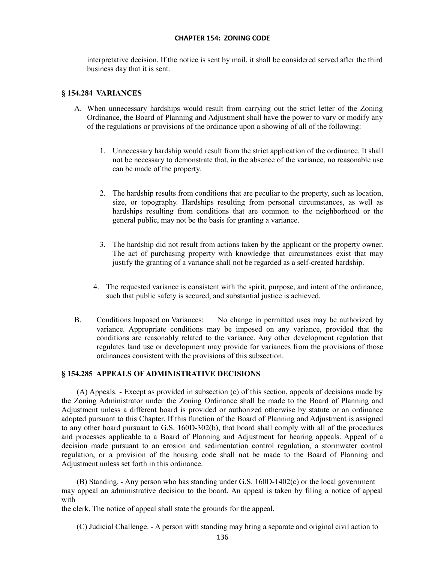interpretative decision. If the notice is sent by mail, it shall be considered served after the third business day that it is sent.

## **§ 154.284 VARIANCES**

- A. When unnecessary hardships would result from carrying out the strict letter of the Zoning Ordinance, the Board of Planning and Adjustment shall have the power to vary or modify any of the regulations or provisions of the ordinance upon a showing of all of the following:
	- 1. Unnecessary hardship would result from the strict application of the ordinance. It shall not be necessary to demonstrate that, in the absence of the variance, no reasonable use can be made of the property.
	- 2. The hardship results from conditions that are peculiar to the property, such as location, size, or topography. Hardships resulting from personal circumstances, as well as hardships resulting from conditions that are common to the neighborhood or the general public, may not be the basis for granting a variance.
	- 3. The hardship did not result from actions taken by the applicant or the property owner. The act of purchasing property with knowledge that circumstances exist that may justify the granting of a variance shall not be regarded as a self-created hardship.
	- 4. The requested variance is consistent with the spirit, purpose, and intent of the ordinance, such that public safety is secured, and substantial justice is achieved.
- B. Conditions Imposed on Variances: No change in permitted uses may be authorized by variance. Appropriate conditions may be imposed on any variance, provided that the conditions are reasonably related to the variance. Any other development regulation that regulates land use or development may provide for variances from the provisions of those ordinances consistent with the provisions of this subsection.

### **§ 154.285 APPEALS OF ADMINISTRATIVE DECISIONS**

(A) Appeals. - Except as provided in subsection (c) of this section, appeals of decisions made by the Zoning Administrator under the Zoning Ordinance shall be made to the Board of Planning and Adjustment unless a different board is provided or authorized otherwise by statute or an ordinance adopted pursuant to this Chapter. If this function of the Board of Planning and Adjustment is assigned to any other board pursuant to G.S. 160D-302(b), that board shall comply with all of the procedures and processes applicable to a Board of Planning and Adjustment for hearing appeals. Appeal of a decision made pursuant to an erosion and sedimentation control regulation, a stormwater control regulation, or a provision of the housing code shall not be made to the Board of Planning and Adjustment unless set forth in this ordinance.

(B) Standing. - Any person who has standing under G.S. 160D-1402(c) or the local government may appeal an administrative decision to the board. An appeal is taken by filing a notice of appeal with

the clerk. The notice of appeal shall state the grounds for the appeal.

(C) Judicial Challenge. - A person with standing may bring a separate and original civil action to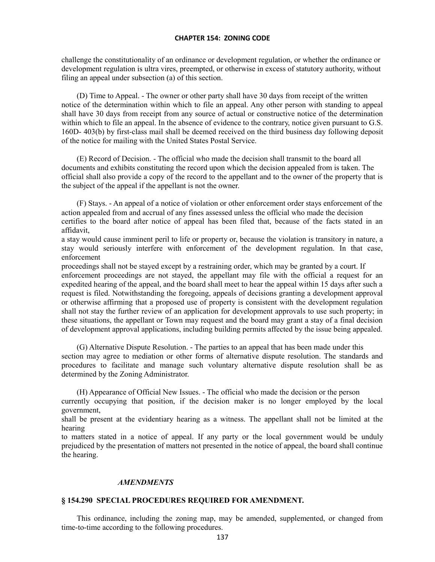challenge the constitutionality of an ordinance or development regulation, or whether the ordinance or development regulation is ultra vires, preempted, or otherwise in excess of statutory authority, without filing an appeal under subsection (a) of this section.

(D) Time to Appeal. - The owner or other party shall have 30 days from receipt of the written notice of the determination within which to file an appeal. Any other person with standing to appeal shall have 30 days from receipt from any source of actual or constructive notice of the determination within which to file an appeal. In the absence of evidence to the contrary, notice given pursuant to G.S. 160D- 403(b) by first-class mail shall be deemed received on the third business day following deposit of the notice for mailing with the United States Postal Service.

(E) Record of Decision. - The official who made the decision shall transmit to the board all documents and exhibits constituting the record upon which the decision appealed from is taken. The official shall also provide a copy of the record to the appellant and to the owner of the property that is the subject of the appeal if the appellant is not the owner.

(F) Stays. - An appeal of a notice of violation or other enforcement order stays enforcement of the action appealed from and accrual of any fines assessed unless the official who made the decision certifies to the board after notice of appeal has been filed that, because of the facts stated in an affidavit,

a stay would cause imminent peril to life or property or, because the violation is transitory in nature, a stay would seriously interfere with enforcement of the development regulation. In that case, enforcement

proceedings shall not be stayed except by a restraining order, which may be granted by a court. If enforcement proceedings are not stayed, the appellant may file with the official a request for an expedited hearing of the appeal, and the board shall meet to hear the appeal within 15 days after such a request is filed. Notwithstanding the foregoing, appeals of decisions granting a development approval or otherwise affirming that a proposed use of property is consistent with the development regulation shall not stay the further review of an application for development approvals to use such property; in these situations, the appellant or Town may request and the board may grant a stay of a final decision of development approval applications, including building permits affected by the issue being appealed.

(G) Alternative Dispute Resolution. - The parties to an appeal that has been made under this section may agree to mediation or other forms of alternative dispute resolution. The standards and procedures to facilitate and manage such voluntary alternative dispute resolution shall be as determined by the Zoning Administrator.

(H) Appearance of Official New Issues. - The official who made the decision or the person

currently occupying that position, if the decision maker is no longer employed by the local government,

shall be present at the evidentiary hearing as a witness. The appellant shall not be limited at the hearing

to matters stated in a notice of appeal. If any party or the local government would be unduly prejudiced by the presentation of matters not presented in the notice of appeal, the board shall continue the hearing.

#### *AMENDMENTS*

### **§ 154.290 SPECIAL PROCEDURES REQUIRED FOR AMENDMENT.**

This ordinance, including the zoning map, may be amended, supplemented, or changed from time-to-time according to the following procedures.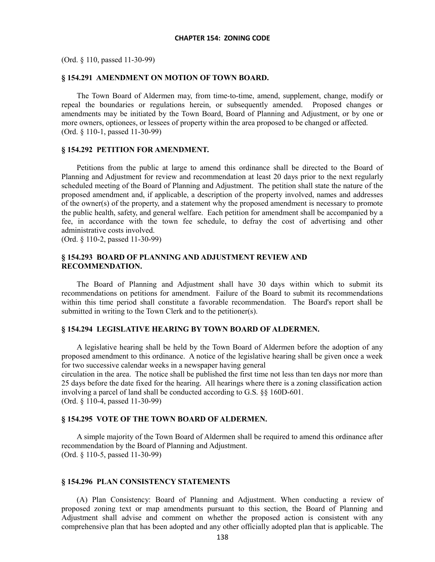(Ord. § 110, passed 11-30-99)

### **§ 154.291 AMENDMENT ON MOTION OF TOWN BOARD.**

The Town Board of Aldermen may, from time-to-time, amend, supplement, change, modify or repeal the boundaries or regulations herein, or subsequently amended. Proposed changes or amendments may be initiated by the Town Board, Board of Planning and Adjustment, or by one or more owners, optionees, or lessees of property within the area proposed to be changed or affected. (Ord. § 110-1, passed 11-30-99)

#### **§ 154.292 PETITION FOR AMENDMENT.**

Petitions from the public at large to amend this ordinance shall be directed to the Board of Planning and Adjustment for review and recommendation at least 20 days prior to the next regularly scheduled meeting of the Board of Planning and Adjustment. The petition shall state the nature of the proposed amendment and, if applicable, a description of the property involved, names and addresses of the owner(s) of the property, and a statement why the proposed amendment is necessary to promote the public health, safety, and general welfare. Each petition for amendment shall be accompanied by a fee, in accordance with the town fee schedule, to defray the cost of advertising and other administrative costs involved.

(Ord. § 110-2, passed 11-30-99)

### **§ 154.293 BOARD OF PLANNING AND ADJUSTMENT REVIEW AND RECOMMENDATION.**

The Board of Planning and Adjustment shall have 30 days within which to submit its recommendations on petitions for amendment. Failure of the Board to submit its recommendations within this time period shall constitute a favorable recommendation. The Board's report shall be submitted in writing to the Town Clerk and to the petitioner(s).

#### **§ 154.294 LEGISLATIVE HEARING BY TOWN BOARD OF ALDERMEN.**

A legislative hearing shall be held by the Town Board of Aldermen before the adoption of any proposed amendment to this ordinance. A notice of the legislative hearing shall be given once a week for two successive calendar weeks in a newspaper having general

circulation in the area. The notice shall be published the first time not less than ten days nor more than 25 days before the date fixed for the hearing. All hearings where there is a zoning classification action involving a parcel of land shall be conducted according to G.S. §§ 160D-601. (Ord. § 110-4, passed 11-30-99)

### **§ 154.295 VOTE OF THE TOWN BOARD OF ALDERMEN.**

A simple majority of the Town Board of Aldermen shall be required to amend this ordinance after recommendation by the Board of Planning and Adjustment. (Ord. § 110-5, passed 11-30-99)

#### **§ 154.296 PLAN CONSISTENCY STATEMENTS**

(A) Plan Consistency: Board of Planning and Adjustment. When conducting a review of proposed zoning text or map amendments pursuant to this section, the Board of Planning and Adjustment shall advise and comment on whether the proposed action is consistent with any comprehensive plan that has been adopted and any other officially adopted plan that is applicable. The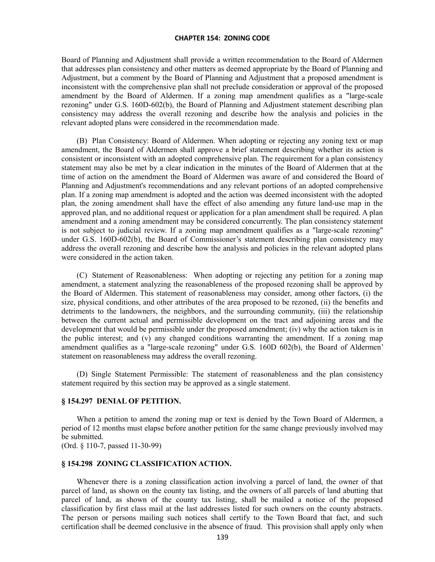Board of Planning and Adjustment shall provide a written recommendation to the Board of Aldermen that addresses plan consistency and other matters as deemed appropriate by the Board of Planning and Adjustment, but a comment by the Board of Planning and Adjustment that a proposed amendment is inconsistent with the comprehensive plan shall not preclude consideration or approval of the proposed amendment by the Board of Aldermen. If a zoning map amendment qualifies as a "large-scale rezoning" under G.S. 160D-602(b), the Board of Planning and Adjustment statement describing plan consistency may address the overall rezoning and describe how the analysis and policies in the relevant adopted plans were considered in the recommendation made.

(B) Plan Consistency: Board of Aldermen. When adopting or rejecting any zoning text or map amendment, the Board of Aldermen shall approve a brief statement describing whether its action is consistent or inconsistent with an adopted comprehensive plan. The requirement for a plan consistency statement may also be met by a clear indication in the minutes of the Board of Aldermen that at the time of action on the amendment the Board of Aldermen was aware of and considered the Board of Planning and Adjustment's recommendations and any relevant portions of an adopted comprehensive plan. If a zoning map amendment is adopted and the action was deemed inconsistent with the adopted plan, the zoning amendment shall have the effect of also amending any future land-use map in the approved plan, and no additional request or application for a plan amendment shall be required. A plan amendment and a zoning amendment may be considered concurrently. The plan consistency statement is not subject to judicial review. If a zoning map amendment qualifies as a "large-scale rezoning" under G.S. 160D-602(b), the Board of Commissioner's statement describing plan consistency may address the overall rezoning and describe how the analysis and policies in the relevant adopted plans were considered in the action taken.

(C) Statement of Reasonableness: When adopting or rejecting any petition for a zoning map amendment, a statement analyzing the reasonableness of the proposed rezoning shall be approved by the Board of Aldermen. This statement of reasonableness may consider, among other factors, (i) the size, physical conditions, and other attributes of the area proposed to be rezoned, (ii) the benefits and detriments to the landowners, the neighbors, and the surrounding community, (iii) the relationship between the current actual and permissible development on the tract and adjoining areas and the development that would be permissible under the proposed amendment; (iv) why the action taken is in the public interest; and (v) any changed conditions warranting the amendment. If a zoning map amendment qualifies as a "large-scale rezoning" under G.S. 160D 602(b), the Board of Aldermen' statement on reasonableness may address the overall rezoning.

(D) Single Statement Permissible: The statement of reasonableness and the plan consistency statement required by this section may be approved as a single statement.

#### **§ 154.297 DENIAL OF PETITION.**

When a petition to amend the zoning map or text is denied by the Town Board of Aldermen, a period of 12 months must elapse before another petition for the same change previously involved may be submitted.

(Ord. § 110-7, passed 11-30-99)

#### **§ 154.298 ZONING CLASSIFICATION ACTION.**

Whenever there is a zoning classification action involving a parcel of land, the owner of that parcel of land, as shown on the county tax listing, and the owners of all parcels of land abutting that parcel of land, as shown of the county tax listing, shall be mailed a notice of the proposed classification by first class mail at the last addresses listed for such owners on the county abstracts. The person or persons mailing such notices shall certify to the Town Board that fact, and such certification shall be deemed conclusive in the absence of fraud. This provision shall apply only when